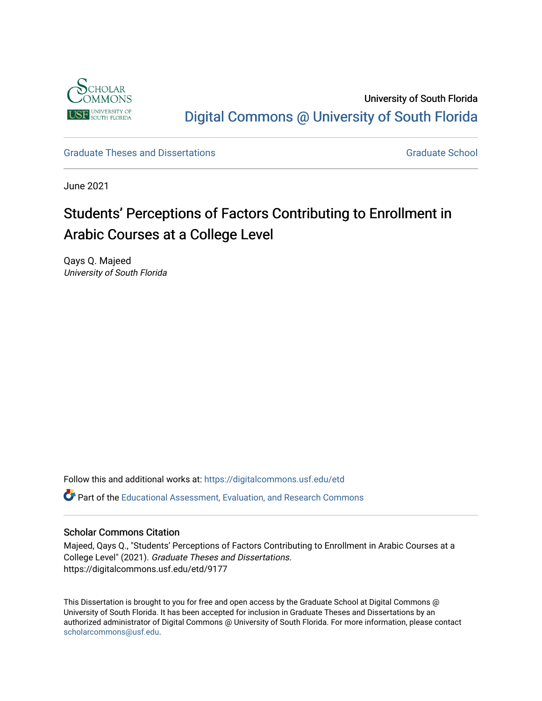

University of South Florida [Digital Commons @ University of South Florida](https://digitalcommons.usf.edu/) 

[Graduate Theses and Dissertations](https://digitalcommons.usf.edu/etd) [Graduate School](https://digitalcommons.usf.edu/grad) Craduate School Craduate School

June 2021

# Students' Perceptions of Factors Contributing to Enrollment in Arabic Courses at a College Level

Qays Q. Majeed University of South Florida

Follow this and additional works at: [https://digitalcommons.usf.edu/etd](https://digitalcommons.usf.edu/etd?utm_source=digitalcommons.usf.edu%2Fetd%2F9177&utm_medium=PDF&utm_campaign=PDFCoverPages) 

Part of the [Educational Assessment, Evaluation, and Research Commons](http://network.bepress.com/hgg/discipline/796?utm_source=digitalcommons.usf.edu%2Fetd%2F9177&utm_medium=PDF&utm_campaign=PDFCoverPages)

#### Scholar Commons Citation

Majeed, Qays Q., "Students' Perceptions of Factors Contributing to Enrollment in Arabic Courses at a College Level" (2021). Graduate Theses and Dissertations. https://digitalcommons.usf.edu/etd/9177

This Dissertation is brought to you for free and open access by the Graduate School at Digital Commons @ University of South Florida. It has been accepted for inclusion in Graduate Theses and Dissertations by an authorized administrator of Digital Commons @ University of South Florida. For more information, please contact [scholarcommons@usf.edu.](mailto:scholarcommons@usf.edu)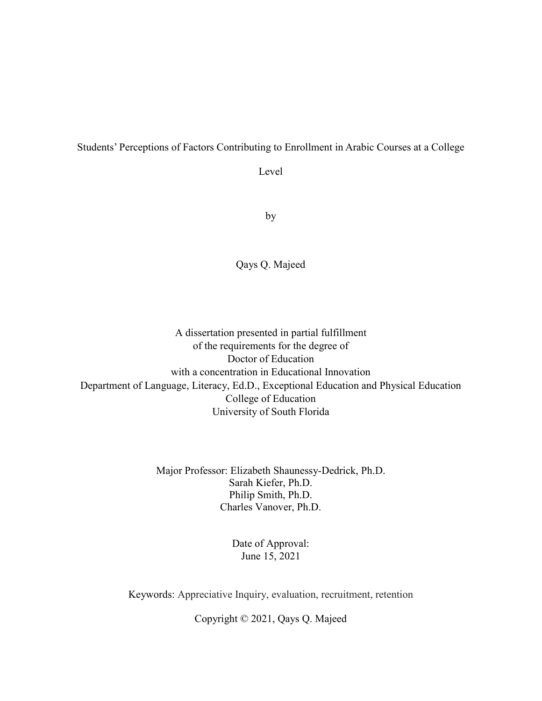#### Students' Perceptions of Factors Contributing to Enrollment in Arabic Courses at a College

Level

by

Qays Q. Majeed

A dissertation presented in partial fulfillment of the requirements for the degree of Doctor of Education with a concentration in Educational Innovation Department of Language, Literacy, Ed.D., Exceptional Education and Physical Education College of Education University of South Florida

> Major Professor: Elizabeth Shaunessy-Dedrick, Ph.D. Sarah Kiefer, Ph.D. Philip Smith, Ph.D. Charles Vanover, Ph.D.

> > Date of Approval: June 15, 2021

Keywords: Appreciative Inquiry, evaluation, recruitment, retention

Copyright © 2021, Qays Q. Majeed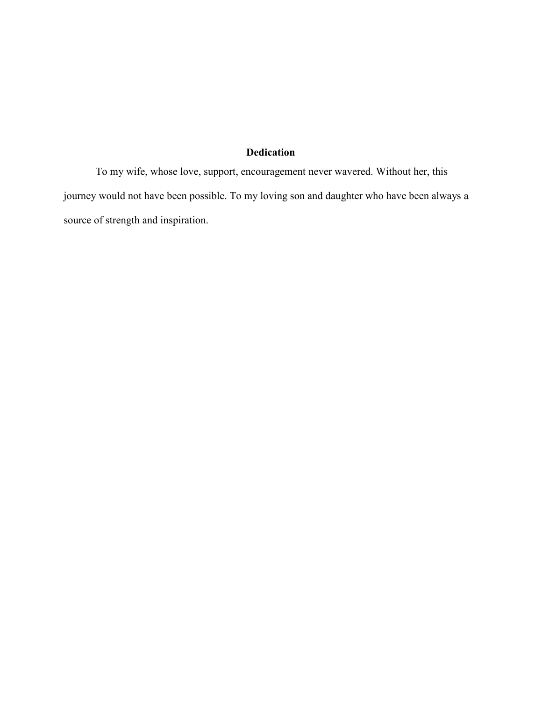## **Dedication**

To my wife, whose love, support, encouragement never wavered. Without her, this journey would not have been possible. To my loving son and daughter who have been always a source of strength and inspiration.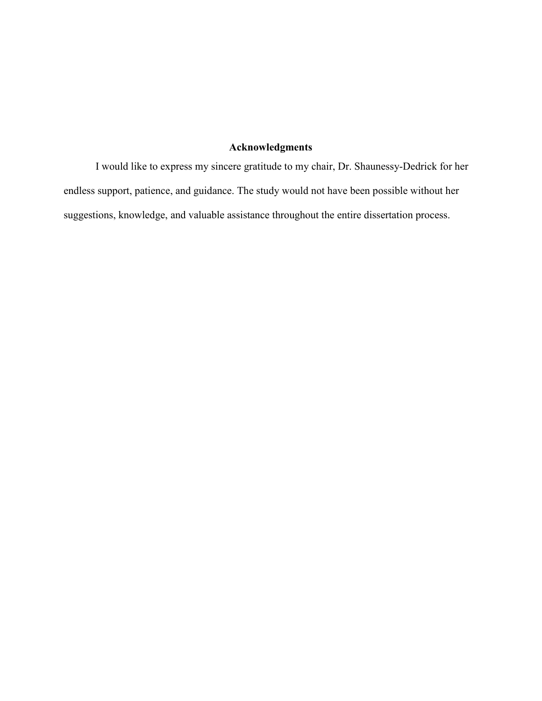## **Acknowledgments**

I would like to express my sincere gratitude to my chair, Dr. Shaunessy-Dedrick for her endless support, patience, and guidance. The study would not have been possible without her suggestions, knowledge, and valuable assistance throughout the entire dissertation process.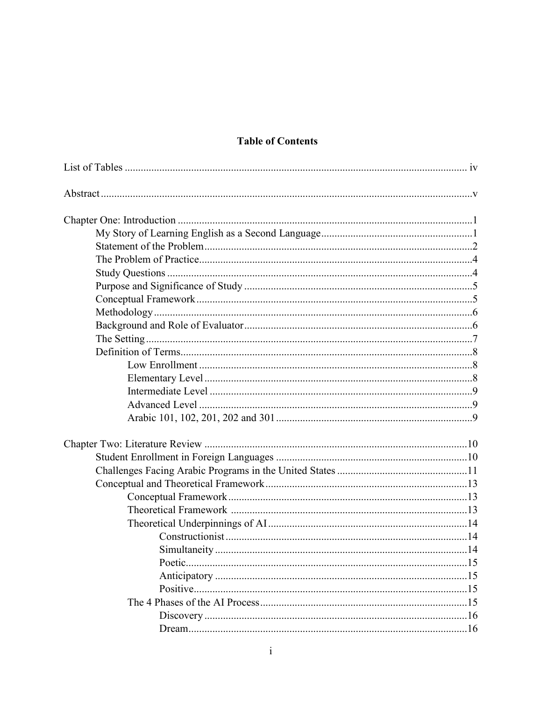## **Table of Contents**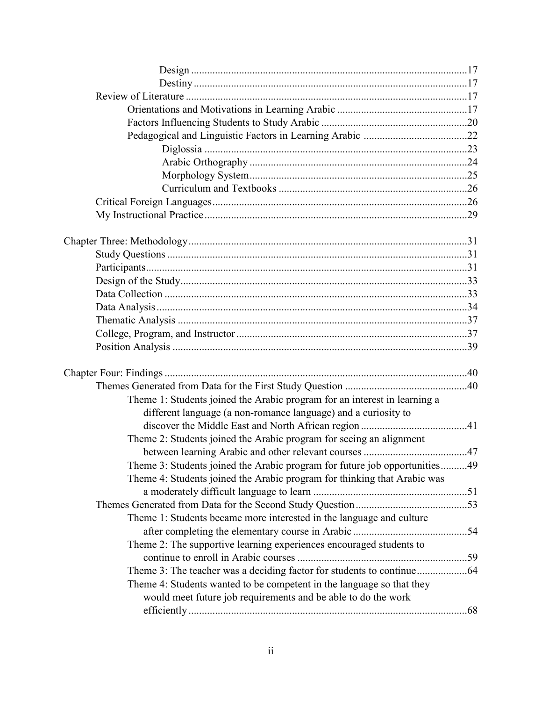| Theme 1: Students joined the Arabic program for an interest in learning a<br>different language (a non-romance language) and a curiosity to |  |
|---------------------------------------------------------------------------------------------------------------------------------------------|--|
|                                                                                                                                             |  |
| Theme 2: Students joined the Arabic program for seeing an alignment                                                                         |  |
|                                                                                                                                             |  |
| Theme 3: Students joined the Arabic program for future job opportunities49                                                                  |  |
| Theme 4: Students joined the Arabic program for thinking that Arabic was                                                                    |  |
|                                                                                                                                             |  |
|                                                                                                                                             |  |
| Theme 1: Students became more interested in the language and culture                                                                        |  |
|                                                                                                                                             |  |
| Theme 2: The supportive learning experiences encouraged students to                                                                         |  |
|                                                                                                                                             |  |
|                                                                                                                                             |  |
| Theme 4: Students wanted to be competent in the language so that they<br>would meet future job requirements and be able to do the work      |  |
|                                                                                                                                             |  |
|                                                                                                                                             |  |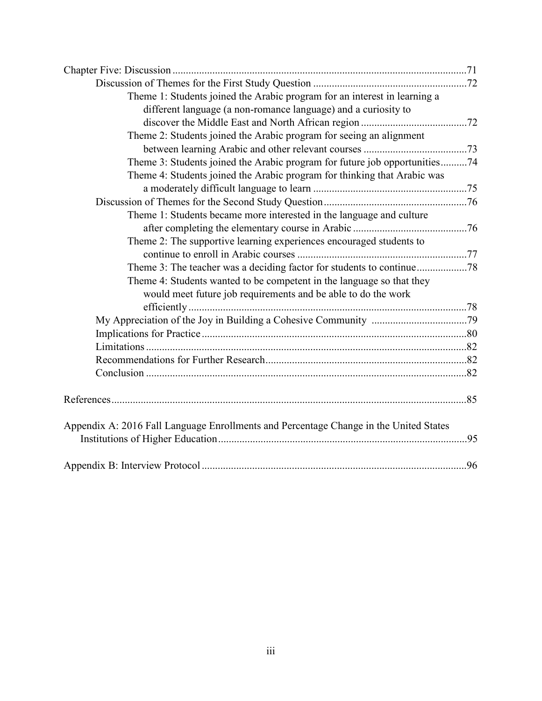| Theme 1: Students joined the Arabic program for an interest in learning a             |     |
|---------------------------------------------------------------------------------------|-----|
| different language (a non-romance language) and a curiosity to                        |     |
|                                                                                       |     |
| Theme 2: Students joined the Arabic program for seeing an alignment                   |     |
|                                                                                       |     |
| Theme 3: Students joined the Arabic program for future job opportunities74            |     |
| Theme 4: Students joined the Arabic program for thinking that Arabic was              |     |
|                                                                                       |     |
|                                                                                       |     |
| Theme 1: Students became more interested in the language and culture                  |     |
|                                                                                       |     |
| Theme 2: The supportive learning experiences encouraged students to                   |     |
|                                                                                       |     |
|                                                                                       |     |
| Theme 4: Students wanted to be competent in the language so that they                 |     |
| would meet future job requirements and be able to do the work                         |     |
|                                                                                       |     |
|                                                                                       |     |
|                                                                                       |     |
|                                                                                       |     |
|                                                                                       |     |
|                                                                                       |     |
|                                                                                       |     |
|                                                                                       |     |
| Appendix A: 2016 Fall Language Enrollments and Percentage Change in the United States | .95 |
|                                                                                       |     |
|                                                                                       | .96 |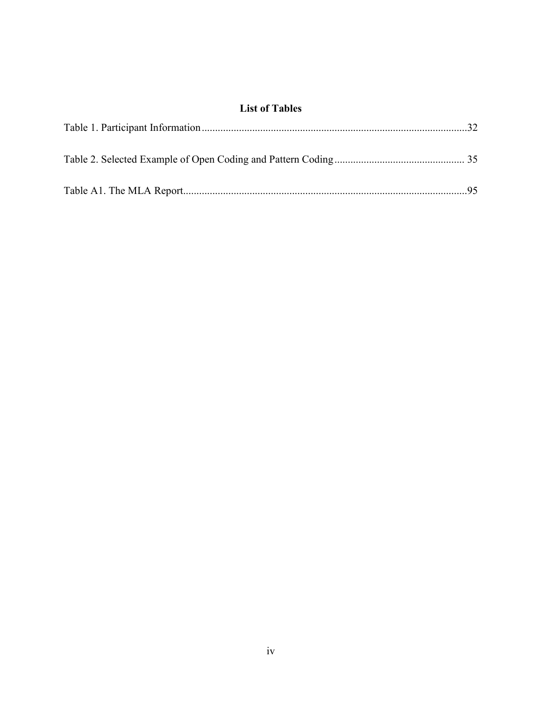## **List of Tables**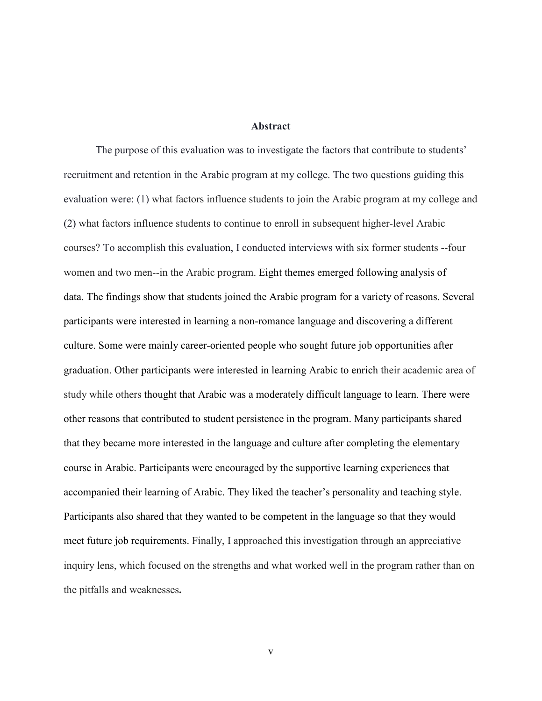#### **Abstract**

The purpose of this evaluation was to investigate the factors that contribute to students' recruitment and retention in the Arabic program at my college. The two questions guiding this evaluation were: (1) what factors influence students to join the Arabic program at my college and (2) what factors influence students to continue to enroll in subsequent higher-level Arabic courses? To accomplish this evaluation, I conducted interviews with six former students --four women and two men--in the Arabic program. Eight themes emerged following analysis of data. The findings show that students joined the Arabic program for a variety of reasons. Several participants were interested in learning a non-romance language and discovering a different culture. Some were mainly career-oriented people who sought future job opportunities after graduation. Other participants were interested in learning Arabic to enrich their academic area of study while others thought that Arabic was a moderately difficult language to learn. There were other reasons that contributed to student persistence in the program. Many participants shared that they became more interested in the language and culture after completing the elementary course in Arabic. Participants were encouraged by the supportive learning experiences that accompanied their learning of Arabic. They liked the teacher's personality and teaching style. Participants also shared that they wanted to be competent in the language so that they would meet future job requirements. Finally, I approached this investigation through an appreciative inquiry lens, which focused on the strengths and what worked well in the program rather than on the pitfalls and weaknesses**.**

v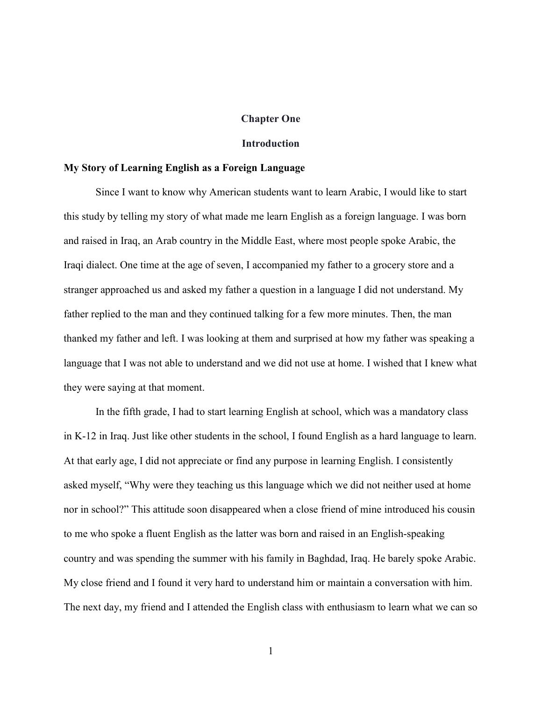#### **Chapter One**

#### **Introduction**

#### **My Story of Learning English as a Foreign Language**

Since I want to know why American students want to learn Arabic, I would like to start this study by telling my story of what made me learn English as a foreign language. I was born and raised in Iraq, an Arab country in the Middle East, where most people spoke Arabic, the Iraqi dialect. One time at the age of seven, I accompanied my father to a grocery store and a stranger approached us and asked my father a question in a language I did not understand. My father replied to the man and they continued talking for a few more minutes. Then, the man thanked my father and left. I was looking at them and surprised at how my father was speaking a language that I was not able to understand and we did not use at home. I wished that I knew what they were saying at that moment.

In the fifth grade, I had to start learning English at school, which was a mandatory class in K-12 in Iraq. Just like other students in the school, I found English as a hard language to learn. At that early age, I did not appreciate or find any purpose in learning English. I consistently asked myself, "Why were they teaching us this language which we did not neither used at home nor in school?" This attitude soon disappeared when a close friend of mine introduced his cousin to me who spoke a fluent English as the latter was born and raised in an English-speaking country and was spending the summer with his family in Baghdad, Iraq. He barely spoke Arabic. My close friend and I found it very hard to understand him or maintain a conversation with him. The next day, my friend and I attended the English class with enthusiasm to learn what we can so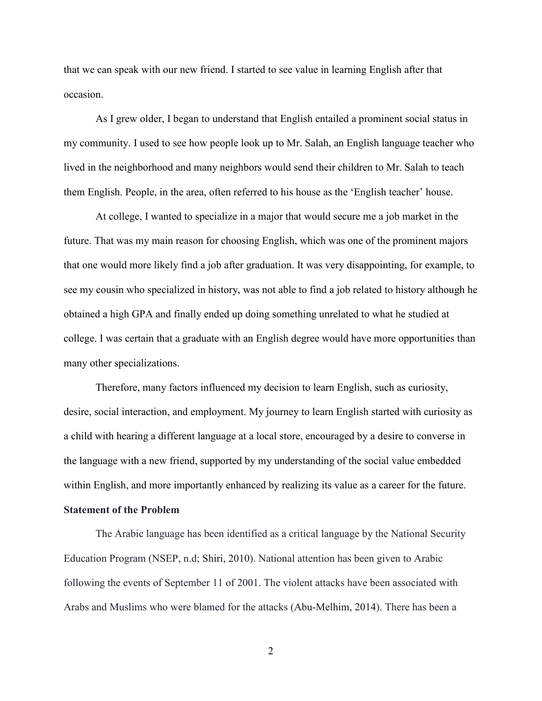that we can speak with our new friend. I started to see value in learning English after that occasion.

As I grew older, I began to understand that English entailed a prominent social status in my community. I used to see how people look up to Mr. Salah, an English language teacher who lived in the neighborhood and many neighbors would send their children to Mr. Salah to teach them English. People, in the area, often referred to his house as the 'English teacher' house.

At college, I wanted to specialize in a major that would secure me a job market in the future. That was my main reason for choosing English, which was one of the prominent majors that one would more likely find a job after graduation. It was very disappointing, for example, to see my cousin who specialized in history, was not able to find a job related to history although he obtained a high GPA and finally ended up doing something unrelated to what he studied at college. I was certain that a graduate with an English degree would have more opportunities than many other specializations.

Therefore, many factors influenced my decision to learn English, such as curiosity, desire, social interaction, and employment. My journey to learn English started with curiosity as a child with hearing a different language at a local store, encouraged by a desire to converse in the language with a new friend, supported by my understanding of the social value embedded within English, and more importantly enhanced by realizing its value as a career for the future.

#### **Statement of the Problem**

The Arabic language has been identified as a critical language by the National Security Education Program (NSEP, n.d; Shiri, 2010). National attention has been given to Arabic following the events of September 11 of 2001. The violent attacks have been associated with Arabs and Muslims who were blamed for the attacks (Abu-Melhim, 2014). There has been a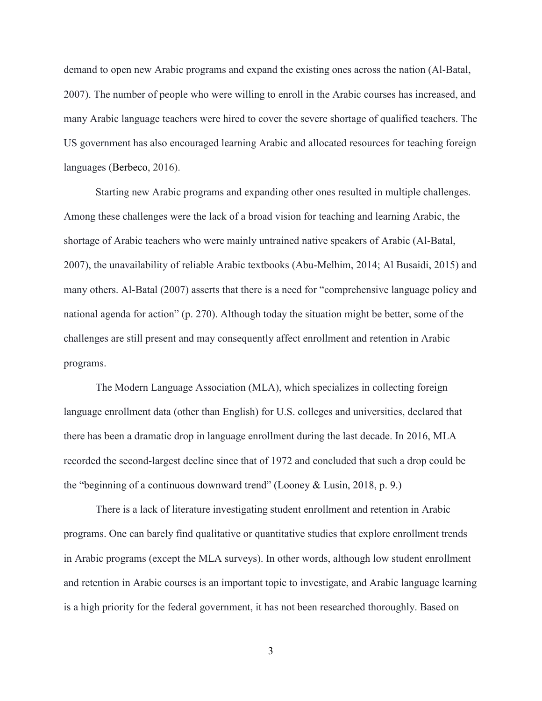demand to open new Arabic programs and expand the existing ones across the nation (Al-Batal, 2007). The number of people who were willing to enroll in the Arabic courses has increased, and many Arabic language teachers were hired to cover the severe shortage of qualified teachers. The US government has also encouraged learning Arabic and allocated resources for teaching foreign languages (Berbeco, 2016).

Starting new Arabic programs and expanding other ones resulted in multiple challenges. Among these challenges were the lack of a broad vision for teaching and learning Arabic, the shortage of Arabic teachers who were mainly untrained native speakers of Arabic (Al-Batal, 2007), the unavailability of reliable Arabic textbooks (Abu-Melhim, 2014; Al Busaidi, 2015) and many others. Al-Batal (2007) asserts that there is a need for "comprehensive language policy and national agenda for action" (p. 270). Although today the situation might be better, some of the challenges are still present and may consequently affect enrollment and retention in Arabic programs.

The Modern Language Association (MLA), which specializes in collecting foreign language enrollment data (other than English) for U.S. colleges and universities, declared that there has been a dramatic drop in language enrollment during the last decade. In 2016, MLA recorded the second-largest decline since that of 1972 and concluded that such a drop could be the "beginning of a continuous downward trend" (Looney & Lusin, 2018, p. 9.)

There is a lack of literature investigating student enrollment and retention in Arabic programs. One can barely find qualitative or quantitative studies that explore enrollment trends in Arabic programs (except the MLA surveys). In other words, although low student enrollment and retention in Arabic courses is an important topic to investigate, and Arabic language learning is a high priority for the federal government, it has not been researched thoroughly. Based on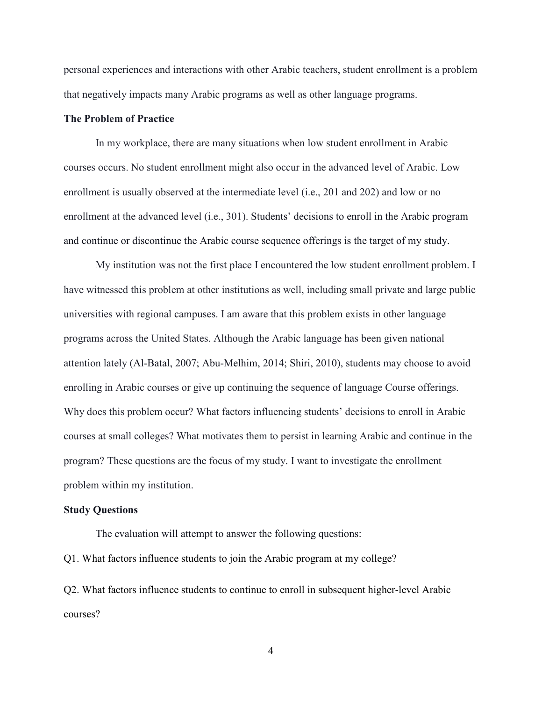personal experiences and interactions with other Arabic teachers, student enrollment is a problem that negatively impacts many Arabic programs as well as other language programs.

### **The Problem of Practice**

In my workplace, there are many situations when low student enrollment in Arabic courses occurs. No student enrollment might also occur in the advanced level of Arabic. Low enrollment is usually observed at the intermediate level (i.e., 201 and 202) and low or no enrollment at the advanced level (i.e., 301). Students' decisions to enroll in the Arabic program and continue or discontinue the Arabic course sequence offerings is the target of my study.

My institution was not the first place I encountered the low student enrollment problem. I have witnessed this problem at other institutions as well, including small private and large public universities with regional campuses. I am aware that this problem exists in other language programs across the United States. Although the Arabic language has been given national attention lately (Al-Batal, 2007; Abu-Melhim, 2014; Shiri, 2010), students may choose to avoid enrolling in Arabic courses or give up continuing the sequence of language Course offerings. Why does this problem occur? What factors influencing students' decisions to enroll in Arabic courses at small colleges? What motivates them to persist in learning Arabic and continue in the program? These questions are the focus of my study. I want to investigate the enrollment problem within my institution.

#### **Study Questions**

The evaluation will attempt to answer the following questions: Q1. What factors influence students to join the Arabic program at my college?

Q2. What factors influence students to continue to enroll in subsequent higher-level Arabic courses?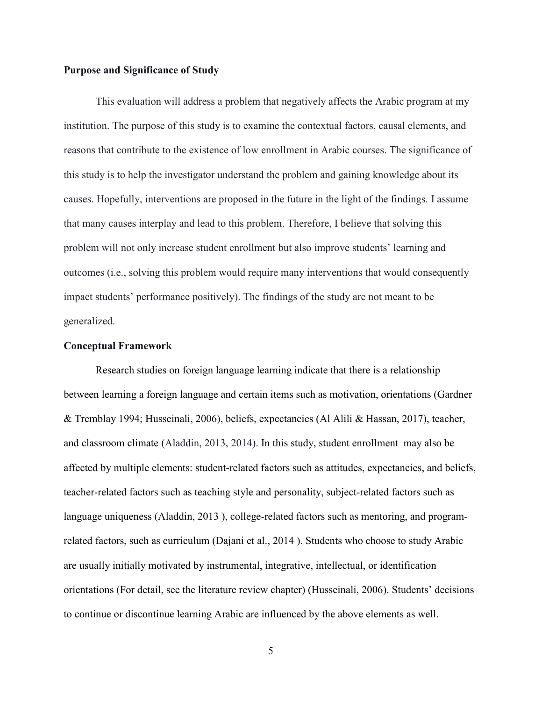#### **Purpose and Significance of Study**

This evaluation will address a problem that negatively affects the Arabic program at my institution. The purpose of this study is to examine the contextual factors, causal elements, and reasons that contribute to the existence of low enrollment in Arabic courses. The significance of this study is to help the investigator understand the problem and gaining knowledge about its causes. Hopefully, interventions are proposed in the future in the light of the findings. I assume that many causes interplay and lead to this problem. Therefore, I believe that solving this problem will not only increase student enrollment but also improve students' learning and outcomes (i.e., solving this problem would require many interventions that would consequently impact students' performance positively). The findings of the study are not meant to be generalized.

#### **Conceptual Framework**

Research studies on foreign language learning indicate that there is a relationship between learning a foreign language and certain items such as motivation, orientations (Gardner & Tremblay 1994; Husseinali, 2006), beliefs, expectancies (Al Alili & Hassan, 2017), teacher, and classroom climate (Aladdin, 2013, 2014). In this study, student enrollment may also be affected by multiple elements: student-related factors such as attitudes, expectancies, and beliefs, teacher-related factors such as teaching style and personality, subject-related factors such as language uniqueness (Aladdin, 2013 ), college-related factors such as mentoring, and programrelated factors, such as curriculum (Dajani et al., 2014 ). Students who choose to study Arabic are usually initially motivated by instrumental, integrative, intellectual, or identification orientations (For detail, see the literature review chapter) (Husseinali, 2006). Students' decisions to continue or discontinue learning Arabic are influenced by the above elements as well.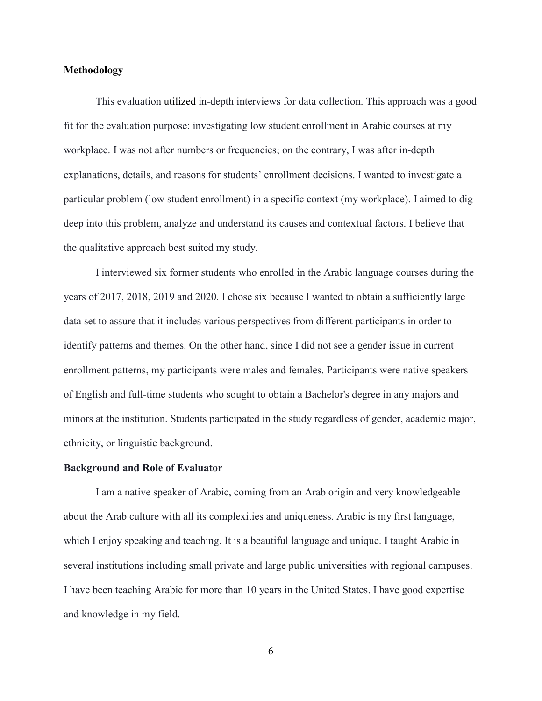#### **Methodology**

This evaluation utilized in-depth interviews for data collection. This approach was a good fit for the evaluation purpose: investigating low student enrollment in Arabic courses at my workplace. I was not after numbers or frequencies; on the contrary, I was after in-depth explanations, details, and reasons for students' enrollment decisions. I wanted to investigate a particular problem (low student enrollment) in a specific context (my workplace). I aimed to dig deep into this problem, analyze and understand its causes and contextual factors. I believe that the qualitative approach best suited my study.

I interviewed six former students who enrolled in the Arabic language courses during the years of 2017, 2018, 2019 and 2020. I chose six because I wanted to obtain a sufficiently large data set to assure that it includes various perspectives from different participants in order to identify patterns and themes. On the other hand, since I did not see a gender issue in current enrollment patterns, my participants were males and females. Participants were native speakers of English and full-time students who sought to obtain a Bachelor's degree in any majors and minors at the institution. Students participated in the study regardless of gender, academic major, ethnicity, or linguistic background.

#### **Background and Role of Evaluator**

I am a native speaker of Arabic, coming from an Arab origin and very knowledgeable about the Arab culture with all its complexities and uniqueness. Arabic is my first language, which I enjoy speaking and teaching. It is a beautiful language and unique. I taught Arabic in several institutions including small private and large public universities with regional campuses. I have been teaching Arabic for more than 10 years in the United States. I have good expertise and knowledge in my field.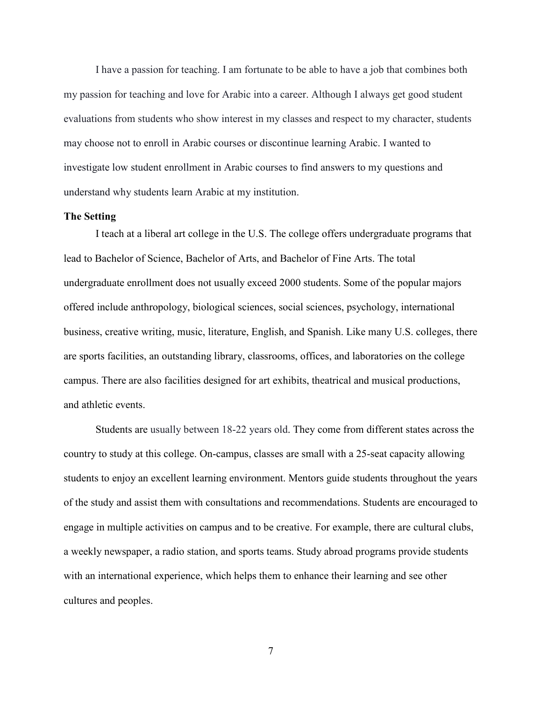I have a passion for teaching. I am fortunate to be able to have a job that combines both my passion for teaching and love for Arabic into a career. Although I always get good student evaluations from students who show interest in my classes and respect to my character, students may choose not to enroll in Arabic courses or discontinue learning Arabic. I wanted to investigate low student enrollment in Arabic courses to find answers to my questions and understand why students learn Arabic at my institution.

#### **The Setting**

I teach at a liberal art college in the U.S. The college offers undergraduate programs that lead to Bachelor of Science, Bachelor of Arts, and Bachelor of Fine Arts. The total undergraduate enrollment does not usually exceed 2000 students. Some of the popular majors offered include anthropology, biological sciences, social sciences, psychology, international business, creative writing, music, literature, English, and Spanish. Like many U.S. colleges, there are sports facilities, an outstanding library, classrooms, offices, and laboratories on the college campus. There are also facilities designed for art exhibits, theatrical and musical productions, and athletic events.

Students are usually between 18-22 years old. They come from different states across the country to study at this college. On-campus, classes are small with a 25-seat capacity allowing students to enjoy an excellent learning environment. Mentors guide students throughout the years of the study and assist them with consultations and recommendations. Students are encouraged to engage in multiple activities on campus and to be creative. For example, there are cultural clubs, a weekly newspaper, a radio station, and sports teams. Study abroad programs provide students with an international experience, which helps them to enhance their learning and see other cultures and peoples.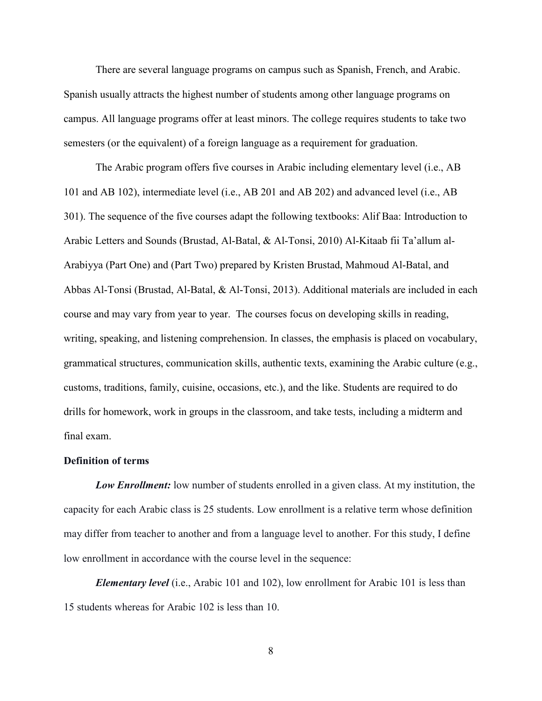There are several language programs on campus such as Spanish, French, and Arabic. Spanish usually attracts the highest number of students among other language programs on campus. All language programs offer at least minors. The college requires students to take two semesters (or the equivalent) of a foreign language as a requirement for graduation.

The Arabic program offers five courses in Arabic including elementary level (i.e., AB 101 and AB 102), intermediate level (i.e., AB 201 and AB 202) and advanced level (i.e., AB 301). The sequence of the five courses adapt the following textbooks: Alif Baa: Introduction to Arabic Letters and Sounds (Brustad, Al-Batal, & Al-Tonsi, 2010) Al-Kitaab fii Ta'allum al-Arabiyya (Part One) and (Part Two) prepared by Kristen Brustad, Mahmoud Al-Batal, and Abbas Al-Tonsi (Brustad, Al-Batal, & Al-Tonsi, 2013). Additional materials are included in each course and may vary from year to year. The courses focus on developing skills in reading, writing, speaking, and listening comprehension. In classes, the emphasis is placed on vocabulary, grammatical structures, communication skills, authentic texts, examining the Arabic culture (e.g., customs, traditions, family, cuisine, occasions, etc.), and the like. Students are required to do drills for homework, work in groups in the classroom, and take tests, including a midterm and final exam.

#### **Definition of terms**

*Low Enrollment:* low number of students enrolled in a given class. At my institution, the capacity for each Arabic class is 25 students. Low enrollment is a relative term whose definition may differ from teacher to another and from a language level to another. For this study, I define low enrollment in accordance with the course level in the sequence:

*Elementary level* (i.e., Arabic 101 and 102), low enrollment for Arabic 101 is less than 15 students whereas for Arabic 102 is less than 10.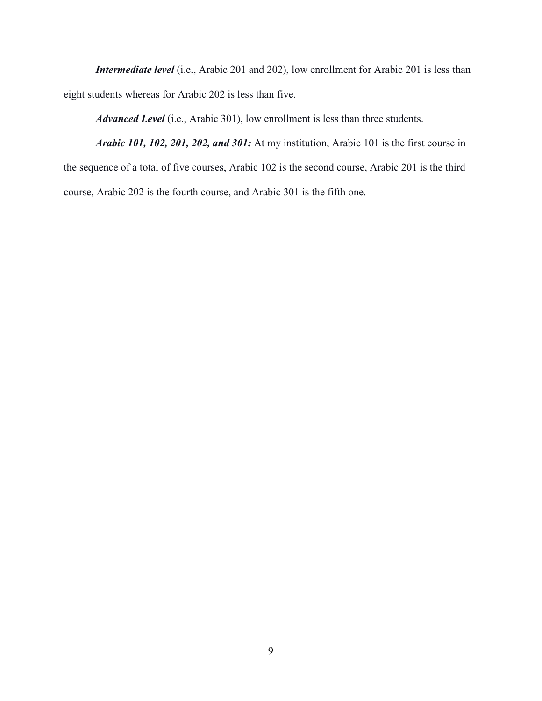*Intermediate level* (i.e., Arabic 201 and 202), low enrollment for Arabic 201 is less than eight students whereas for Arabic 202 is less than five.

*Advanced Level* (i.e., Arabic 301), low enrollment is less than three students.

*Arabic 101, 102, 201, 202, and 301:* At my institution, Arabic 101 is the first course in the sequence of a total of five courses, Arabic 102 is the second course, Arabic 201 is the third course, Arabic 202 is the fourth course, and Arabic 301 is the fifth one.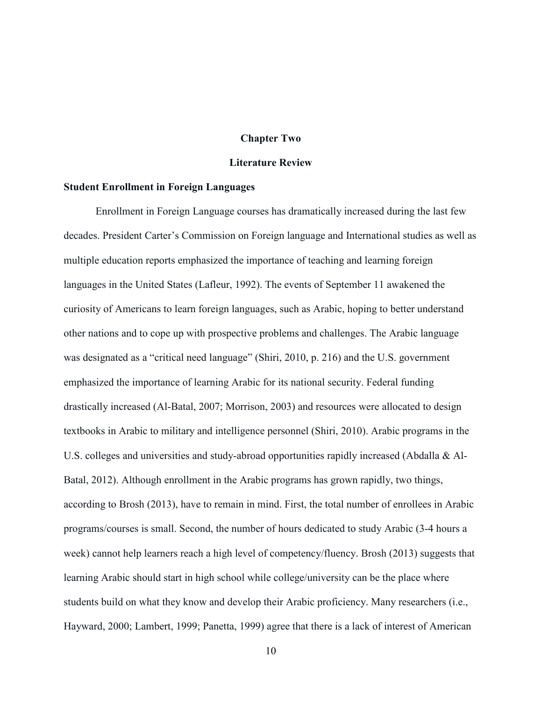#### **Chapter Two**

#### **Literature Review**

#### **Student Enrollment in Foreign Languages**

Enrollment in Foreign Language courses has dramatically increased during the last few decades. President Carter's Commission on Foreign language and International studies as well as multiple education reports emphasized the importance of teaching and learning foreign languages in the United States (Lafleur, 1992). The events of September 11 awakened the curiosity of Americans to learn foreign languages, such as Arabic, hoping to better understand other nations and to cope up with prospective problems and challenges. The Arabic language was designated as a "critical need language" (Shiri, 2010, p. 216) and the U.S. government emphasized the importance of learning Arabic for its national security. Federal funding drastically increased (Al-Batal, 2007; Morrison, 2003) and resources were allocated to design textbooks in Arabic to military and intelligence personnel (Shiri, 2010). Arabic programs in the U.S. colleges and universities and study-abroad opportunities rapidly increased (Abdalla & Al-Batal, 2012). Although enrollment in the Arabic programs has grown rapidly, two things, according to Brosh (2013), have to remain in mind. First, the total number of enrollees in Arabic programs/courses is small. Second, the number of hours dedicated to study Arabic (3-4 hours a week) cannot help learners reach a high level of competency/fluency. Brosh (2013) suggests that learning Arabic should start in high school while college/university can be the place where students build on what they know and develop their Arabic proficiency. Many researchers (i.e., Hayward, 2000; Lambert, 1999; Panetta, 1999) agree that there is a lack of interest of American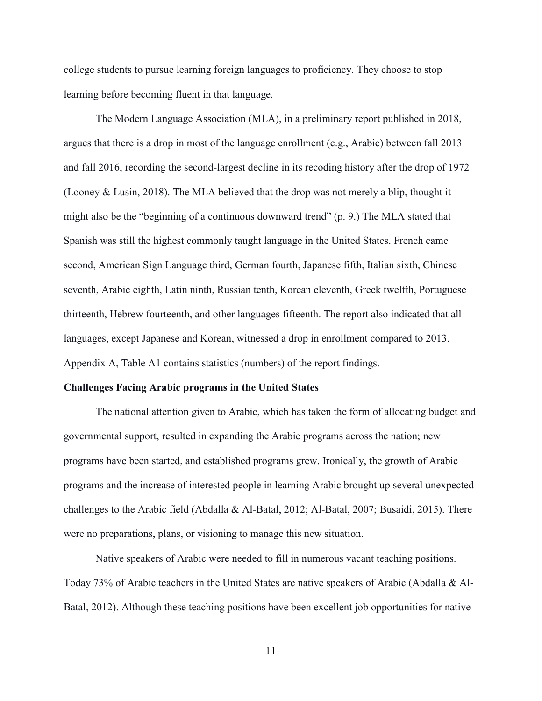college students to pursue learning foreign languages to proficiency. They choose to stop learning before becoming fluent in that language.

The Modern Language Association (MLA), in a preliminary report published in 2018, argues that there is a drop in most of the language enrollment (e.g., Arabic) between fall 2013 and fall 2016, recording the second-largest decline in its recoding history after the drop of 1972 (Looney & Lusin, 2018). The MLA believed that the drop was not merely a blip, thought it might also be the "beginning of a continuous downward trend" (p. 9.) The MLA stated that Spanish was still the highest commonly taught language in the United States. French came second, American Sign Language third, German fourth, Japanese fifth, Italian sixth, Chinese seventh, Arabic eighth, Latin ninth, Russian tenth, Korean eleventh, Greek twelfth, Portuguese thirteenth, Hebrew fourteenth, and other languages fifteenth. The report also indicated that all languages, except Japanese and Korean, witnessed a drop in enrollment compared to 2013. Appendix A, Table A1 contains statistics (numbers) of the report findings.

#### **Challenges Facing Arabic programs in the United States**

The national attention given to Arabic, which has taken the form of allocating budget and governmental support, resulted in expanding the Arabic programs across the nation; new programs have been started, and established programs grew. Ironically, the growth of Arabic programs and the increase of interested people in learning Arabic brought up several unexpected challenges to the Arabic field (Abdalla & Al-Batal, 2012; Al-Batal, 2007; Busaidi, 2015). There were no preparations, plans, or visioning to manage this new situation.

Native speakers of Arabic were needed to fill in numerous vacant teaching positions. Today 73% of Arabic teachers in the United States are native speakers of Arabic (Abdalla & Al-Batal, 2012). Although these teaching positions have been excellent job opportunities for native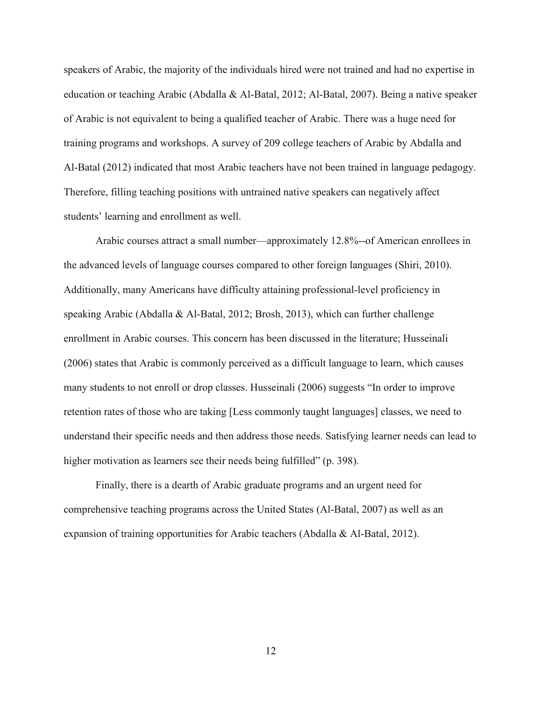speakers of Arabic, the majority of the individuals hired were not trained and had no expertise in education or teaching Arabic (Abdalla & Al-Batal, 2012; Al-Batal, 2007). Being a native speaker of Arabic is not equivalent to being a qualified teacher of Arabic. There was a huge need for training programs and workshops. A survey of 209 college teachers of Arabic by Abdalla and Al-Batal (2012) indicated that most Arabic teachers have not been trained in language pedagogy. Therefore, filling teaching positions with untrained native speakers can negatively affect students' learning and enrollment as well.

Arabic courses attract a small number—approximately 12.8%--of American enrollees in the advanced levels of language courses compared to other foreign languages (Shiri, 2010). Additionally, many Americans have difficulty attaining professional-level proficiency in speaking Arabic (Abdalla & Al-Batal, 2012; Brosh, 2013), which can further challenge enrollment in Arabic courses. This concern has been discussed in the literature; Husseinali (2006) states that Arabic is commonly perceived as a difficult language to learn, which causes many students to not enroll or drop classes. Husseinali (2006) suggests "In order to improve retention rates of those who are taking [Less commonly taught languages] classes, we need to understand their specific needs and then address those needs. Satisfying learner needs can lead to higher motivation as learners see their needs being fulfilled" (p. 398).

Finally, there is a dearth of Arabic graduate programs and an urgent need for comprehensive teaching programs across the United States (Al-Batal, 2007) as well as an expansion of training opportunities for Arabic teachers (Abdalla & Al-Batal, 2012).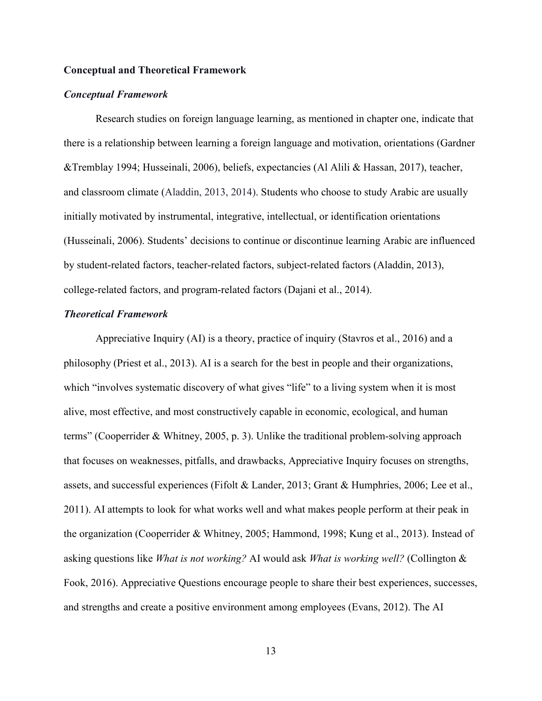#### **Conceptual and Theoretical Framework**

#### *Conceptual Framework*

Research studies on foreign language learning, as mentioned in chapter one, indicate that there is a relationship between learning a foreign language and motivation, orientations (Gardner &Tremblay 1994; Husseinali, 2006), beliefs, expectancies (Al Alili & Hassan, 2017), teacher, and classroom climate (Aladdin, 2013, 2014). Students who choose to study Arabic are usually initially motivated by instrumental, integrative, intellectual, or identification orientations (Husseinali, 2006). Students' decisions to continue or discontinue learning Arabic are influenced by student-related factors, teacher-related factors, subject-related factors (Aladdin, 2013), college-related factors, and program-related factors (Dajani et al., 2014).

#### *Theoretical Framework*

Appreciative Inquiry (AI) is a theory, practice of inquiry (Stavros et al., 2016) and a philosophy (Priest et al., 2013). AI is a search for the best in people and their organizations, which "involves systematic discovery of what gives "life" to a living system when it is most alive, most effective, and most constructively capable in economic, ecological, and human terms" (Cooperrider & Whitney, 2005, p. 3). Unlike the traditional problem-solving approach that focuses on weaknesses, pitfalls, and drawbacks, Appreciative Inquiry focuses on strengths, assets, and successful experiences (Fifolt & Lander, 2013; Grant & Humphries, 2006; Lee et al., 2011). AI attempts to look for what works well and what makes people perform at their peak in the organization (Cooperrider & Whitney, 2005; Hammond, 1998; Kung et al., 2013). Instead of asking questions like *What is not working?* AI would ask *What is working well?* (Collington & Fook, 2016). Appreciative Questions encourage people to share their best experiences, successes, and strengths and create a positive environment among employees (Evans, 2012). The AI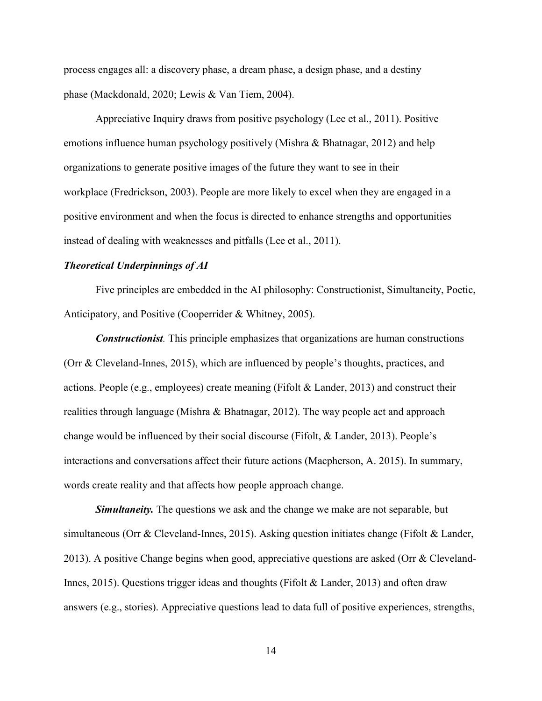process engages all: a discovery phase, a dream phase, a design phase, and a destiny phase (Mackdonald, 2020; Lewis & Van Tiem, 2004).

Appreciative Inquiry draws from positive psychology (Lee et al., 2011). Positive emotions influence human psychology positively (Mishra & Bhatnagar, 2012) and help organizations to generate positive images of the future they want to see in their workplace (Fredrickson, 2003). People are more likely to excel when they are engaged in a positive environment and when the focus is directed to enhance strengths and opportunities instead of dealing with weaknesses and pitfalls (Lee et al., 2011).

#### *Theoretical Underpinnings of AI*

Five principles are embedded in the AI philosophy: Constructionist, Simultaneity, Poetic, Anticipatory, and Positive (Cooperrider & Whitney, 2005).

*Constructionist.* This principle emphasizes that organizations are human constructions (Orr & Cleveland-Innes, 2015), which are influenced by people's thoughts, practices, and actions. People (e.g., employees) create meaning (Fifolt & Lander, 2013) and construct their realities through language (Mishra & Bhatnagar, 2012). The way people act and approach change would be influenced by their social discourse (Fifolt, & Lander, 2013). People's interactions and conversations affect their future actions (Macpherson, A. 2015). In summary, words create reality and that affects how people approach change.

*Simultaneity.* The questions we ask and the change we make are not separable, but simultaneous (Orr & Cleveland-Innes, 2015). Asking question initiates change (Fifolt & Lander, 2013). A positive Change begins when good, appreciative questions are asked (Orr & Cleveland-Innes, 2015). Questions trigger ideas and thoughts (Fifolt & Lander, 2013) and often draw answers (e.g., stories). Appreciative questions lead to data full of positive experiences, strengths,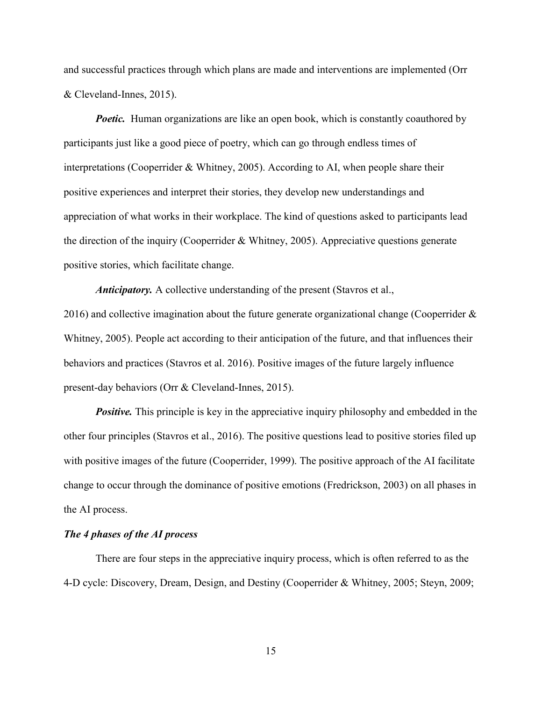and successful practices through which plans are made and interventions are implemented (Orr & Cleveland-Innes, 2015).

*Poetic.* Human organizations are like an open book, which is constantly coauthored by participants just like a good piece of poetry, which can go through endless times of interpretations (Cooperrider & Whitney, 2005). According to AI, when people share their positive experiences and interpret their stories, they develop new understandings and appreciation of what works in their workplace. The kind of questions asked to participants lead the direction of the inquiry (Cooperrider & Whitney, 2005). Appreciative questions generate positive stories, which facilitate change.

*Anticipatory.* A collective understanding of the present (Stavros et al., 2016) and collective imagination about the future generate organizational change (Cooperrider  $\&$ Whitney, 2005). People act according to their anticipation of the future, and that influences their behaviors and practices (Stavros et al. 2016). Positive images of the future largely influence present-day behaviors (Orr & Cleveland-Innes, 2015).

*Positive.* This principle is key in the appreciative inquiry philosophy and embedded in the other four principles (Stavros et al., 2016). The positive questions lead to positive stories filed up with positive images of the future (Cooperrider, 1999). The positive approach of the AI facilitate change to occur through the dominance of positive emotions (Fredrickson, 2003) on all phases in the AI process.

#### *The 4 phases of the AI process*

There are four steps in the appreciative inquiry process, which is often referred to as the 4-D cycle: Discovery, Dream, Design, and Destiny (Cooperrider & Whitney, 2005; Steyn, 2009;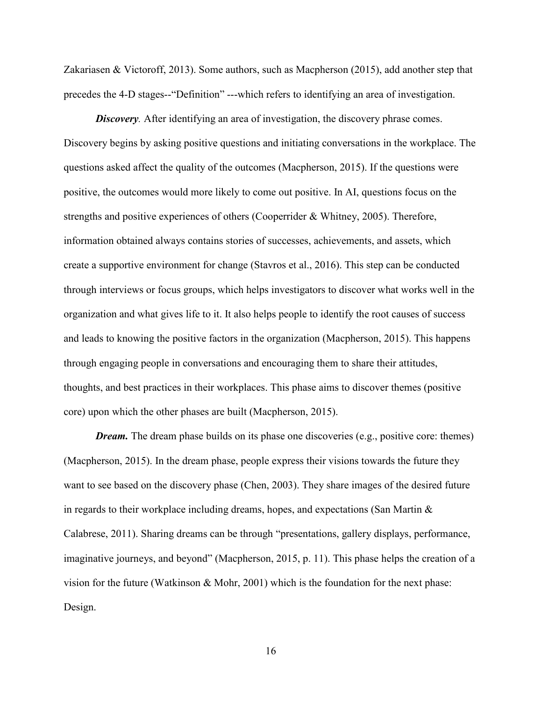Zakariasen & Victoroff, 2013). Some authors, such as Macpherson (2015), add another step that precedes the 4-D stages--"Definition" ---which refers to identifying an area of investigation.

*Discovery.* After identifying an area of investigation, the discovery phrase comes. Discovery begins by asking positive questions and initiating conversations in the workplace. The questions asked affect the quality of the outcomes (Macpherson, 2015). If the questions were positive, the outcomes would more likely to come out positive. In AI, questions focus on the strengths and positive experiences of others (Cooperrider & Whitney, 2005). Therefore, information obtained always contains stories of successes, achievements, and assets, which create a supportive environment for change (Stavros et al., 2016). This step can be conducted through interviews or focus groups, which helps investigators to discover what works well in the organization and what gives life to it. It also helps people to identify the root causes of success and leads to knowing the positive factors in the organization (Macpherson, 2015). This happens through engaging people in conversations and encouraging them to share their attitudes, thoughts, and best practices in their workplaces. This phase aims to discover themes (positive core) upon which the other phases are built (Macpherson, 2015).

*Dream.* The dream phase builds on its phase one discoveries (e.g., positive core: themes) (Macpherson, 2015). In the dream phase, people express their visions towards the future they want to see based on the discovery phase (Chen, 2003). They share images of the desired future in regards to their workplace including dreams, hopes, and expectations (San Martin  $\&$ Calabrese, 2011). Sharing dreams can be through "presentations, gallery displays, performance, imaginative journeys, and beyond" (Macpherson, 2015, p. 11). This phase helps the creation of a vision for the future (Watkinson  $& Mohr, 2001$ ) which is the foundation for the next phase: Design.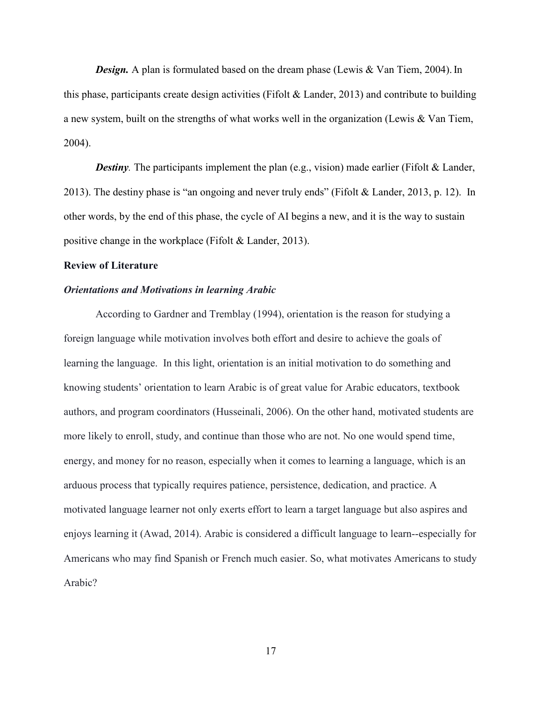*Design.* A plan is formulated based on the dream phase (Lewis & Van Tiem, 2004). In this phase, participants create design activities (Fifolt  $\&$  Lander, 2013) and contribute to building a new system, built on the strengths of what works well in the organization (Lewis & Van Tiem, 2004).

*Destiny*. The participants implement the plan (e.g., vision) made earlier (Fifolt & Lander, 2013). The destiny phase is "an ongoing and never truly ends" (Fifolt & Lander, 2013, p. 12). In other words, by the end of this phase, the cycle of AI begins a new, and it is the way to sustain positive change in the workplace (Fifolt & Lander, 2013).

#### **Review of Literature**

#### *Orientations and Motivations in learning Arabic*

According to Gardner and Tremblay (1994), orientation is the reason for studying a foreign language while motivation involves both effort and desire to achieve the goals of learning the language. In this light, orientation is an initial motivation to do something and knowing students' orientation to learn Arabic is of great value for Arabic educators, textbook authors, and program coordinators (Husseinali, 2006). On the other hand, motivated students are more likely to enroll, study, and continue than those who are not. No one would spend time, energy, and money for no reason, especially when it comes to learning a language, which is an arduous process that typically requires patience, persistence, dedication, and practice. A motivated language learner not only exerts effort to learn a target language but also aspires and enjoys learning it (Awad, 2014). Arabic is considered a difficult language to learn--especially for Americans who may find Spanish or French much easier. So, what motivates Americans to study Arabic?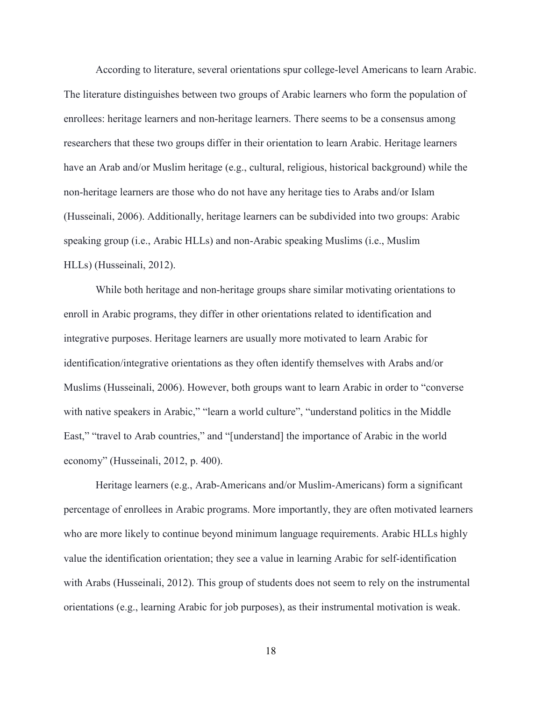According to literature, several orientations spur college-level Americans to learn Arabic. The literature distinguishes between two groups of Arabic learners who form the population of enrollees: heritage learners and non-heritage learners. There seems to be a consensus among researchers that these two groups differ in their orientation to learn Arabic. Heritage learners have an Arab and/or Muslim heritage (e.g., cultural, religious, historical background) while the non-heritage learners are those who do not have any heritage ties to Arabs and/or Islam (Husseinali, 2006). Additionally, heritage learners can be subdivided into two groups: Arabic speaking group (i.e., Arabic HLLs) and non-Arabic speaking Muslims (i.e., Muslim HLLs) (Husseinali, 2012).

While both heritage and non-heritage groups share similar motivating orientations to enroll in Arabic programs, they differ in other orientations related to identification and integrative purposes. Heritage learners are usually more motivated to learn Arabic for identification/integrative orientations as they often identify themselves with Arabs and/or Muslims (Husseinali, 2006). However, both groups want to learn Arabic in order to "converse with native speakers in Arabic," "learn a world culture", "understand politics in the Middle East," "travel to Arab countries," and "[understand] the importance of Arabic in the world economy" (Husseinali, 2012, p. 400).

Heritage learners (e.g., Arab-Americans and/or Muslim-Americans) form a significant percentage of enrollees in Arabic programs. More importantly, they are often motivated learners who are more likely to continue beyond minimum language requirements. Arabic HLLs highly value the identification orientation; they see a value in learning Arabic for self-identification with Arabs (Husseinali, 2012). This group of students does not seem to rely on the instrumental orientations (e.g., learning Arabic for job purposes), as their instrumental motivation is weak.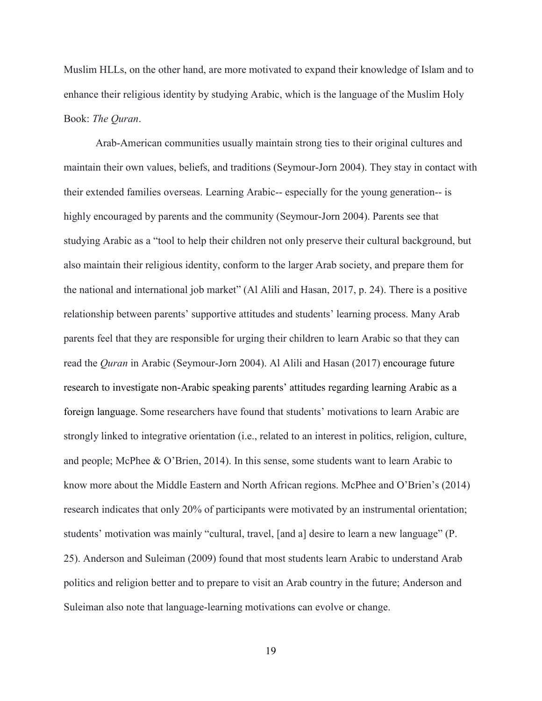Muslim HLLs, on the other hand, are more motivated to expand their knowledge of Islam and to enhance their religious identity by studying Arabic, which is the language of the Muslim Holy Book: *The Quran*.

Arab-American communities usually maintain strong ties to their original cultures and maintain their own values, beliefs, and traditions (Seymour-Jorn 2004). They stay in contact with their extended families overseas. Learning Arabic-- especially for the young generation-- is highly encouraged by parents and the community (Seymour-Jorn 2004). Parents see that studying Arabic as a "tool to help their children not only preserve their cultural background, but also maintain their religious identity, conform to the larger Arab society, and prepare them for the national and international job market" (Al Alili and Hasan, 2017, p. 24). There is a positive relationship between parents' supportive attitudes and students' learning process. Many Arab parents feel that they are responsible for urging their children to learn Arabic so that they can read the *Quran* in Arabic (Seymour-Jorn 2004). Al Alili and Hasan (2017) encourage future research to investigate non-Arabic speaking parents' attitudes regarding learning Arabic as a foreign language. Some researchers have found that students' motivations to learn Arabic are strongly linked to integrative orientation (i.e., related to an interest in politics, religion, culture, and people; McPhee & O'Brien, 2014). In this sense, some students want to learn Arabic to know more about the Middle Eastern and North African regions. McPhee and O'Brien's (2014) research indicates that only 20% of participants were motivated by an instrumental orientation; students' motivation was mainly "cultural, travel, [and a] desire to learn a new language" (P. 25). Anderson and Suleiman (2009) found that most students learn Arabic to understand Arab politics and religion better and to prepare to visit an Arab country in the future; Anderson and Suleiman also note that language-learning motivations can evolve or change.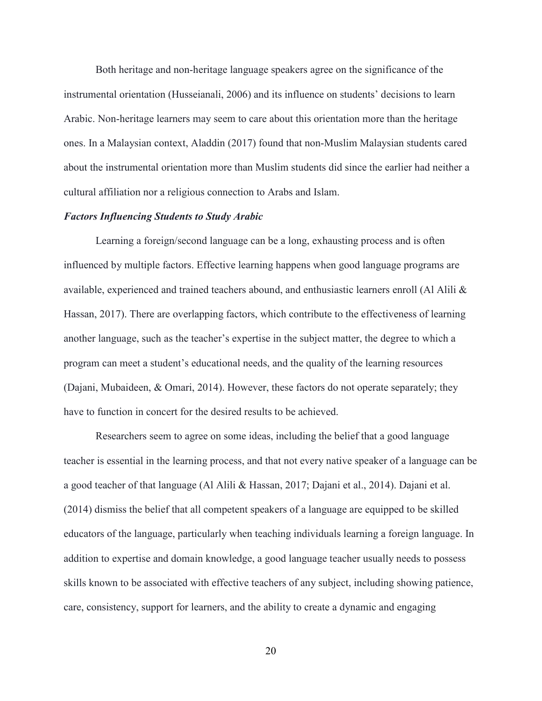Both heritage and non-heritage language speakers agree on the significance of the instrumental orientation (Husseianali, 2006) and its influence on students' decisions to learn Arabic. Non-heritage learners may seem to care about this orientation more than the heritage ones. In a Malaysian context, Aladdin (2017) found that non-Muslim Malaysian students cared about the instrumental orientation more than Muslim students did since the earlier had neither a cultural affiliation nor a religious connection to Arabs and Islam.

#### *Factors Influencing Students to Study Arabic*

Learning a foreign/second language can be a long, exhausting process and is often influenced by multiple factors. Effective learning happens when good language programs are available, experienced and trained teachers abound, and enthusiastic learners enroll (Al Alili & Hassan, 2017). There are overlapping factors, which contribute to the effectiveness of learning another language, such as the teacher's expertise in the subject matter, the degree to which a program can meet a student's educational needs, and the quality of the learning resources (Dajani, Mubaideen, & Omari, 2014). However, these factors do not operate separately; they have to function in concert for the desired results to be achieved.

Researchers seem to agree on some ideas, including the belief that a good language teacher is essential in the learning process, and that not every native speaker of a language can be a good teacher of that language (Al Alili & Hassan, 2017; Dajani et al., 2014). Dajani et al. (2014) dismiss the belief that all competent speakers of a language are equipped to be skilled educators of the language, particularly when teaching individuals learning a foreign language. In addition to expertise and domain knowledge, a good language teacher usually needs to possess skills known to be associated with effective teachers of any subject, including showing patience, care, consistency, support for learners, and the ability to create a dynamic and engaging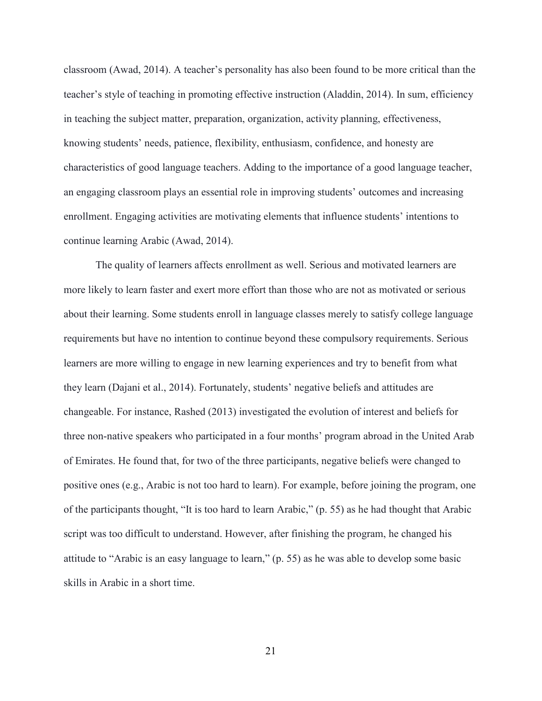classroom (Awad, 2014). A teacher's personality has also been found to be more critical than the teacher's style of teaching in promoting effective instruction (Aladdin, 2014). In sum, efficiency in teaching the subject matter, preparation, organization, activity planning, effectiveness, knowing students' needs, patience, flexibility, enthusiasm, confidence, and honesty are characteristics of good language teachers. Adding to the importance of a good language teacher, an engaging classroom plays an essential role in improving students' outcomes and increasing enrollment. Engaging activities are motivating elements that influence students' intentions to continue learning Arabic (Awad, 2014).

The quality of learners affects enrollment as well. Serious and motivated learners are more likely to learn faster and exert more effort than those who are not as motivated or serious about their learning. Some students enroll in language classes merely to satisfy college language requirements but have no intention to continue beyond these compulsory requirements. Serious learners are more willing to engage in new learning experiences and try to benefit from what they learn (Dajani et al., 2014). Fortunately, students' negative beliefs and attitudes are changeable. For instance, Rashed (2013) investigated the evolution of interest and beliefs for three non-native speakers who participated in a four months' program abroad in the United Arab of Emirates. He found that, for two of the three participants, negative beliefs were changed to positive ones (e.g., Arabic is not too hard to learn). For example, before joining the program, one of the participants thought, "It is too hard to learn Arabic," (p. 55) as he had thought that Arabic script was too difficult to understand. However, after finishing the program, he changed his attitude to "Arabic is an easy language to learn," (p. 55) as he was able to develop some basic skills in Arabic in a short time.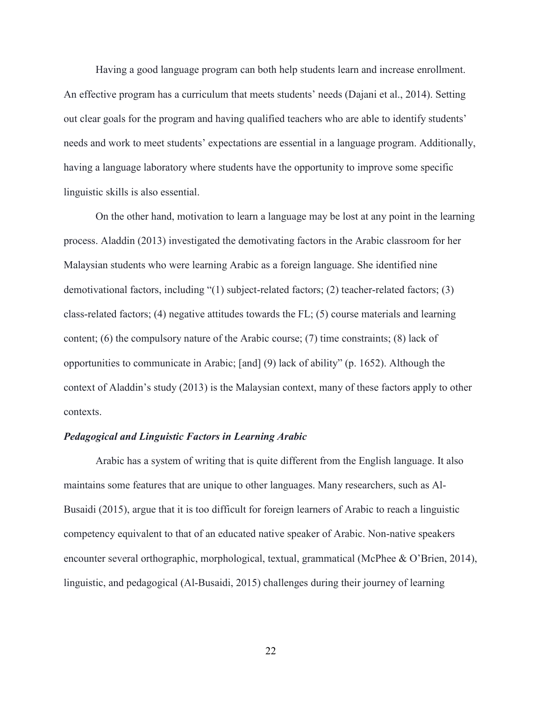Having a good language program can both help students learn and increase enrollment. An effective program has a curriculum that meets students' needs (Dajani et al., 2014). Setting out clear goals for the program and having qualified teachers who are able to identify students' needs and work to meet students' expectations are essential in a language program. Additionally, having a language laboratory where students have the opportunity to improve some specific linguistic skills is also essential.

On the other hand, motivation to learn a language may be lost at any point in the learning process. Aladdin (2013) investigated the demotivating factors in the Arabic classroom for her Malaysian students who were learning Arabic as a foreign language. She identified nine demotivational factors, including "(1) subject-related factors; (2) teacher-related factors; (3) class-related factors; (4) negative attitudes towards the FL; (5) course materials and learning content; (6) the compulsory nature of the Arabic course; (7) time constraints; (8) lack of opportunities to communicate in Arabic; [and] (9) lack of ability" (p. 1652). Although the context of Aladdin's study (2013) is the Malaysian context, many of these factors apply to other contexts.

#### *Pedagogical and Linguistic Factors in Learning Arabic*

Arabic has a system of writing that is quite different from the English language. It also maintains some features that are unique to other languages. Many researchers, such as Al-Busaidi (2015), argue that it is too difficult for foreign learners of Arabic to reach a linguistic competency equivalent to that of an educated native speaker of Arabic. Non-native speakers encounter several orthographic, morphological, textual, grammatical (McPhee & O'Brien, 2014), linguistic, and pedagogical (Al-Busaidi, 2015) challenges during their journey of learning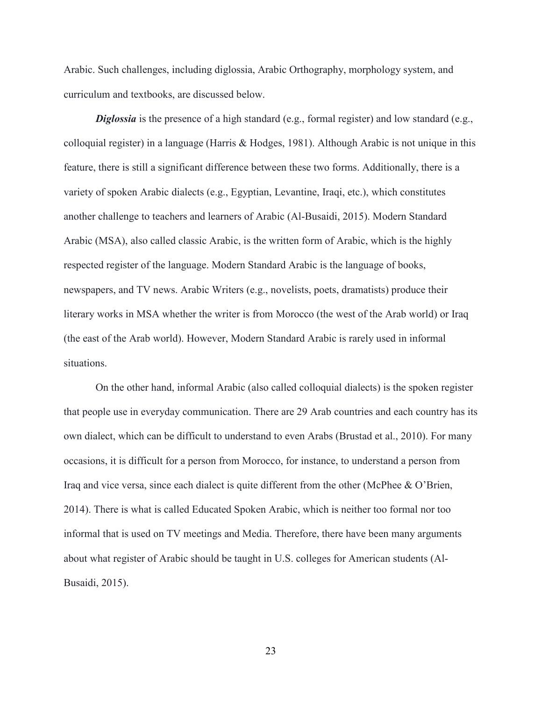Arabic. Such challenges, including diglossia, Arabic Orthography, morphology system, and curriculum and textbooks, are discussed below.

*Diglossia* is the presence of a high standard (e.g., formal register) and low standard (e.g., colloquial register) in a language (Harris & Hodges, 1981). Although Arabic is not unique in this feature, there is still a significant difference between these two forms. Additionally, there is a variety of spoken Arabic dialects (e.g., Egyptian, Levantine, Iraqi, etc.), which constitutes another challenge to teachers and learners of Arabic (Al-Busaidi, 2015). Modern Standard Arabic (MSA), also called classic Arabic, is the written form of Arabic, which is the highly respected register of the language. Modern Standard Arabic is the language of books, newspapers, and TV news. Arabic Writers (e.g., novelists, poets, dramatists) produce their literary works in MSA whether the writer is from Morocco (the west of the Arab world) or Iraq (the east of the Arab world). However, Modern Standard Arabic is rarely used in informal situations.

On the other hand, informal Arabic (also called colloquial dialects) is the spoken register that people use in everyday communication. There are 29 Arab countries and each country has its own dialect, which can be difficult to understand to even Arabs (Brustad et al., 2010). For many occasions, it is difficult for a person from Morocco, for instance, to understand a person from Iraq and vice versa, since each dialect is quite different from the other (McPhee & O'Brien, 2014). There is what is called Educated Spoken Arabic, which is neither too formal nor too informal that is used on TV meetings and Media. Therefore, there have been many arguments about what register of Arabic should be taught in U.S. colleges for American students (Al-Busaidi, 2015).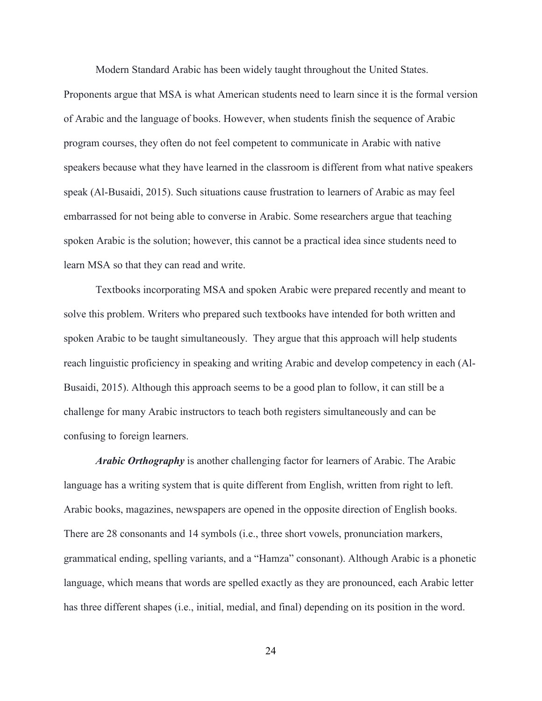Modern Standard Arabic has been widely taught throughout the United States.

Proponents argue that MSA is what American students need to learn since it is the formal version of Arabic and the language of books. However, when students finish the sequence of Arabic program courses, they often do not feel competent to communicate in Arabic with native speakers because what they have learned in the classroom is different from what native speakers speak (Al-Busaidi, 2015). Such situations cause frustration to learners of Arabic as may feel embarrassed for not being able to converse in Arabic. Some researchers argue that teaching spoken Arabic is the solution; however, this cannot be a practical idea since students need to learn MSA so that they can read and write.

Textbooks incorporating MSA and spoken Arabic were prepared recently and meant to solve this problem. Writers who prepared such textbooks have intended for both written and spoken Arabic to be taught simultaneously. They argue that this approach will help students reach linguistic proficiency in speaking and writing Arabic and develop competency in each (Al-Busaidi, 2015). Although this approach seems to be a good plan to follow, it can still be a challenge for many Arabic instructors to teach both registers simultaneously and can be confusing to foreign learners.

*Arabic Orthography* is another challenging factor for learners of Arabic. The Arabic language has a writing system that is quite different from English, written from right to left. Arabic books, magazines, newspapers are opened in the opposite direction of English books. There are 28 consonants and 14 symbols (i.e., three short vowels, pronunciation markers, grammatical ending, spelling variants, and a "Hamza" consonant). Although Arabic is a phonetic language, which means that words are spelled exactly as they are pronounced, each Arabic letter has three different shapes (i.e., initial, medial, and final) depending on its position in the word.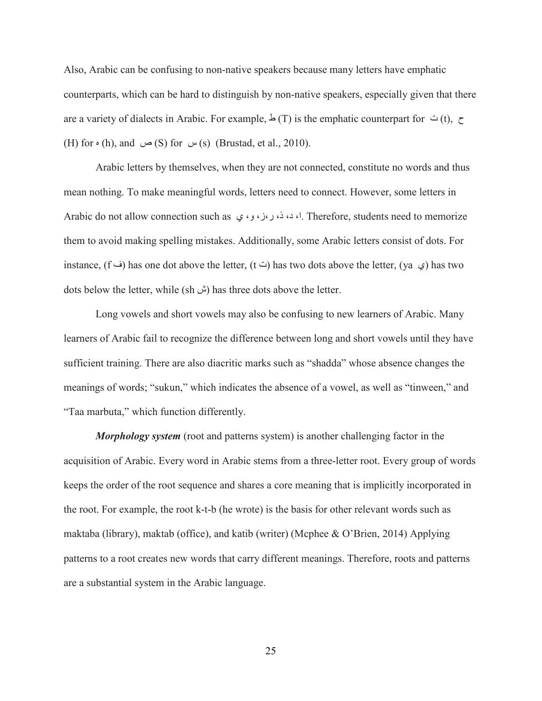Also, Arabic can be confusing to non-native speakers because many letters have emphatic counterparts, which can be hard to distinguish by non-native speakers, especially given that there are a variety of dialects in Arabic. For example,  $\perp$  (T) is the emphatic counterpart for  $\cong$  (t),  $\sim$ (H) for  $\circ$  (h), and  $\circ$  (S) for  $\circ$  (s) (Brustad, et al., 2010).

Arabic letters by themselves, when they are not connected, constitute no words and thus mean nothing. To make meaningful words, letters need to connect. However, some letters in Arabic do not allow connection such as ي ،و ،ز،ر ،ذ ،د ،ا. Therefore, students need to memorize them to avoid making spelling mistakes. Additionally, some Arabic letters consist of dots. For instance, (f  $\leftrightarrow$  has one dot above the letter, (t  $\leftrightarrow$ ) has two dots above the letter, (ya  $\leftrightarrow$ ) has two dots below the letter, while ( $\pm \omega$ ) has three dots above the letter.

Long vowels and short vowels may also be confusing to new learners of Arabic. Many learners of Arabic fail to recognize the difference between long and short vowels until they have sufficient training. There are also diacritic marks such as "shadda" whose absence changes the meanings of words; "sukun," which indicates the absence of a vowel, as well as "tinween," and "Taa marbuta," which function differently.

*Morphology system* (root and patterns system) is another challenging factor in the acquisition of Arabic. Every word in Arabic stems from a three-letter root. Every group of words keeps the order of the root sequence and shares a core meaning that is implicitly incorporated in the root. For example, the root k-t-b (he wrote) is the basis for other relevant words such as maktaba (library), maktab (office), and katib (writer) (Mcphee & O'Brien, 2014) Applying patterns to a root creates new words that carry different meanings. Therefore, roots and patterns are a substantial system in the Arabic language.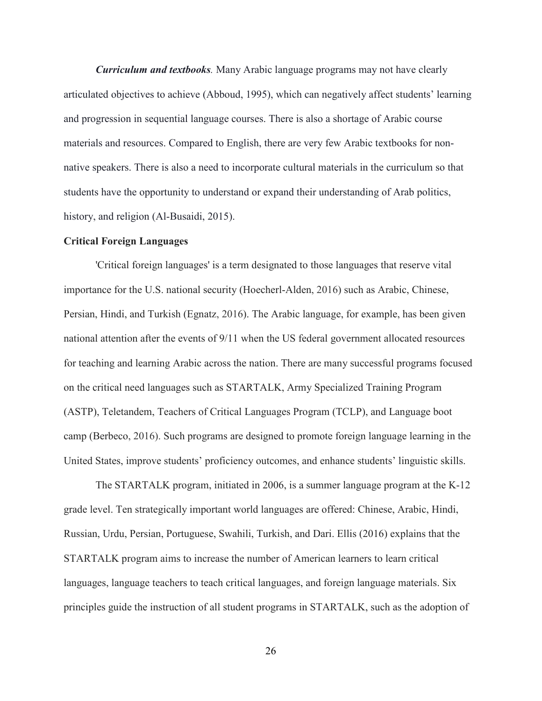*Curriculum and textbooks.* Many Arabic language programs may not have clearly articulated objectives to achieve (Abboud, 1995), which can negatively affect students' learning and progression in sequential language courses. There is also a shortage of Arabic course materials and resources. Compared to English, there are very few Arabic textbooks for nonnative speakers. There is also a need to incorporate cultural materials in the curriculum so that students have the opportunity to understand or expand their understanding of Arab politics, history, and religion (Al-Busaidi, 2015).

#### **Critical Foreign Languages**

'Critical foreign languages' is a term designated to those languages that reserve vital importance for the U.S. national security (Hoecherl-Alden, 2016) such as Arabic, Chinese, Persian, Hindi, and Turkish (Egnatz, 2016). The Arabic language, for example, has been given national attention after the events of 9/11 when the US federal government allocated resources for teaching and learning Arabic across the nation. There are many successful programs focused on the critical need languages such as STARTALK, Army Specialized Training Program (ASTP), Teletandem, Teachers of Critical Languages Program (TCLP), and Language boot camp (Berbeco, 2016). Such programs are designed to promote foreign language learning in the United States, improve students' proficiency outcomes, and enhance students' linguistic skills.

The STARTALK program, initiated in 2006, is a summer language program at the K-12 grade level. Ten strategically important world languages are offered: Chinese, Arabic, Hindi, Russian, Urdu, Persian, Portuguese, Swahili, Turkish, and Dari. Ellis (2016) explains that the STARTALK program aims to increase the number of American learners to learn critical languages, language teachers to teach critical languages, and foreign language materials. Six principles guide the instruction of all student programs in STARTALK, such as the adoption of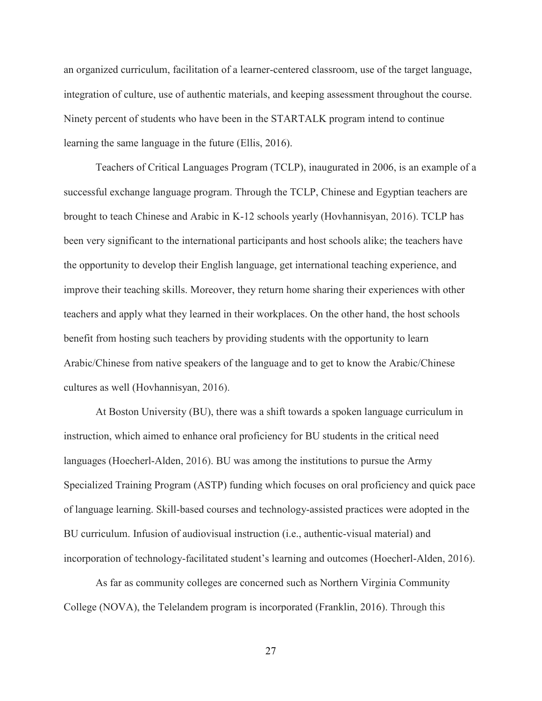an organized curriculum, facilitation of a learner-centered classroom, use of the target language, integration of culture, use of authentic materials, and keeping assessment throughout the course. Ninety percent of students who have been in the STARTALK program intend to continue learning the same language in the future (Ellis, 2016).

Teachers of Critical Languages Program (TCLP), inaugurated in 2006, is an example of a successful exchange language program. Through the TCLP, Chinese and Egyptian teachers are brought to teach Chinese and Arabic in K-12 schools yearly (Hovhannisyan, 2016). TCLP has been very significant to the international participants and host schools alike; the teachers have the opportunity to develop their English language, get international teaching experience, and improve their teaching skills. Moreover, they return home sharing their experiences with other teachers and apply what they learned in their workplaces. On the other hand, the host schools benefit from hosting such teachers by providing students with the opportunity to learn Arabic/Chinese from native speakers of the language and to get to know the Arabic/Chinese cultures as well (Hovhannisyan, 2016).

At Boston University (BU), there was a shift towards a spoken language curriculum in instruction, which aimed to enhance oral proficiency for BU students in the critical need languages (Hoecherl-Alden, 2016). BU was among the institutions to pursue the Army Specialized Training Program (ASTP) funding which focuses on oral proficiency and quick pace of language learning. Skill-based courses and technology-assisted practices were adopted in the BU curriculum. Infusion of audiovisual instruction (i.e., authentic-visual material) and incorporation of technology-facilitated student's learning and outcomes (Hoecherl-Alden, 2016).

As far as community colleges are concerned such as Northern Virginia Community College (NOVA), the Telelandem program is incorporated (Franklin, 2016). Through this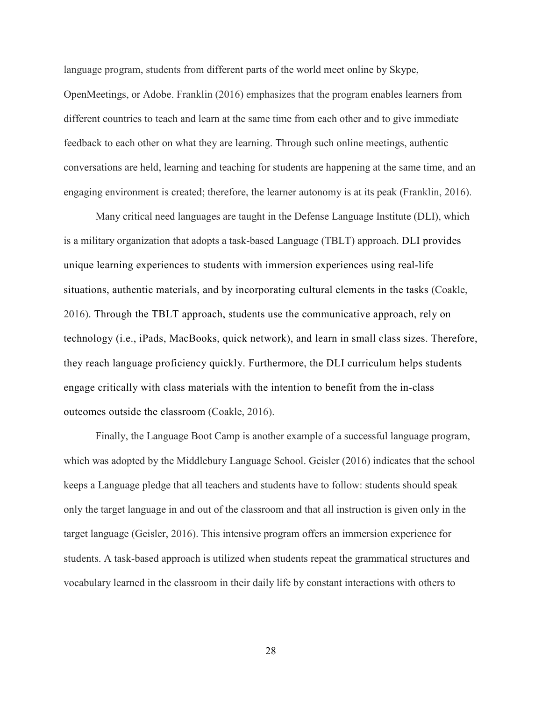language program, students from different parts of the world meet online by Skype, OpenMeetings, or Adobe. Franklin (2016) emphasizes that the program enables learners from different countries to teach and learn at the same time from each other and to give immediate feedback to each other on what they are learning. Through such online meetings, authentic conversations are held, learning and teaching for students are happening at the same time, and an engaging environment is created; therefore, the learner autonomy is at its peak (Franklin, 2016).

Many critical need languages are taught in the Defense Language Institute (DLI), which is a military organization that adopts a task-based Language (TBLT) approach. DLI provides unique learning experiences to students with immersion experiences using real-life situations, authentic materials, and by incorporating cultural elements in the tasks (Coakle, 2016). Through the TBLT approach, students use the communicative approach, rely on technology (i.e., iPads, MacBooks, quick network), and learn in small class sizes. Therefore, they reach language proficiency quickly. Furthermore, the DLI curriculum helps students engage critically with class materials with the intention to benefit from the in-class outcomes outside the classroom (Coakle, 2016).

Finally, the Language Boot Camp is another example of a successful language program, which was adopted by the Middlebury Language School. Geisler (2016) indicates that the school keeps a Language pledge that all teachers and students have to follow: students should speak only the target language in and out of the classroom and that all instruction is given only in the target language (Geisler, 2016). This intensive program offers an immersion experience for students. A task-based approach is utilized when students repeat the grammatical structures and vocabulary learned in the classroom in their daily life by constant interactions with others to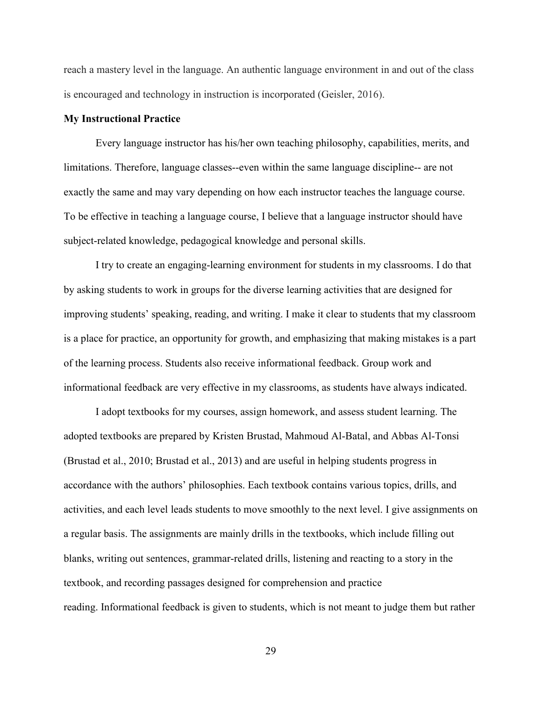reach a mastery level in the language. An authentic language environment in and out of the class is encouraged and technology in instruction is incorporated (Geisler, 2016).

#### **My Instructional Practice**

Every language instructor has his/her own teaching philosophy, capabilities, merits, and limitations. Therefore, language classes--even within the same language discipline-- are not exactly the same and may vary depending on how each instructor teaches the language course. To be effective in teaching a language course, I believe that a language instructor should have subject-related knowledge, pedagogical knowledge and personal skills.

I try to create an engaging-learning environment for students in my classrooms. I do that by asking students to work in groups for the diverse learning activities that are designed for improving students' speaking, reading, and writing. I make it clear to students that my classroom is a place for practice, an opportunity for growth, and emphasizing that making mistakes is a part of the learning process. Students also receive informational feedback. Group work and informational feedback are very effective in my classrooms, as students have always indicated.

I adopt textbooks for my courses, assign homework, and assess student learning. The adopted textbooks are prepared by Kristen Brustad, Mahmoud Al-Batal, and Abbas Al-Tonsi (Brustad et al., 2010; Brustad et al., 2013) and are useful in helping students progress in accordance with the authors' philosophies. Each textbook contains various topics, drills, and activities, and each level leads students to move smoothly to the next level. I give assignments on a regular basis. The assignments are mainly drills in the textbooks, which include filling out blanks, writing out sentences, grammar-related drills, listening and reacting to a story in the textbook, and recording passages designed for comprehension and practice reading. Informational feedback is given to students, which is not meant to judge them but rather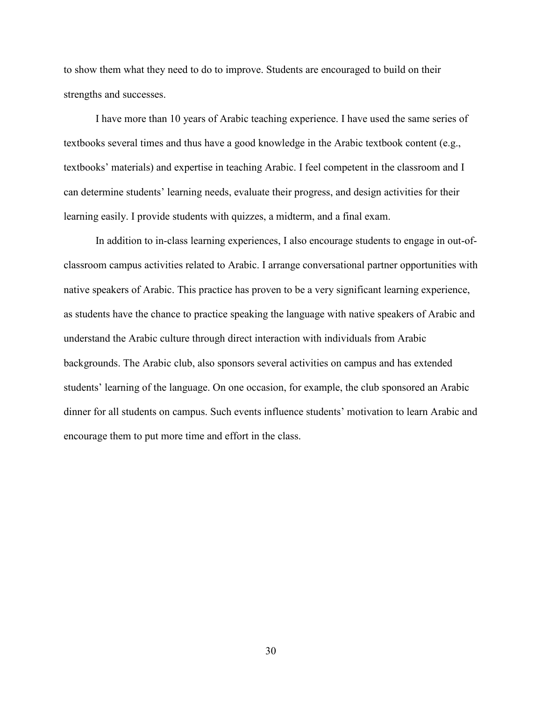to show them what they need to do to improve. Students are encouraged to build on their strengths and successes.

I have more than 10 years of Arabic teaching experience. I have used the same series of textbooks several times and thus have a good knowledge in the Arabic textbook content (e.g., textbooks' materials) and expertise in teaching Arabic. I feel competent in the classroom and I can determine students' learning needs, evaluate their progress, and design activities for their learning easily. I provide students with quizzes, a midterm, and a final exam.

In addition to in-class learning experiences, I also encourage students to engage in out-ofclassroom campus activities related to Arabic. I arrange conversational partner opportunities with native speakers of Arabic. This practice has proven to be a very significant learning experience, as students have the chance to practice speaking the language with native speakers of Arabic and understand the Arabic culture through direct interaction with individuals from Arabic backgrounds. The Arabic club, also sponsors several activities on campus and has extended students' learning of the language. On one occasion, for example, the club sponsored an Arabic dinner for all students on campus. Such events influence students' motivation to learn Arabic and encourage them to put more time and effort in the class.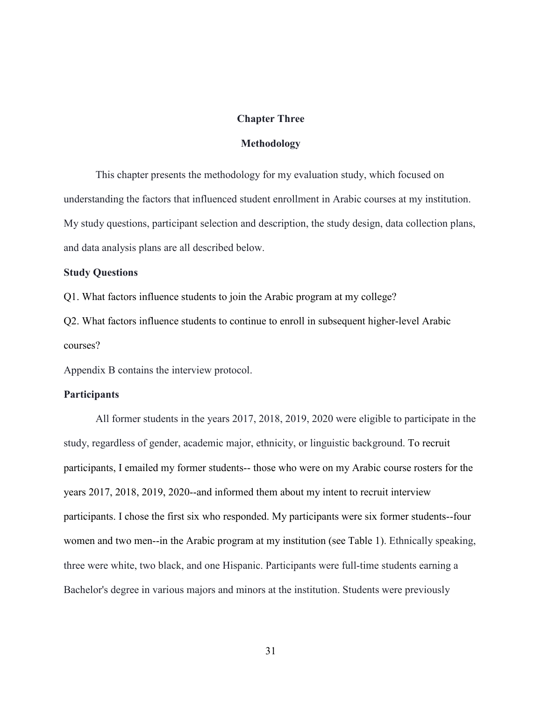#### **Chapter Three**

#### **Methodology**

This chapter presents the methodology for my evaluation study, which focused on understanding the factors that influenced student enrollment in Arabic courses at my institution. My study questions, participant selection and description, the study design, data collection plans, and data analysis plans are all described below.

### **Study Questions**

Q1. What factors influence students to join the Arabic program at my college?

Q2. What factors influence students to continue to enroll in subsequent higher-level Arabic courses?

Appendix B contains the interview protocol.

#### **Participants**

All former students in the years 2017, 2018, 2019, 2020 were eligible to participate in the study, regardless of gender, academic major, ethnicity, or linguistic background. To recruit participants, I emailed my former students-- those who were on my Arabic course rosters for the years 2017, 2018, 2019, 2020--and informed them about my intent to recruit interview participants. I chose the first six who responded. My participants were six former students--four women and two men--in the Arabic program at my institution (see Table 1). Ethnically speaking, three were white, two black, and one Hispanic. Participants were full-time students earning a Bachelor's degree in various majors and minors at the institution. Students were previously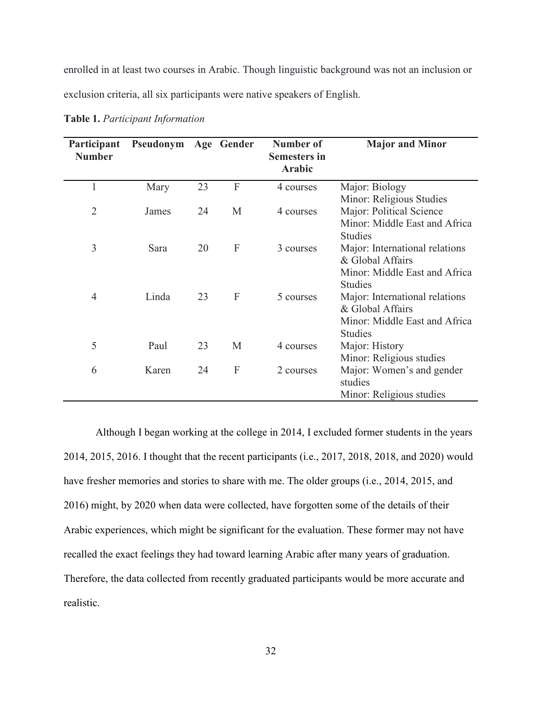enrolled in at least two courses in Arabic. Though linguistic background was not an inclusion or exclusion criteria, all six participants were native speakers of English.

| Participant<br><b>Number</b> | Pseudonym |    | Age Gender | Number of<br><b>Semesters in</b><br><b>Arabic</b> | <b>Major and Minor</b>                          |
|------------------------------|-----------|----|------------|---------------------------------------------------|-------------------------------------------------|
| 1                            | Mary      | 23 | F          | 4 courses                                         | Major: Biology                                  |
|                              |           |    |            |                                                   | Minor: Religious Studies                        |
| $\overline{2}$               | James     | 24 | M          | 4 courses                                         | Major: Political Science                        |
|                              |           |    |            |                                                   | Minor: Middle East and Africa<br><b>Studies</b> |
| 3                            | Sara      | 20 | F          | 3 courses                                         | Major: International relations                  |
|                              |           |    |            |                                                   | & Global Affairs                                |
|                              |           |    |            |                                                   | Minor: Middle East and Africa                   |
|                              |           |    |            |                                                   | <b>Studies</b>                                  |
| 4                            | Linda     | 23 | F          | 5 courses                                         | Major: International relations                  |
|                              |           |    |            |                                                   | & Global Affairs                                |
|                              |           |    |            |                                                   | Minor: Middle East and Africa                   |
|                              |           |    |            |                                                   | <b>Studies</b>                                  |
| 5                            | Paul      | 23 | M          | 4 courses                                         | Major: History                                  |
|                              |           |    |            |                                                   | Minor: Religious studies                        |
| 6                            | Karen     | 24 | F          | 2 courses                                         | Major: Women's and gender                       |
|                              |           |    |            |                                                   | studies                                         |
|                              |           |    |            |                                                   | Minor: Religious studies                        |

**Table 1.** *Participant Information*

Although I began working at the college in 2014, I excluded former students in the years 2014, 2015, 2016. I thought that the recent participants (i.e., 2017, 2018, 2018, and 2020) would have fresher memories and stories to share with me. The older groups (i.e., 2014, 2015, and 2016) might, by 2020 when data were collected, have forgotten some of the details of their Arabic experiences, which might be significant for the evaluation. These former may not have recalled the exact feelings they had toward learning Arabic after many years of graduation. Therefore, the data collected from recently graduated participants would be more accurate and realistic.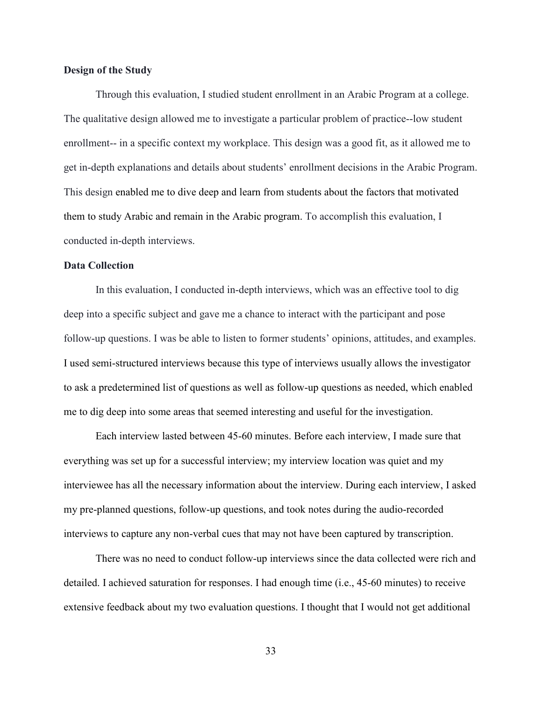#### **Design of the Study**

Through this evaluation, I studied student enrollment in an Arabic Program at a college. The qualitative design allowed me to investigate a particular problem of practice--low student enrollment-- in a specific context my workplace. This design was a good fit, as it allowed me to get in-depth explanations and details about students' enrollment decisions in the Arabic Program. This design enabled me to dive deep and learn from students about the factors that motivated them to study Arabic and remain in the Arabic program. To accomplish this evaluation, I conducted in-depth interviews.

#### **Data Collection**

In this evaluation, I conducted in-depth interviews, which was an effective tool to dig deep into a specific subject and gave me a chance to interact with the participant and pose follow-up questions. I was be able to listen to former students' opinions, attitudes, and examples. I used semi-structured interviews because this type of interviews usually allows the investigator to ask a predetermined list of questions as well as follow-up questions as needed, which enabled me to dig deep into some areas that seemed interesting and useful for the investigation.

Each interview lasted between 45-60 minutes. Before each interview, I made sure that everything was set up for a successful interview; my interview location was quiet and my interviewee has all the necessary information about the interview. During each interview, I asked my pre-planned questions, follow-up questions, and took notes during the audio-recorded interviews to capture any non-verbal cues that may not have been captured by transcription.

There was no need to conduct follow-up interviews since the data collected were rich and detailed. I achieved saturation for responses. I had enough time (i.e., 45-60 minutes) to receive extensive feedback about my two evaluation questions. I thought that I would not get additional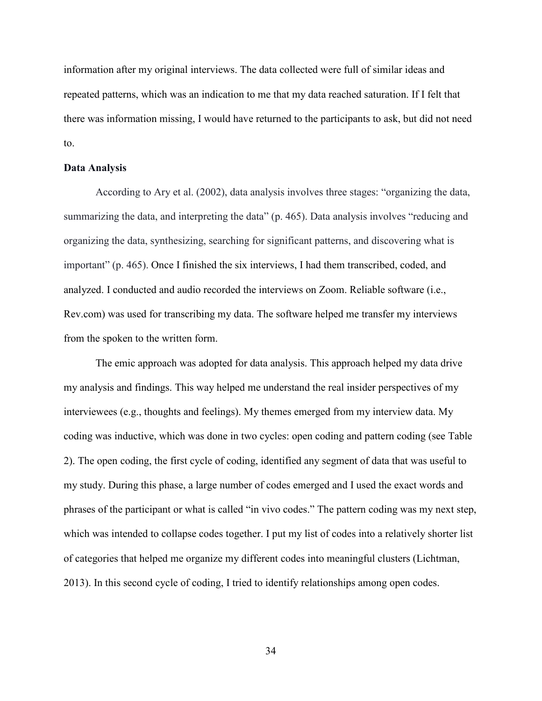information after my original interviews. The data collected were full of similar ideas and repeated patterns, which was an indication to me that my data reached saturation. If I felt that there was information missing, I would have returned to the participants to ask, but did not need to.

#### **Data Analysis**

According to Ary et al. (2002), data analysis involves three stages: "organizing the data, summarizing the data, and interpreting the data" (p. 465). Data analysis involves "reducing and organizing the data, synthesizing, searching for significant patterns, and discovering what is important" (p. 465). Once I finished the six interviews, I had them transcribed, coded, and analyzed. I conducted and audio recorded the interviews on Zoom. Reliable software (i.e., Rev.com) was used for transcribing my data. The software helped me transfer my interviews from the spoken to the written form.

The emic approach was adopted for data analysis. This approach helped my data drive my analysis and findings. This way helped me understand the real insider perspectives of my interviewees (e.g., thoughts and feelings). My themes emerged from my interview data. My coding was inductive, which was done in two cycles: open coding and pattern coding (see Table 2). The open coding, the first cycle of coding, identified any segment of data that was useful to my study. During this phase, a large number of codes emerged and I used the exact words and phrases of the participant or what is called "in vivo codes." The pattern coding was my next step, which was intended to collapse codes together. I put my list of codes into a relatively shorter list of categories that helped me organize my different codes into meaningful clusters (Lichtman, 2013). In this second cycle of coding, I tried to identify relationships among open codes.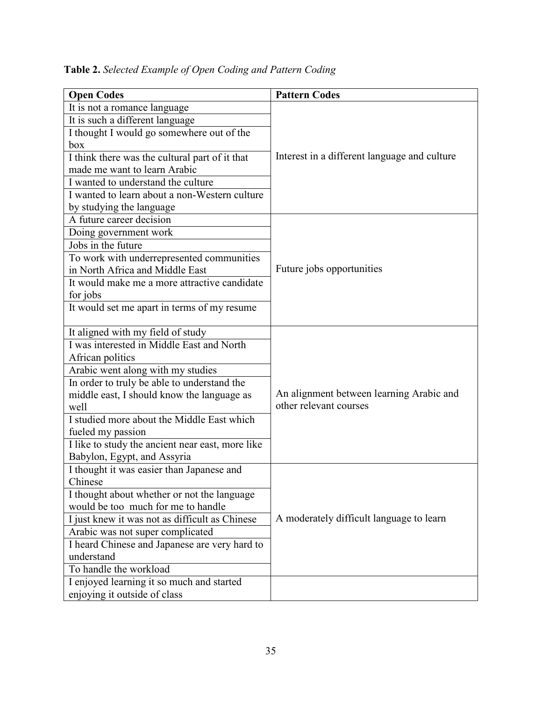| <b>Open Codes</b>                                | <b>Pattern Codes</b>                                               |  |
|--------------------------------------------------|--------------------------------------------------------------------|--|
| It is not a romance language                     |                                                                    |  |
| It is such a different language                  |                                                                    |  |
| I thought I would go somewhere out of the        |                                                                    |  |
| box                                              | Interest in a different language and culture                       |  |
| I think there was the cultural part of it that   |                                                                    |  |
| made me want to learn Arabic                     |                                                                    |  |
| I wanted to understand the culture               |                                                                    |  |
| I wanted to learn about a non-Western culture    |                                                                    |  |
| by studying the language                         |                                                                    |  |
| A future career decision                         |                                                                    |  |
| Doing government work                            |                                                                    |  |
| Jobs in the future                               |                                                                    |  |
| To work with underrepresented communities        |                                                                    |  |
| in North Africa and Middle East                  | Future jobs opportunities                                          |  |
| It would make me a more attractive candidate     |                                                                    |  |
| for jobs                                         |                                                                    |  |
| It would set me apart in terms of my resume      |                                                                    |  |
|                                                  |                                                                    |  |
| It aligned with my field of study                |                                                                    |  |
| I was interested in Middle East and North        |                                                                    |  |
| African politics                                 |                                                                    |  |
| Arabic went along with my studies                |                                                                    |  |
| In order to truly be able to understand the      | An alignment between learning Arabic and<br>other relevant courses |  |
| middle east, I should know the language as       |                                                                    |  |
| well                                             |                                                                    |  |
| I studied more about the Middle East which       |                                                                    |  |
| fueled my passion                                |                                                                    |  |
| I like to study the ancient near east, more like |                                                                    |  |
| Babylon, Egypt, and Assyria                      |                                                                    |  |
| I thought it was easier than Japanese and        |                                                                    |  |
| Chinese                                          |                                                                    |  |
| I thought about whether or not the language      |                                                                    |  |
| would be too much for me to handle               |                                                                    |  |
| I just knew it was not as difficult as Chinese   | A moderately difficult language to learn                           |  |
| Arabic was not super complicated                 |                                                                    |  |
| I heard Chinese and Japanese are very hard to    |                                                                    |  |
| understand                                       |                                                                    |  |
| To handle the workload                           |                                                                    |  |
| I enjoyed learning it so much and started        |                                                                    |  |
| enjoying it outside of class                     |                                                                    |  |

**Table 2.** *Selected Example of Open Coding and Pattern Coding*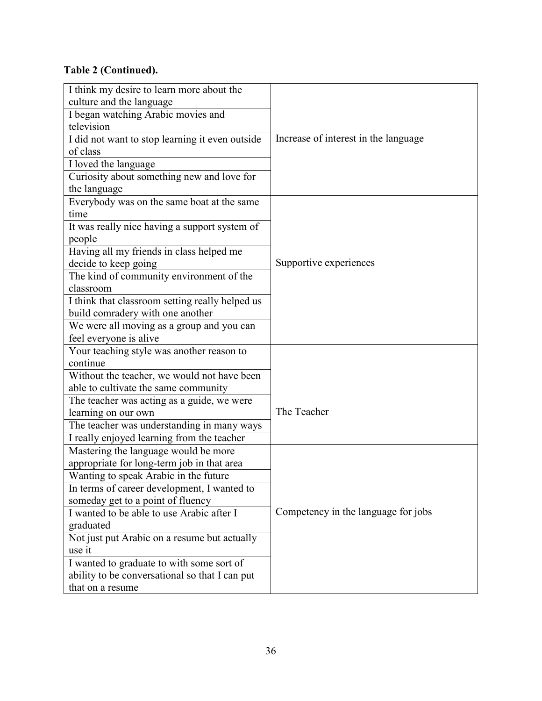### **Table 2 (Continued).**

| I think my desire to learn more about the       |                                      |  |
|-------------------------------------------------|--------------------------------------|--|
| culture and the language                        | Increase of interest in the language |  |
| I began watching Arabic movies and              |                                      |  |
| television                                      |                                      |  |
| I did not want to stop learning it even outside |                                      |  |
| of class                                        |                                      |  |
| I loved the language                            |                                      |  |
| Curiosity about something new and love for      |                                      |  |
| the language                                    |                                      |  |
| Everybody was on the same boat at the same      |                                      |  |
| time                                            |                                      |  |
| It was really nice having a support system of   |                                      |  |
| people                                          | Supportive experiences               |  |
| Having all my friends in class helped me        |                                      |  |
| decide to keep going                            |                                      |  |
| The kind of community environment of the        |                                      |  |
| classroom                                       |                                      |  |
| I think that classroom setting really helped us |                                      |  |
| build comradery with one another                |                                      |  |
| We were all moving as a group and you can       |                                      |  |
| feel everyone is alive                          |                                      |  |
| Your teaching style was another reason to       |                                      |  |
| continue                                        |                                      |  |
| Without the teacher, we would not have been     |                                      |  |
| able to cultivate the same community            |                                      |  |
| The teacher was acting as a guide, we were      | The Teacher                          |  |
| learning on our own                             |                                      |  |
| The teacher was understanding in many ways      |                                      |  |
| I really enjoyed learning from the teacher      |                                      |  |
| Mastering the language would be more            |                                      |  |
| appropriate for long-term job in that area      |                                      |  |
| Wanting to speak Arabic in the future           |                                      |  |
| In terms of career development, I wanted to     |                                      |  |
| someday get to a point of fluency               |                                      |  |
| I wanted to be able to use Arabic after I       | Competency in the language for jobs  |  |
| graduated                                       |                                      |  |
| Not just put Arabic on a resume but actually    |                                      |  |
| use it                                          |                                      |  |
| I wanted to graduate to with some sort of       |                                      |  |
| ability to be conversational so that I can put  |                                      |  |
| that on a resume                                |                                      |  |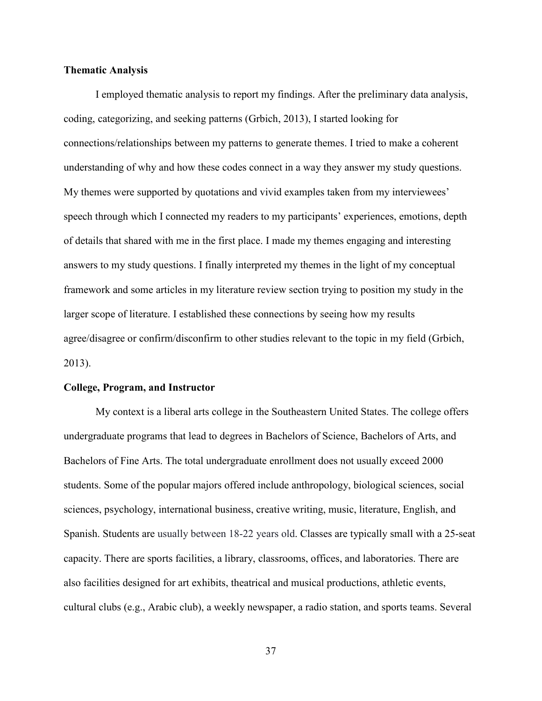#### **Thematic Analysis**

I employed thematic analysis to report my findings. After the preliminary data analysis, coding, categorizing, and seeking patterns (Grbich, 2013), I started looking for connections/relationships between my patterns to generate themes. I tried to make a coherent understanding of why and how these codes connect in a way they answer my study questions. My themes were supported by quotations and vivid examples taken from my interviewees' speech through which I connected my readers to my participants' experiences, emotions, depth of details that shared with me in the first place. I made my themes engaging and interesting answers to my study questions. I finally interpreted my themes in the light of my conceptual framework and some articles in my literature review section trying to position my study in the larger scope of literature. I established these connections by seeing how my results agree/disagree or confirm/disconfirm to other studies relevant to the topic in my field (Grbich, 2013).

#### **College, Program, and Instructor**

My context is a liberal arts college in the Southeastern United States. The college offers undergraduate programs that lead to degrees in Bachelors of Science, Bachelors of Arts, and Bachelors of Fine Arts. The total undergraduate enrollment does not usually exceed 2000 students. Some of the popular majors offered include anthropology, biological sciences, social sciences, psychology, international business, creative writing, music, literature, English, and Spanish. Students are usually between 18-22 years old. Classes are typically small with a 25-seat capacity. There are sports facilities, a library, classrooms, offices, and laboratories. There are also facilities designed for art exhibits, theatrical and musical productions, athletic events, cultural clubs (e.g., Arabic club), a weekly newspaper, a radio station, and sports teams. Several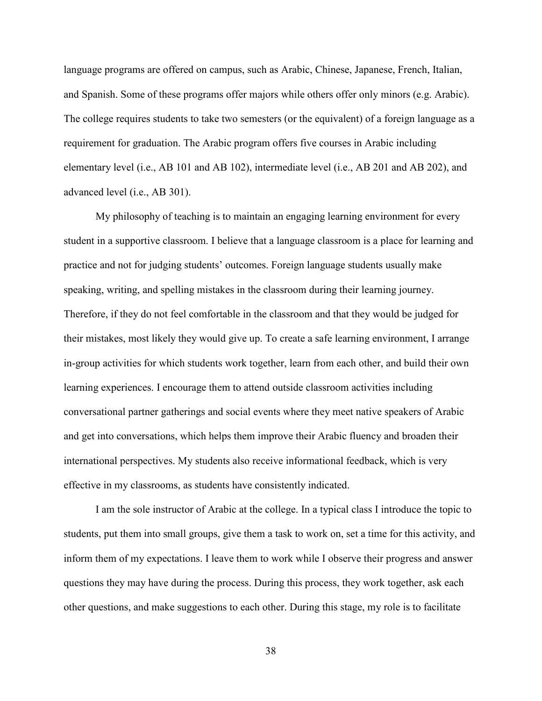language programs are offered on campus, such as Arabic, Chinese, Japanese, French, Italian, and Spanish. Some of these programs offer majors while others offer only minors (e.g. Arabic). The college requires students to take two semesters (or the equivalent) of a foreign language as a requirement for graduation. The Arabic program offers five courses in Arabic including elementary level (i.e., AB 101 and AB 102), intermediate level (i.e., AB 201 and AB 202), and advanced level (i.e., AB 301).

My philosophy of teaching is to maintain an engaging learning environment for every student in a supportive classroom. I believe that a language classroom is a place for learning and practice and not for judging students' outcomes. Foreign language students usually make speaking, writing, and spelling mistakes in the classroom during their learning journey. Therefore, if they do not feel comfortable in the classroom and that they would be judged for their mistakes, most likely they would give up. To create a safe learning environment, I arrange in-group activities for which students work together, learn from each other, and build their own learning experiences. I encourage them to attend outside classroom activities including conversational partner gatherings and social events where they meet native speakers of Arabic and get into conversations, which helps them improve their Arabic fluency and broaden their international perspectives. My students also receive informational feedback, which is very effective in my classrooms, as students have consistently indicated.

I am the sole instructor of Arabic at the college. In a typical class I introduce the topic to students, put them into small groups, give them a task to work on, set a time for this activity, and inform them of my expectations. I leave them to work while I observe their progress and answer questions they may have during the process. During this process, they work together, ask each other questions, and make suggestions to each other. During this stage, my role is to facilitate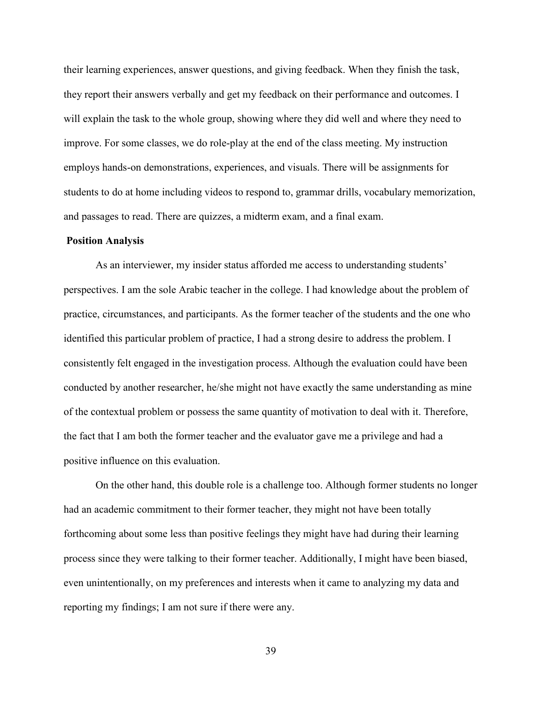their learning experiences, answer questions, and giving feedback. When they finish the task, they report their answers verbally and get my feedback on their performance and outcomes. I will explain the task to the whole group, showing where they did well and where they need to improve. For some classes, we do role-play at the end of the class meeting. My instruction employs hands-on demonstrations, experiences, and visuals. There will be assignments for students to do at home including videos to respond to, grammar drills, vocabulary memorization, and passages to read. There are quizzes, a midterm exam, and a final exam.

### **Position Analysis**

As an interviewer, my insider status afforded me access to understanding students' perspectives. I am the sole Arabic teacher in the college. I had knowledge about the problem of practice, circumstances, and participants. As the former teacher of the students and the one who identified this particular problem of practice, I had a strong desire to address the problem. I consistently felt engaged in the investigation process. Although the evaluation could have been conducted by another researcher, he/she might not have exactly the same understanding as mine of the contextual problem or possess the same quantity of motivation to deal with it. Therefore, the fact that I am both the former teacher and the evaluator gave me a privilege and had a positive influence on this evaluation.

On the other hand, this double role is a challenge too. Although former students no longer had an academic commitment to their former teacher, they might not have been totally forthcoming about some less than positive feelings they might have had during their learning process since they were talking to their former teacher. Additionally, I might have been biased, even unintentionally, on my preferences and interests when it came to analyzing my data and reporting my findings; I am not sure if there were any.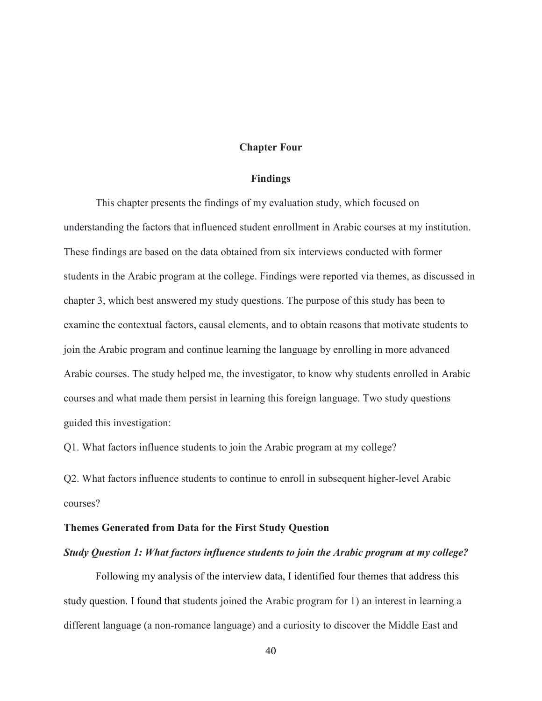#### **Chapter Four**

#### **Findings**

This chapter presents the findings of my evaluation study, which focused on understanding the factors that influenced student enrollment in Arabic courses at my institution. These findings are based on the data obtained from six interviews conducted with former students in the Arabic program at the college. Findings were reported via themes, as discussed in chapter 3, which best answered my study questions. The purpose of this study has been to examine the contextual factors, causal elements, and to obtain reasons that motivate students to join the Arabic program and continue learning the language by enrolling in more advanced Arabic courses. The study helped me, the investigator, to know why students enrolled in Arabic courses and what made them persist in learning this foreign language. Two study questions guided this investigation:

Q1. What factors influence students to join the Arabic program at my college?

Q2. What factors influence students to continue to enroll in subsequent higher-level Arabic courses?

### **Themes Generated from Data for the First Study Question**

#### *Study Question 1: What factors influence students to join the Arabic program at my college?*

Following my analysis of the interview data, I identified four themes that address this study question. I found that students joined the Arabic program for 1 ) an interest in learning a different language (a non-romance language) and a curiosity to discover the Middle East and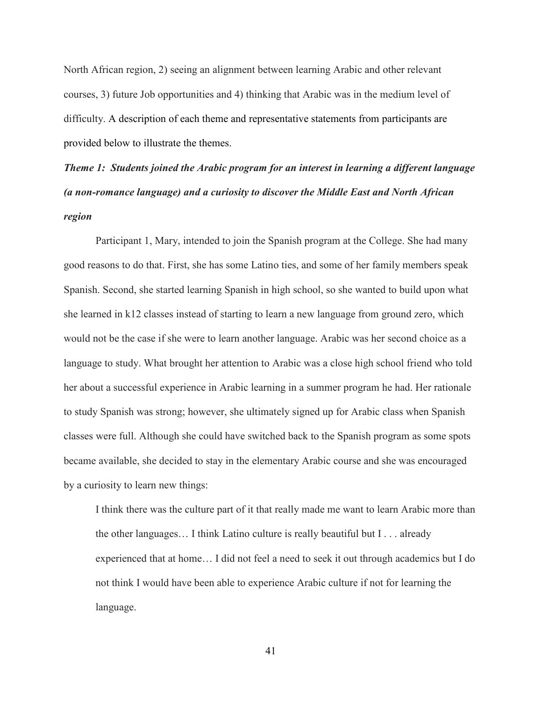North African region, 2) seeing an alignment between learning Arabic and other relevant courses, 3) future Job opportunities and 4) thinking that Arabic was in the medium level of difficulty. A description of each theme and representative statements from participants are provided below to illustrate the themes.

*Theme 1: Students joined the Arabic program for an interest in learning a different language (a non-romance language) and a curiosity to discover the Middle East and North African region*

Participant 1, Mary, intended to join the Spanish program at the College. She had many good reasons to do that. First, she has some Latino ties, and some of her family members speak Spanish. Second, she started learning Spanish in high school, so she wanted to build upon what she learned in k12 classes instead of starting to learn a new language from ground zero, which would not be the case if she were to learn another language. Arabic was her second choice as a language to study. What brought her attention to Arabic was a close high school friend who told her about a successful experience in Arabic learning in a summer program he had. Her rationale to study Spanish was strong; however, she ultimately signed up for Arabic class when Spanish classes were full. Although she could have switched back to the Spanish program as some spots became available, she decided to stay in the elementary Arabic course and she was encouraged by a curiosity to learn new things:

I think there was the culture part of it that really made me want to learn Arabic more than the other languages… I think Latino culture is really beautiful but I . . . already experienced that at home… I did not feel a need to seek it out through academics but I do not think I would have been able to experience Arabic culture if not for learning the language.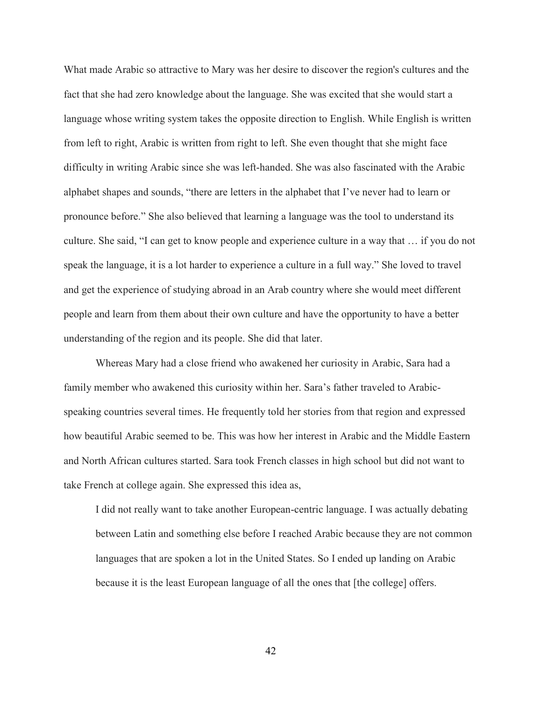What made Arabic so attractive to Mary was her desire to discover the region's cultures and the fact that she had zero knowledge about the language. She was excited that she would start a language whose writing system takes the opposite direction to English. While English is written from left to right, Arabic is written from right to left. She even thought that she might face difficulty in writing Arabic since she was left-handed. She was also fascinated with the Arabic alphabet shapes and sounds, "there are letters in the alphabet that I've never had to learn or pronounce before." She also believed that learning a language was the tool to understand its culture. She said, "I can get to know people and experience culture in a way that … if you do not speak the language, it is a lot harder to experience a culture in a full way." She loved to travel and get the experience of studying abroad in an Arab country where she would meet different people and learn from them about their own culture and have the opportunity to have a better understanding of the region and its people. She did that later.

Whereas Mary had a close friend who awakened her curiosity in Arabic, Sara had a family member who awakened this curiosity within her. Sara's father traveled to Arabicspeaking countries several times. He frequently told her stories from that region and expressed how beautiful Arabic seemed to be. This was how her interest in Arabic and the Middle Eastern and North African cultures started. Sara took French classes in high school but did not want to take French at college again. She expressed this idea as,

I did not really want to take another European-centric language. I was actually debating between Latin and something else before I reached Arabic because they are not common languages that are spoken a lot in the United States. So I ended up landing on Arabic because it is the least European language of all the ones that [the college] offers.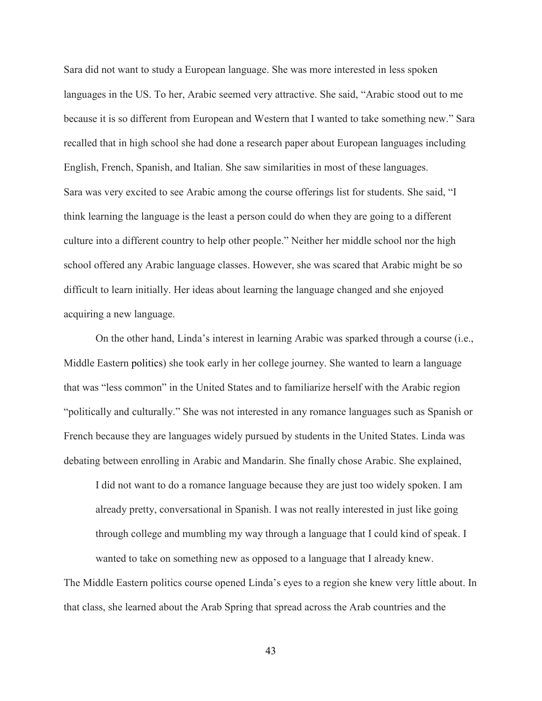Sara did not want to study a European language. She was more interested in less spoken languages in the US. To her, Arabic seemed very attractive. She said, "Arabic stood out to me because it is so different from European and Western that I wanted to take something new." Sara recalled that in high school she had done a research paper about European languages including English, French, Spanish, and Italian. She saw similarities in most of these languages. Sara was very excited to see Arabic among the course offerings list for students. She said, "I think learning the language is the least a person could do when they are going to a different culture into a different country to help other people." Neither her middle school nor the high school offered any Arabic language classes. However, she was scared that Arabic might be so difficult to learn initially. Her ideas about learning the language changed and she enjoyed acquiring a new language.

On the other hand, Linda's interest in learning Arabic was sparked through a course (i.e., Middle Eastern politics) she took early in her college journey. She wanted to learn a language that was "less common" in the United States and to familiarize herself with the Arabic region "politically and culturally." She was not interested in any romance languages such as Spanish or French because they are languages widely pursued by students in the United States. Linda was debating between enrolling in Arabic and Mandarin. She finally chose Arabic. She explained,

I did not want to do a romance language because they are just too widely spoken. I am already pretty, conversational in Spanish. I was not really interested in just like going through college and mumbling my way through a language that I could kind of speak. I wanted to take on something new as opposed to a language that I already knew.

The Middle Eastern politics course opened Linda's eyes to a region she knew very little about. In that class, she learned about the Arab Spring that spread across the Arab countries and the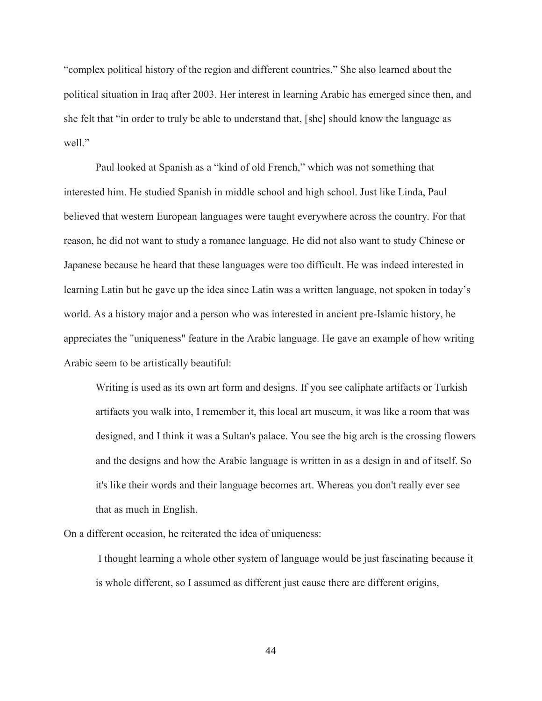"complex political history of the region and different countries." She also learned about the political situation in Iraq after 2003. Her interest in learning Arabic has emerged since then, and she felt that "in order to truly be able to understand that, [she] should know the language as well."

Paul looked at Spanish as a "kind of old French," which was not something that interested him. He studied Spanish in middle school and high school. Just like Linda, Paul believed that western European languages were taught everywhere across the country. For that reason, he did not want to study a romance language. He did not also want to study Chinese or Japanese because he heard that these languages were too difficult. He was indeed interested in learning Latin but he gave up the idea since Latin was a written language, not spoken in today's world. As a history major and a person who was interested in ancient pre-Islamic history, he appreciates the "uniqueness" feature in the Arabic language. He gave an example of how writing Arabic seem to be artistically beautiful:

Writing is used as its own art form and designs. If you see caliphate artifacts or Turkish artifacts you walk into, I remember it, this local art museum, it was like a room that was designed, and I think it was a Sultan's palace. You see the big arch is the crossing flowers and the designs and how the Arabic language is written in as a design in and of itself. So it's like their words and their language becomes art. Whereas you don't really ever see that as much in English.

On a different occasion, he reiterated the idea of uniqueness:

 I thought learning a whole other system of language would be just fascinating because it is whole different, so I assumed as different just cause there are different origins,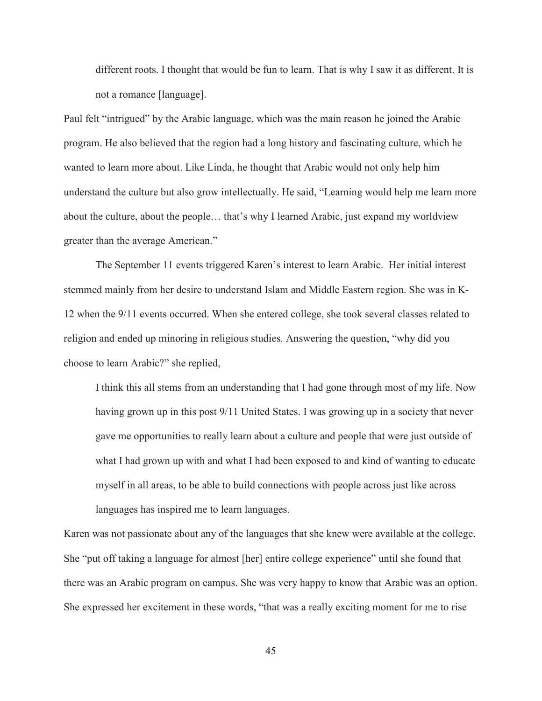different roots. I thought that would be fun to learn. That is why I saw it as different. It is not a romance [language].

Paul felt "intrigued" by the Arabic language, which was the main reason he joined the Arabic program. He also believed that the region had a long history and fascinating culture, which he wanted to learn more about. Like Linda, he thought that Arabic would not only help him understand the culture but also grow intellectually. He said, "Learning would help me learn more about the culture, about the people… that's why I learned Arabic, just expand my worldview greater than the average American."

The September 11 events triggered Karen's interest to learn Arabic. Her initial interest stemmed mainly from her desire to understand Islam and Middle Eastern region. She was in K-12 when the 9/11 events occurred. When she entered college, she took several classes related to religion and ended up minoring in religious studies. Answering the question, "why did you choose to learn Arabic?" she replied,

I think this all stems from an understanding that I had gone through most of my life. Now having grown up in this post 9/11 United States. I was growing up in a society that never gave me opportunities to really learn about a culture and people that were just outside of what I had grown up with and what I had been exposed to and kind of wanting to educate myself in all areas, to be able to build connections with people across just like across languages has inspired me to learn languages.

Karen was not passionate about any of the languages that she knew were available at the college. She "put off taking a language for almost [her] entire college experience" until she found that there was an Arabic program on campus. She was very happy to know that Arabic was an option. She expressed her excitement in these words, "that was a really exciting moment for me to rise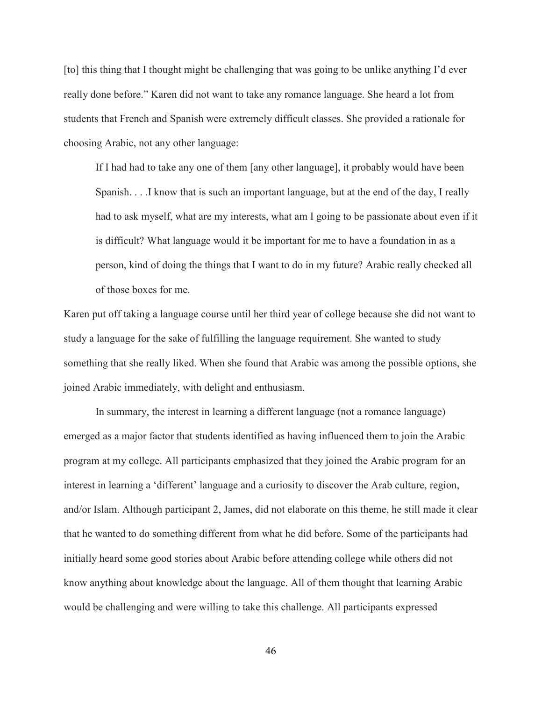[to] this thing that I thought might be challenging that was going to be unlike anything I'd ever really done before." Karen did not want to take any romance language. She heard a lot from students that French and Spanish were extremely difficult classes. She provided a rationale for choosing Arabic, not any other language:

If I had had to take any one of them [any other language], it probably would have been Spanish. . . .I know that is such an important language, but at the end of the day, I really had to ask myself, what are my interests, what am I going to be passionate about even if it is difficult? What language would it be important for me to have a foundation in as a person, kind of doing the things that I want to do in my future? Arabic really checked all of those boxes for me.

Karen put off taking a language course until her third year of college because she did not want to study a language for the sake of fulfilling the language requirement. She wanted to study something that she really liked. When she found that Arabic was among the possible options, she joined Arabic immediately, with delight and enthusiasm.

In summary, the interest in learning a different language (not a romance language) emerged as a major factor that students identified as having influenced them to join the Arabic program at my college. All participants emphasized that they joined the Arabic program for an interest in learning a 'different' language and a curiosity to discover the Arab culture, region, and/or Islam. Although participant 2, James, did not elaborate on this theme, he still made it clear that he wanted to do something different from what he did before. Some of the participants had initially heard some good stories about Arabic before attending college while others did not know anything about knowledge about the language. All of them thought that learning Arabic would be challenging and were willing to take this challenge. All participants expressed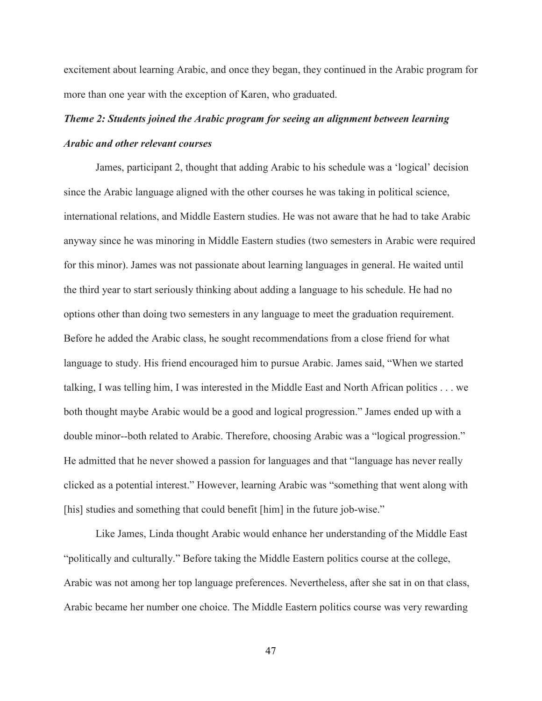excitement about learning Arabic, and once they began, they continued in the Arabic program for more than one year with the exception of Karen, who graduated.

# *Theme 2: Students joined the Arabic program for seeing an alignment between learning Arabic and other relevant courses*

James, participant 2, thought that adding Arabic to his schedule was a 'logical' decision since the Arabic language aligned with the other courses he was taking in political science, international relations, and Middle Eastern studies. He was not aware that he had to take Arabic anyway since he was minoring in Middle Eastern studies (two semesters in Arabic were required for this minor). James was not passionate about learning languages in general. He waited until the third year to start seriously thinking about adding a language to his schedule. He had no options other than doing two semesters in any language to meet the graduation requirement. Before he added the Arabic class, he sought recommendations from a close friend for what language to study. His friend encouraged him to pursue Arabic. James said, "When we started talking, I was telling him, I was interested in the Middle East and North African politics . . . we both thought maybe Arabic would be a good and logical progression." James ended up with a double minor--both related to Arabic. Therefore, choosing Arabic was a "logical progression." He admitted that he never showed a passion for languages and that "language has never really clicked as a potential interest." However, learning Arabic was "something that went along with [his] studies and something that could benefit [him] in the future job-wise."

Like James, Linda thought Arabic would enhance her understanding of the Middle East "politically and culturally." Before taking the Middle Eastern politics course at the college, Arabic was not among her top language preferences. Nevertheless, after she sat in on that class, Arabic became her number one choice. The Middle Eastern politics course was very rewarding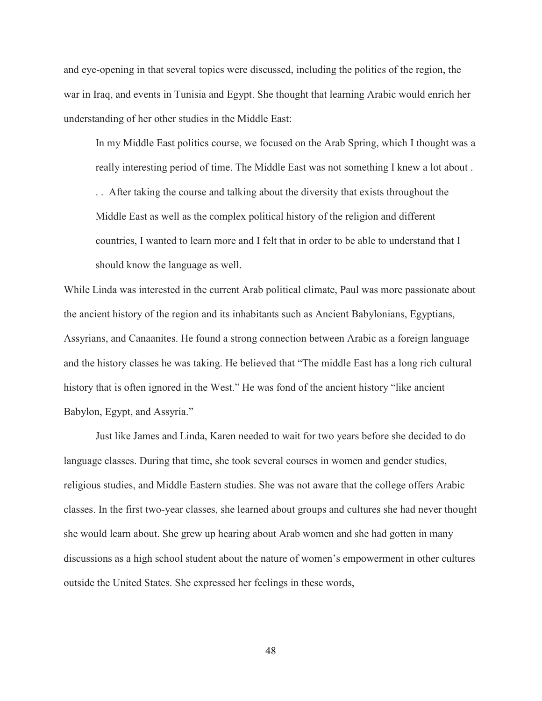and eye-opening in that several topics were discussed, including the politics of the region, the war in Iraq, and events in Tunisia and Egypt. She thought that learning Arabic would enrich her understanding of her other studies in the Middle East:

In my Middle East politics course, we focused on the Arab Spring, which I thought was a really interesting period of time. The Middle East was not something I knew a lot about .

. . After taking the course and talking about the diversity that exists throughout the Middle East as well as the complex political history of the religion and different countries, I wanted to learn more and I felt that in order to be able to understand that I should know the language as well.

While Linda was interested in the current Arab political climate, Paul was more passionate about the ancient history of the region and its inhabitants such as Ancient Babylonians, Egyptians, Assyrians, and Canaanites. He found a strong connection between Arabic as a foreign language and the history classes he was taking. He believed that "The middle East has a long rich cultural history that is often ignored in the West." He was fond of the ancient history "like ancient Babylon, Egypt, and Assyria."

Just like James and Linda, Karen needed to wait for two years before she decided to do language classes. During that time, she took several courses in women and gender studies, religious studies, and Middle Eastern studies. She was not aware that the college offers Arabic classes. In the first two-year classes, she learned about groups and cultures she had never thought she would learn about. She grew up hearing about Arab women and she had gotten in many discussions as a high school student about the nature of women's empowerment in other cultures outside the United States. She expressed her feelings in these words,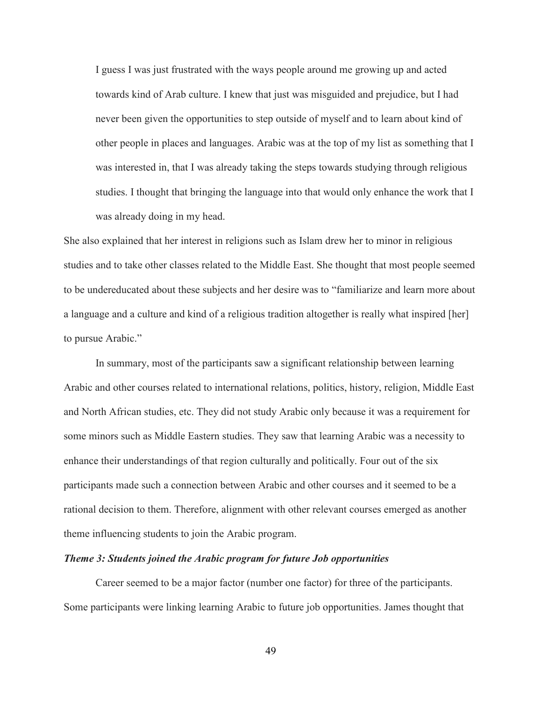I guess I was just frustrated with the ways people around me growing up and acted towards kind of Arab culture. I knew that just was misguided and prejudice, but I had never been given the opportunities to step outside of myself and to learn about kind of other people in places and languages. Arabic was at the top of my list as something that I was interested in, that I was already taking the steps towards studying through religious studies. I thought that bringing the language into that would only enhance the work that I was already doing in my head.

She also explained that her interest in religions such as Islam drew her to minor in religious studies and to take other classes related to the Middle East. She thought that most people seemed to be undereducated about these subjects and her desire was to "familiarize and learn more about a language and a culture and kind of a religious tradition altogether is really what inspired [her] to pursue Arabic."

In summary, most of the participants saw a significant relationship between learning Arabic and other courses related to international relations, politics, history, religion, Middle East and North African studies, etc. They did not study Arabic only because it was a requirement for some minors such as Middle Eastern studies. They saw that learning Arabic was a necessity to enhance their understandings of that region culturally and politically. Four out of the six participants made such a connection between Arabic and other courses and it seemed to be a rational decision to them. Therefore, alignment with other relevant courses emerged as another theme influencing students to join the Arabic program.

### *Theme 3: Students joined the Arabic program for future Job opportunities*

Career seemed to be a major factor (number one factor) for three of the participants. Some participants were linking learning Arabic to future job opportunities. James thought that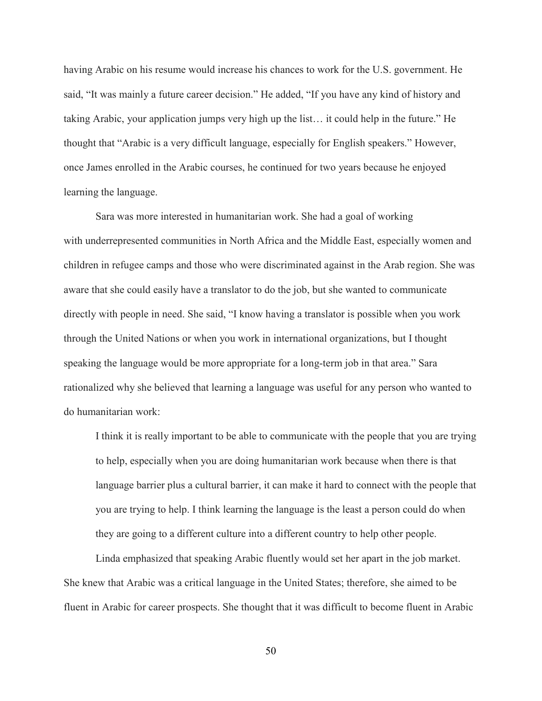having Arabic on his resume would increase his chances to work for the U.S. government. He said, "It was mainly a future career decision." He added, "If you have any kind of history and taking Arabic, your application jumps very high up the list… it could help in the future." He thought that "Arabic is a very difficult language, especially for English speakers." However, once James enrolled in the Arabic courses, he continued for two years because he enjoyed learning the language.

Sara was more interested in humanitarian work. She had a goal of working with underrepresented communities in North Africa and the Middle East, especially women and children in refugee camps and those who were discriminated against in the Arab region. She was aware that she could easily have a translator to do the job, but she wanted to communicate directly with people in need. She said, "I know having a translator is possible when you work through the United Nations or when you work in international organizations, but I thought speaking the language would be more appropriate for a long-term job in that area." Sara rationalized why she believed that learning a language was useful for any person who wanted to do humanitarian work:

I think it is really important to be able to communicate with the people that you are trying to help, especially when you are doing humanitarian work because when there is that language barrier plus a cultural barrier, it can make it hard to connect with the people that you are trying to help. I think learning the language is the least a person could do when they are going to a different culture into a different country to help other people.

Linda emphasized that speaking Arabic fluently would set her apart in the job market. She knew that Arabic was a critical language in the United States; therefore, she aimed to be fluent in Arabic for career prospects. She thought that it was difficult to become fluent in Arabic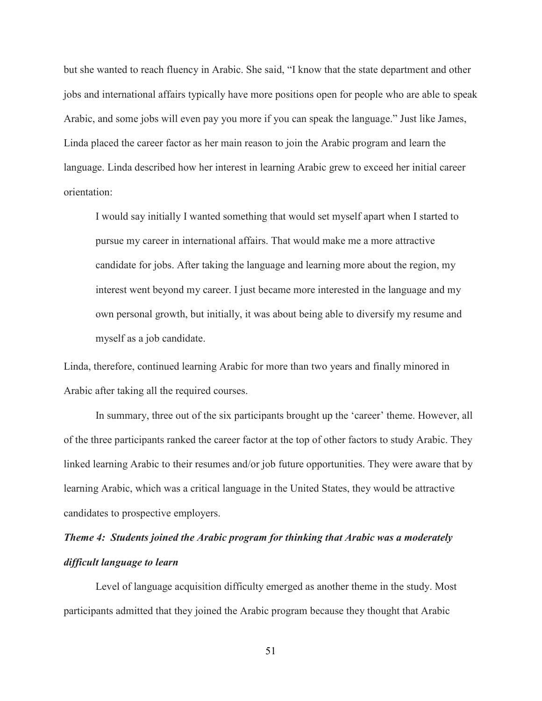but she wanted to reach fluency in Arabic. She said, "I know that the state department and other jobs and international affairs typically have more positions open for people who are able to speak Arabic, and some jobs will even pay you more if you can speak the language." Just like James, Linda placed the career factor as her main reason to join the Arabic program and learn the language. Linda described how her interest in learning Arabic grew to exceed her initial career orientation:

I would say initially I wanted something that would set myself apart when I started to pursue my career in international affairs. That would make me a more attractive candidate for jobs. After taking the language and learning more about the region, my interest went beyond my career. I just became more interested in the language and my own personal growth, but initially, it was about being able to diversify my resume and myself as a job candidate.

Linda, therefore, continued learning Arabic for more than two years and finally minored in Arabic after taking all the required courses.

In summary, three out of the six participants brought up the 'career' theme. However, all of the three participants ranked the career factor at the top of other factors to study Arabic. They linked learning Arabic to their resumes and/or job future opportunities. They were aware that by learning Arabic, which was a critical language in the United States, they would be attractive candidates to prospective employers.

# *Theme 4: Students joined the Arabic program for thinking that Arabic was a moderately difficult language to learn*

Level of language acquisition difficulty emerged as another theme in the study. Most participants admitted that they joined the Arabic program because they thought that Arabic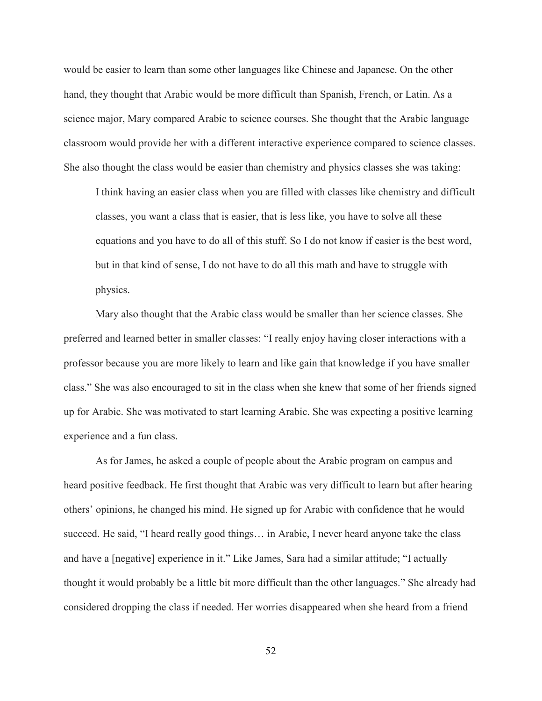would be easier to learn than some other languages like Chinese and Japanese. On the other hand, they thought that Arabic would be more difficult than Spanish, French, or Latin. As a science major, Mary compared Arabic to science courses. She thought that the Arabic language classroom would provide her with a different interactive experience compared to science classes. She also thought the class would be easier than chemistry and physics classes she was taking:

I think having an easier class when you are filled with classes like chemistry and difficult classes, you want a class that is easier, that is less like, you have to solve all these equations and you have to do all of this stuff. So I do not know if easier is the best word, but in that kind of sense, I do not have to do all this math and have to struggle with physics.

Mary also thought that the Arabic class would be smaller than her science classes. She preferred and learned better in smaller classes: "I really enjoy having closer interactions with a professor because you are more likely to learn and like gain that knowledge if you have smaller class." She was also encouraged to sit in the class when she knew that some of her friends signed up for Arabic. She was motivated to start learning Arabic. She was expecting a positive learning experience and a fun class.

As for James, he asked a couple of people about the Arabic program on campus and heard positive feedback. He first thought that Arabic was very difficult to learn but after hearing others' opinions, he changed his mind. He signed up for Arabic with confidence that he would succeed. He said, "I heard really good things... in Arabic, I never heard anyone take the class and have a [negative] experience in it." Like James, Sara had a similar attitude; "I actually thought it would probably be a little bit more difficult than the other languages." She already had considered dropping the class if needed. Her worries disappeared when she heard from a friend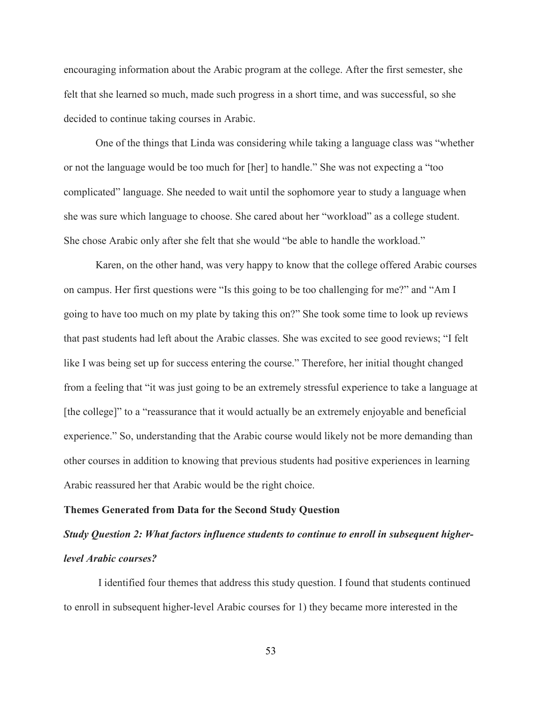encouraging information about the Arabic program at the college. After the first semester, she felt that she learned so much, made such progress in a short time, and was successful, so she decided to continue taking courses in Arabic.

One of the things that Linda was considering while taking a language class was "whether or not the language would be too much for [her] to handle." She was not expecting a "too complicated" language. She needed to wait until the sophomore year to study a language when she was sure which language to choose. She cared about her "workload" as a college student. She chose Arabic only after she felt that she would "be able to handle the workload."

Karen, on the other hand, was very happy to know that the college offered Arabic courses on campus. Her first questions were "Is this going to be too challenging for me?" and "Am I going to have too much on my plate by taking this on?" She took some time to look up reviews that past students had left about the Arabic classes. She was excited to see good reviews; "I felt like I was being set up for success entering the course." Therefore, her initial thought changed from a feeling that "it was just going to be an extremely stressful experience to take a language at [the college]" to a "reassurance that it would actually be an extremely enjoyable and beneficial experience." So, understanding that the Arabic course would likely not be more demanding than other courses in addition to knowing that previous students had positive experiences in learning Arabic reassured her that Arabic would be the right choice.

#### **Themes Generated from Data for the Second Study Question**

## *Study Question 2: What factors influence students to continue to enroll in subsequent higherlevel Arabic courses?*

I identified four themes that address this study question. I found that students continued to enroll in subsequent higher-level Arabic courses for 1) they became more interested in the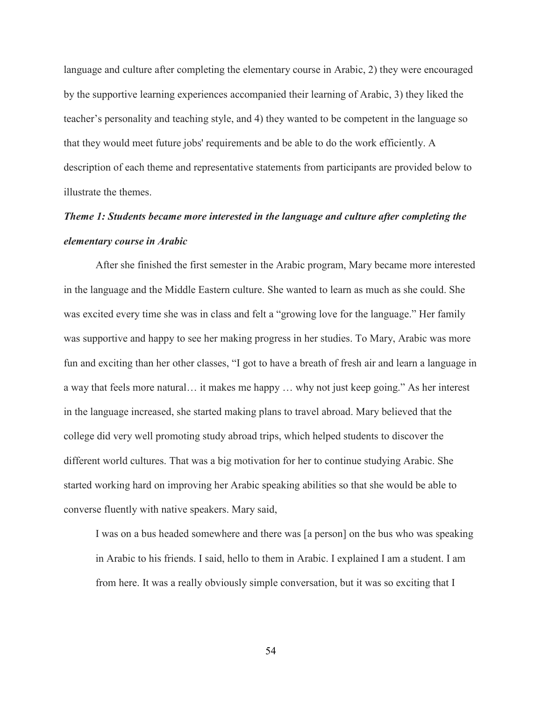language and culture after completing the elementary course in Arabic, 2) they were encouraged by the supportive learning experiences accompanied their learning of Arabic, 3) they liked the teacher's personality and teaching style, and 4) they wanted to be competent in the language so that they would meet future jobs' requirements and be able to do the work efficiently. A description of each theme and representative statements from participants are provided below to illustrate the themes.

# *Theme 1: Students became more interested in the language and culture after completing the elementary course in Arabic*

After she finished the first semester in the Arabic program, Mary became more interested in the language and the Middle Eastern culture. She wanted to learn as much as she could. She was excited every time she was in class and felt a "growing love for the language." Her family was supportive and happy to see her making progress in her studies. To Mary, Arabic was more fun and exciting than her other classes, "I got to have a breath of fresh air and learn a language in a way that feels more natural… it makes me happy … why not just keep going." As her interest in the language increased, she started making plans to travel abroad. Mary believed that the college did very well promoting study abroad trips, which helped students to discover the different world cultures. That was a big motivation for her to continue studying Arabic. She started working hard on improving her Arabic speaking abilities so that she would be able to converse fluently with native speakers. Mary said,

I was on a bus headed somewhere and there was [a person] on the bus who was speaking in Arabic to his friends. I said, hello to them in Arabic. I explained I am a student. I am from here. It was a really obviously simple conversation, but it was so exciting that I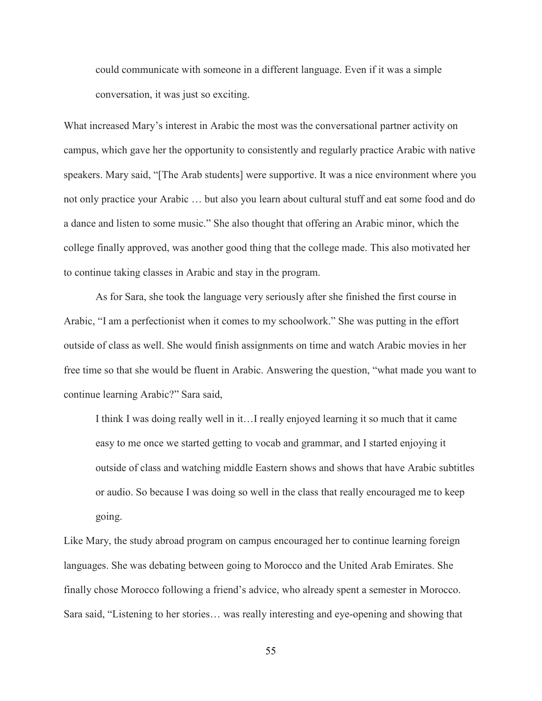could communicate with someone in a different language. Even if it was a simple conversation, it was just so exciting.

What increased Mary's interest in Arabic the most was the conversational partner activity on campus, which gave her the opportunity to consistently and regularly practice Arabic with native speakers. Mary said, "[The Arab students] were supportive. It was a nice environment where you not only practice your Arabic … but also you learn about cultural stuff and eat some food and do a dance and listen to some music." She also thought that offering an Arabic minor, which the college finally approved, was another good thing that the college made. This also motivated her to continue taking classes in Arabic and stay in the program.

As for Sara, she took the language very seriously after she finished the first course in Arabic, "I am a perfectionist when it comes to my schoolwork." She was putting in the effort outside of class as well. She would finish assignments on time and watch Arabic movies in her free time so that she would be fluent in Arabic. Answering the question, "what made you want to continue learning Arabic?" Sara said,

I think I was doing really well in it…I really enjoyed learning it so much that it came easy to me once we started getting to vocab and grammar, and I started enjoying it outside of class and watching middle Eastern shows and shows that have Arabic subtitles or audio. So because I was doing so well in the class that really encouraged me to keep going.

Like Mary, the study abroad program on campus encouraged her to continue learning foreign languages. She was debating between going to Morocco and the United Arab Emirates. She finally chose Morocco following a friend's advice, who already spent a semester in Morocco. Sara said, "Listening to her stories… was really interesting and eye-opening and showing that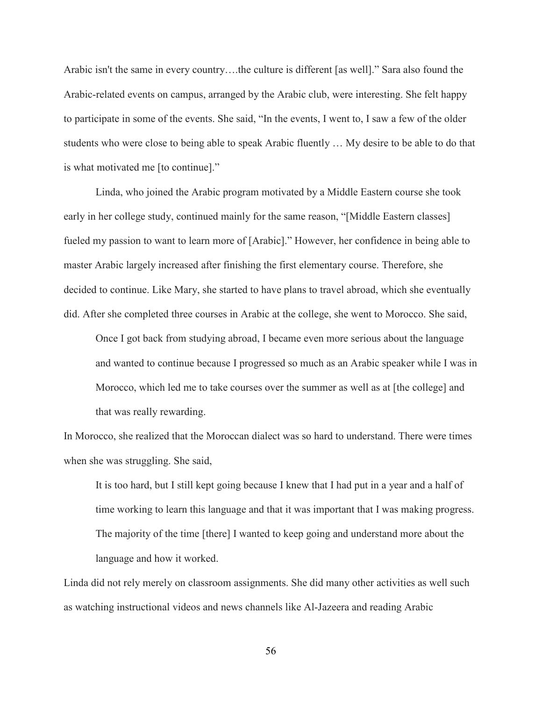Arabic isn't the same in every country….the culture is different [as well]." Sara also found the Arabic-related events on campus, arranged by the Arabic club, were interesting. She felt happy to participate in some of the events. She said, "In the events, I went to, I saw a few of the older students who were close to being able to speak Arabic fluently … My desire to be able to do that is what motivated me [to continue]."

Linda, who joined the Arabic program motivated by a Middle Eastern course she took early in her college study, continued mainly for the same reason, "[Middle Eastern classes] fueled my passion to want to learn more of [Arabic]." However, her confidence in being able to master Arabic largely increased after finishing the first elementary course. Therefore, she decided to continue. Like Mary, she started to have plans to travel abroad, which she eventually did. After she completed three courses in Arabic at the college, she went to Morocco. She said,

Once I got back from studying abroad, I became even more serious about the language and wanted to continue because I progressed so much as an Arabic speaker while I was in Morocco, which led me to take courses over the summer as well as at [the college] and that was really rewarding.

In Morocco, she realized that the Moroccan dialect was so hard to understand. There were times when she was struggling. She said,

It is too hard, but I still kept going because I knew that I had put in a year and a half of time working to learn this language and that it was important that I was making progress. The majority of the time [there] I wanted to keep going and understand more about the language and how it worked.

Linda did not rely merely on classroom assignments. She did many other activities as well such as watching instructional videos and news channels like Al-Jazeera and reading Arabic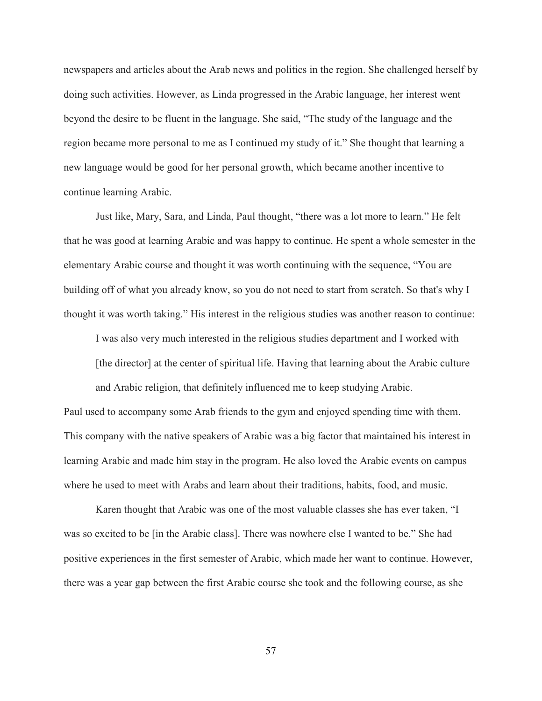newspapers and articles about the Arab news and politics in the region. She challenged herself by doing such activities. However, as Linda progressed in the Arabic language, her interest went beyond the desire to be fluent in the language. She said, "The study of the language and the region became more personal to me as I continued my study of it." She thought that learning a new language would be good for her personal growth, which became another incentive to continue learning Arabic.

Just like, Mary, Sara, and Linda, Paul thought, "there was a lot more to learn." He felt that he was good at learning Arabic and was happy to continue. He spent a whole semester in the elementary Arabic course and thought it was worth continuing with the sequence, "You are building off of what you already know, so you do not need to start from scratch. So that's why I thought it was worth taking." His interest in the religious studies was another reason to continue:

I was also very much interested in the religious studies department and I worked with [the director] at the center of spiritual life. Having that learning about the Arabic culture and Arabic religion, that definitely influenced me to keep studying Arabic.

Paul used to accompany some Arab friends to the gym and enjoyed spending time with them. This company with the native speakers of Arabic was a big factor that maintained his interest in learning Arabic and made him stay in the program. He also loved the Arabic events on campus where he used to meet with Arabs and learn about their traditions, habits, food, and music.

 Karen thought that Arabic was one of the most valuable classes she has ever taken, "I was so excited to be [in the Arabic class]. There was nowhere else I wanted to be." She had positive experiences in the first semester of Arabic, which made her want to continue. However, there was a year gap between the first Arabic course she took and the following course, as she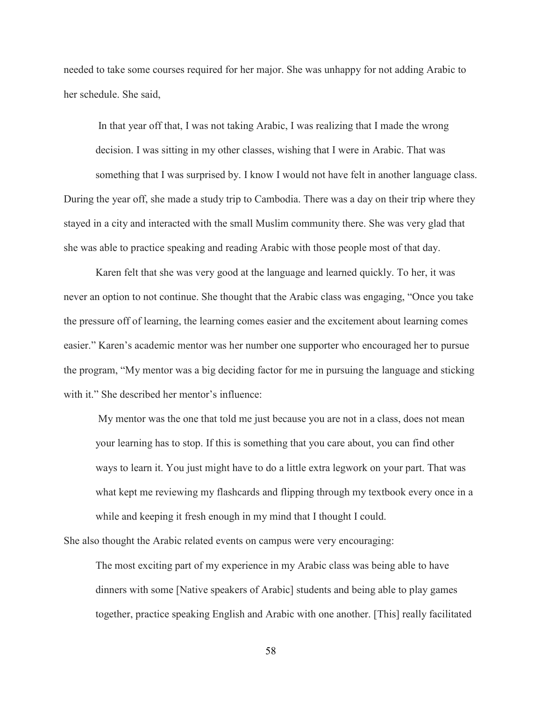needed to take some courses required for her major. She was unhappy for not adding Arabic to her schedule. She said,

 In that year off that, I was not taking Arabic, I was realizing that I made the wrong decision. I was sitting in my other classes, wishing that I were in Arabic. That was something that I was surprised by. I know I would not have felt in another language class. During the year off, she made a study trip to Cambodia. There was a day on their trip where they stayed in a city and interacted with the small Muslim community there. She was very glad that she was able to practice speaking and reading Arabic with those people most of that day.

Karen felt that she was very good at the language and learned quickly. To her, it was never an option to not continue. She thought that the Arabic class was engaging, "Once you take the pressure off of learning, the learning comes easier and the excitement about learning comes easier." Karen's academic mentor was her number one supporter who encouraged her to pursue the program, "My mentor was a big deciding factor for me in pursuing the language and sticking with it." She described her mentor's influence:

 My mentor was the one that told me just because you are not in a class, does not mean your learning has to stop. If this is something that you care about, you can find other ways to learn it. You just might have to do a little extra legwork on your part. That was what kept me reviewing my flashcards and flipping through my textbook every once in a while and keeping it fresh enough in my mind that I thought I could.

She also thought the Arabic related events on campus were very encouraging:

The most exciting part of my experience in my Arabic class was being able to have dinners with some [Native speakers of Arabic] students and being able to play games together, practice speaking English and Arabic with one another. [This] really facilitated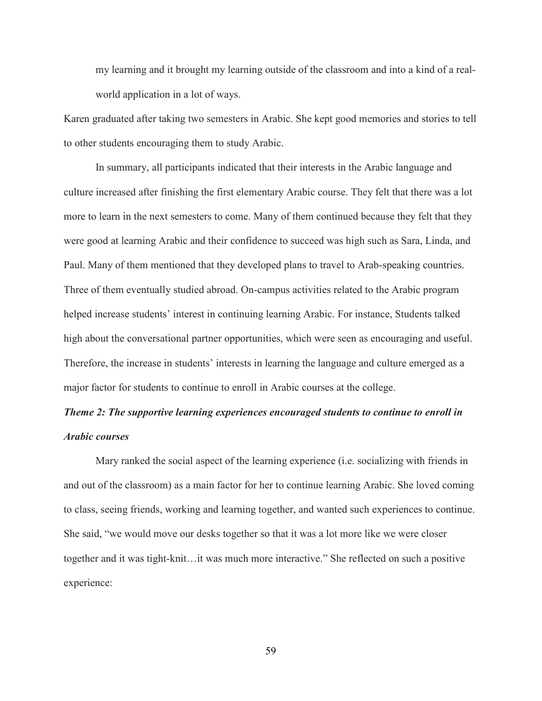my learning and it brought my learning outside of the classroom and into a kind of a realworld application in a lot of ways.

Karen graduated after taking two semesters in Arabic. She kept good memories and stories to tell to other students encouraging them to study Arabic.

In summary, all participants indicated that their interests in the Arabic language and culture increased after finishing the first elementary Arabic course. They felt that there was a lot more to learn in the next semesters to come. Many of them continued because they felt that they were good at learning Arabic and their confidence to succeed was high such as Sara, Linda, and Paul. Many of them mentioned that they developed plans to travel to Arab-speaking countries. Three of them eventually studied abroad. On-campus activities related to the Arabic program helped increase students' interest in continuing learning Arabic. For instance, Students talked high about the conversational partner opportunities, which were seen as encouraging and useful. Therefore, the increase in students' interests in learning the language and culture emerged as a major factor for students to continue to enroll in Arabic courses at the college.

### *Theme 2: The supportive learning experiences encouraged students to continue to enroll in Arabic courses*

Mary ranked the social aspect of the learning experience (i.e. socializing with friends in and out of the classroom) as a main factor for her to continue learning Arabic. She loved coming to class, seeing friends, working and learning together, and wanted such experiences to continue. She said, "we would move our desks together so that it was a lot more like we were closer together and it was tight-knit…it was much more interactive." She reflected on such a positive experience: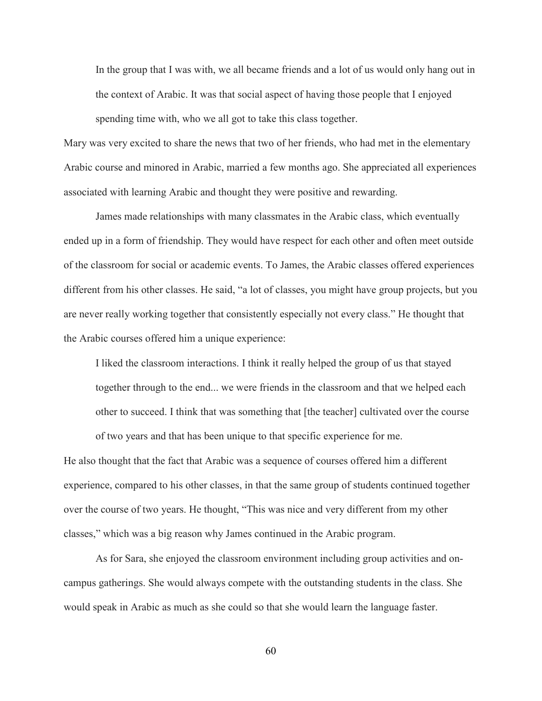In the group that I was with, we all became friends and a lot of us would only hang out in the context of Arabic. It was that social aspect of having those people that I enjoyed spending time with, who we all got to take this class together.

Mary was very excited to share the news that two of her friends, who had met in the elementary Arabic course and minored in Arabic, married a few months ago. She appreciated all experiences associated with learning Arabic and thought they were positive and rewarding.

James made relationships with many classmates in the Arabic class, which eventually ended up in a form of friendship. They would have respect for each other and often meet outside of the classroom for social or academic events. To James, the Arabic classes offered experiences different from his other classes. He said, "a lot of classes, you might have group projects, but you are never really working together that consistently especially not every class." He thought that the Arabic courses offered him a unique experience:

I liked the classroom interactions. I think it really helped the group of us that stayed together through to the end... we were friends in the classroom and that we helped each other to succeed. I think that was something that [the teacher] cultivated over the course of two years and that has been unique to that specific experience for me.

He also thought that the fact that Arabic was a sequence of courses offered him a different experience, compared to his other classes, in that the same group of students continued together over the course of two years. He thought, "This was nice and very different from my other classes," which was a big reason why James continued in the Arabic program.

As for Sara, she enjoyed the classroom environment including group activities and oncampus gatherings. She would always compete with the outstanding students in the class. She would speak in Arabic as much as she could so that she would learn the language faster.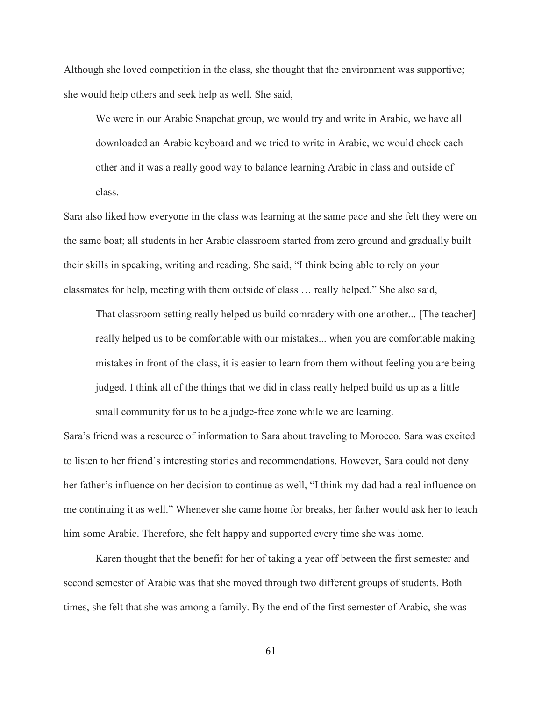Although she loved competition in the class, she thought that the environment was supportive; she would help others and seek help as well. She said,

We were in our Arabic Snapchat group, we would try and write in Arabic, we have all downloaded an Arabic keyboard and we tried to write in Arabic, we would check each other and it was a really good way to balance learning Arabic in class and outside of class.

Sara also liked how everyone in the class was learning at the same pace and she felt they were on the same boat; all students in her Arabic classroom started from zero ground and gradually built their skills in speaking, writing and reading. She said, "I think being able to rely on your classmates for help, meeting with them outside of class … really helped." She also said,

That classroom setting really helped us build comradery with one another... [The teacher] really helped us to be comfortable with our mistakes... when you are comfortable making mistakes in front of the class, it is easier to learn from them without feeling you are being judged. I think all of the things that we did in class really helped build us up as a little small community for us to be a judge-free zone while we are learning.

Sara's friend was a resource of information to Sara about traveling to Morocco. Sara was excited to listen to her friend's interesting stories and recommendations. However, Sara could not deny her father's influence on her decision to continue as well, "I think my dad had a real influence on me continuing it as well." Whenever she came home for breaks, her father would ask her to teach him some Arabic. Therefore, she felt happy and supported every time she was home.

Karen thought that the benefit for her of taking a year off between the first semester and second semester of Arabic was that she moved through two different groups of students. Both times, she felt that she was among a family. By the end of the first semester of Arabic, she was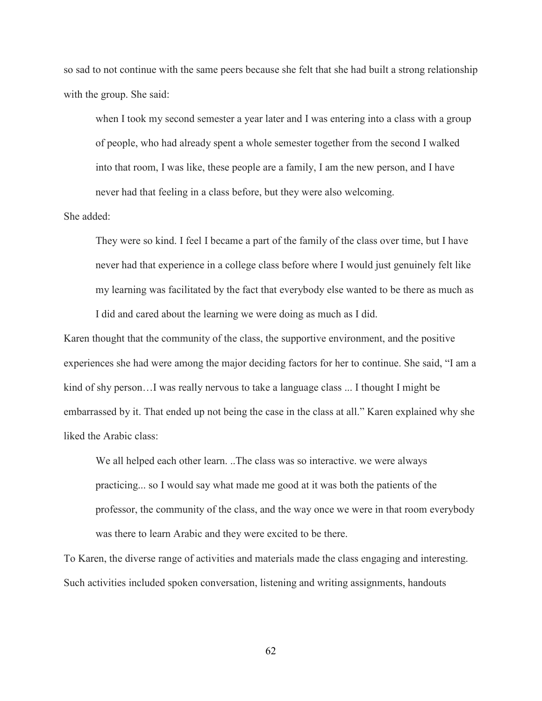so sad to not continue with the same peers because she felt that she had built a strong relationship with the group. She said:

when I took my second semester a year later and I was entering into a class with a group of people, who had already spent a whole semester together from the second I walked into that room, I was like, these people are a family, I am the new person, and I have never had that feeling in a class before, but they were also welcoming.

She added:

They were so kind. I feel I became a part of the family of the class over time, but I have never had that experience in a college class before where I would just genuinely felt like my learning was facilitated by the fact that everybody else wanted to be there as much as I did and cared about the learning we were doing as much as I did.

Karen thought that the community of the class, the supportive environment, and the positive experiences she had were among the major deciding factors for her to continue. She said, "I am a kind of shy person…I was really nervous to take a language class ... I thought I might be embarrassed by it. That ended up not being the case in the class at all." Karen explained why she liked the Arabic class:

We all helped each other learn. ..The class was so interactive. we were always practicing... so I would say what made me good at it was both the patients of the professor, the community of the class, and the way once we were in that room everybody was there to learn Arabic and they were excited to be there.

To Karen, the diverse range of activities and materials made the class engaging and interesting. Such activities included spoken conversation, listening and writing assignments, handouts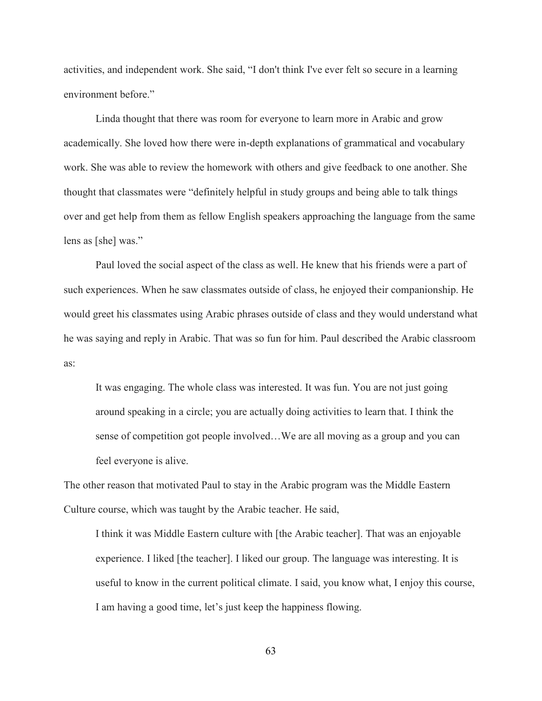activities, and independent work. She said, "I don't think I've ever felt so secure in a learning environment before."

Linda thought that there was room for everyone to learn more in Arabic and grow academically. She loved how there were in-depth explanations of grammatical and vocabulary work. She was able to review the homework with others and give feedback to one another. She thought that classmates were "definitely helpful in study groups and being able to talk things over and get help from them as fellow English speakers approaching the language from the same lens as [she] was."

Paul loved the social aspect of the class as well. He knew that his friends were a part of such experiences. When he saw classmates outside of class, he enjoyed their companionship. He would greet his classmates using Arabic phrases outside of class and they would understand what he was saying and reply in Arabic. That was so fun for him. Paul described the Arabic classroom as:

It was engaging. The whole class was interested. It was fun. You are not just going around speaking in a circle; you are actually doing activities to learn that. I think the sense of competition got people involved…We are all moving as a group and you can feel everyone is alive.

The other reason that motivated Paul to stay in the Arabic program was the Middle Eastern Culture course, which was taught by the Arabic teacher. He said,

I think it was Middle Eastern culture with [the Arabic teacher]. That was an enjoyable experience. I liked [the teacher]. I liked our group. The language was interesting. It is useful to know in the current political climate. I said, you know what, I enjoy this course, I am having a good time, let's just keep the happiness flowing.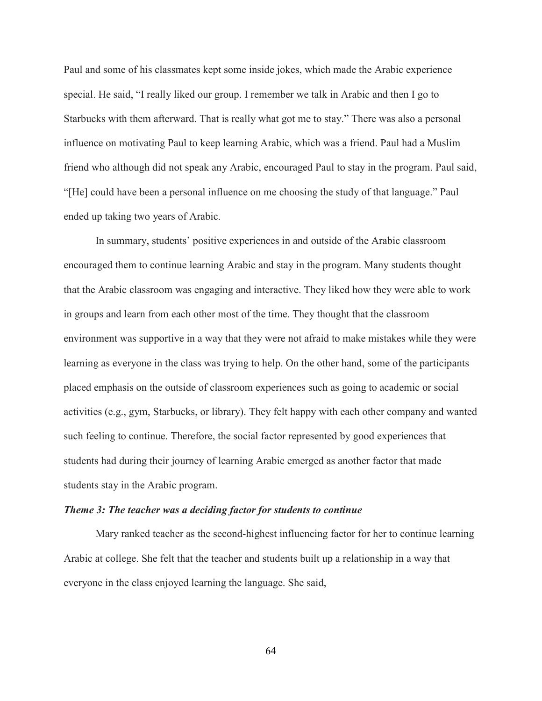Paul and some of his classmates kept some inside jokes, which made the Arabic experience special. He said, "I really liked our group. I remember we talk in Arabic and then I go to Starbucks with them afterward. That is really what got me to stay." There was also a personal influence on motivating Paul to keep learning Arabic, which was a friend. Paul had a Muslim friend who although did not speak any Arabic, encouraged Paul to stay in the program. Paul said, "[He] could have been a personal influence on me choosing the study of that language." Paul ended up taking two years of Arabic.

In summary, students' positive experiences in and outside of the Arabic classroom encouraged them to continue learning Arabic and stay in the program. Many students thought that the Arabic classroom was engaging and interactive. They liked how they were able to work in groups and learn from each other most of the time. They thought that the classroom environment was supportive in a way that they were not afraid to make mistakes while they were learning as everyone in the class was trying to help. On the other hand, some of the participants placed emphasis on the outside of classroom experiences such as going to academic or social activities (e.g., gym, Starbucks, or library). They felt happy with each other company and wanted such feeling to continue. Therefore, the social factor represented by good experiences that students had during their journey of learning Arabic emerged as another factor that made students stay in the Arabic program.

### *Theme 3: The teacher was a deciding factor for students to continue*

Mary ranked teacher as the second-highest influencing factor for her to continue learning Arabic at college. She felt that the teacher and students built up a relationship in a way that everyone in the class enjoyed learning the language. She said,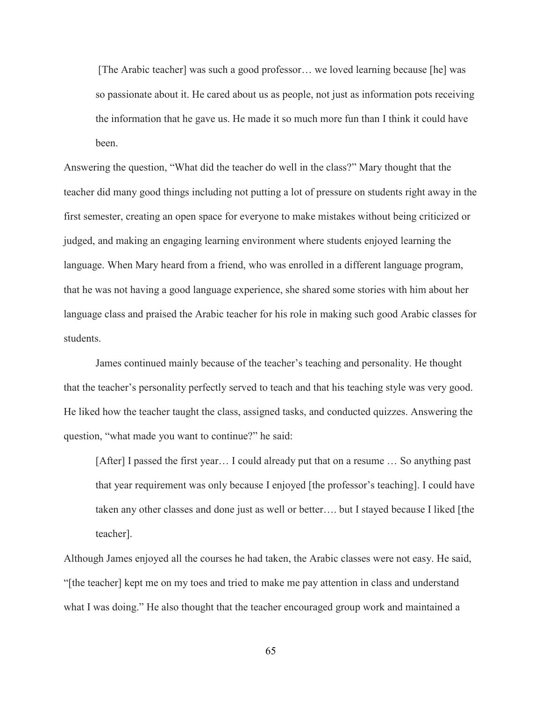[The Arabic teacher] was such a good professor… we loved learning because [he] was so passionate about it. He cared about us as people, not just as information pots receiving the information that he gave us. He made it so much more fun than I think it could have been.

Answering the question, "What did the teacher do well in the class?" Mary thought that the teacher did many good things including not putting a lot of pressure on students right away in the first semester, creating an open space for everyone to make mistakes without being criticized or judged, and making an engaging learning environment where students enjoyed learning the language. When Mary heard from a friend, who was enrolled in a different language program, that he was not having a good language experience, she shared some stories with him about her language class and praised the Arabic teacher for his role in making such good Arabic classes for students.

James continued mainly because of the teacher's teaching and personality. He thought that the teacher's personality perfectly served to teach and that his teaching style was very good. He liked how the teacher taught the class, assigned tasks, and conducted quizzes. Answering the question, "what made you want to continue?" he said:

[After] I passed the first year… I could already put that on a resume … So anything past that year requirement was only because I enjoyed [the professor's teaching]. I could have taken any other classes and done just as well or better…. but I stayed because I liked [the teacher].

Although James enjoyed all the courses he had taken, the Arabic classes were not easy. He said, "[the teacher] kept me on my toes and tried to make me pay attention in class and understand what I was doing." He also thought that the teacher encouraged group work and maintained a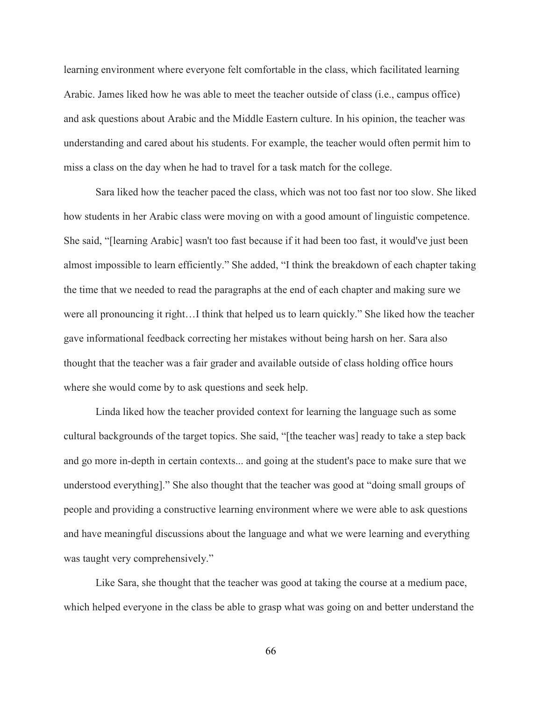learning environment where everyone felt comfortable in the class, which facilitated learning Arabic. James liked how he was able to meet the teacher outside of class (i.e., campus office) and ask questions about Arabic and the Middle Eastern culture. In his opinion, the teacher was understanding and cared about his students. For example, the teacher would often permit him to miss a class on the day when he had to travel for a task match for the college.

Sara liked how the teacher paced the class, which was not too fast nor too slow. She liked how students in her Arabic class were moving on with a good amount of linguistic competence. She said, "[learning Arabic] wasn't too fast because if it had been too fast, it would've just been almost impossible to learn efficiently." She added, "I think the breakdown of each chapter taking the time that we needed to read the paragraphs at the end of each chapter and making sure we were all pronouncing it right…I think that helped us to learn quickly." She liked how the teacher gave informational feedback correcting her mistakes without being harsh on her. Sara also thought that the teacher was a fair grader and available outside of class holding office hours where she would come by to ask questions and seek help.

Linda liked how the teacher provided context for learning the language such as some cultural backgrounds of the target topics. She said, "[the teacher was] ready to take a step back and go more in-depth in certain contexts... and going at the student's pace to make sure that we understood everything]." She also thought that the teacher was good at "doing small groups of people and providing a constructive learning environment where we were able to ask questions and have meaningful discussions about the language and what we were learning and everything was taught very comprehensively."

Like Sara, she thought that the teacher was good at taking the course at a medium pace, which helped everyone in the class be able to grasp what was going on and better understand the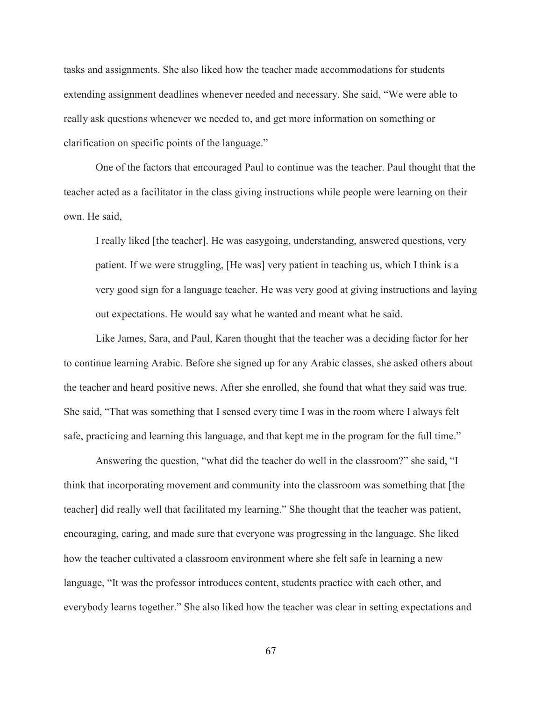tasks and assignments. She also liked how the teacher made accommodations for students extending assignment deadlines whenever needed and necessary. She said, "We were able to really ask questions whenever we needed to, and get more information on something or clarification on specific points of the language."

One of the factors that encouraged Paul to continue was the teacher. Paul thought that the teacher acted as a facilitator in the class giving instructions while people were learning on their own. He said,

I really liked [the teacher]. He was easygoing, understanding, answered questions, very patient. If we were struggling, [He was] very patient in teaching us, which I think is a very good sign for a language teacher. He was very good at giving instructions and laying out expectations. He would say what he wanted and meant what he said.

Like James, Sara, and Paul, Karen thought that the teacher was a deciding factor for her to continue learning Arabic. Before she signed up for any Arabic classes, she asked others about the teacher and heard positive news. After she enrolled, she found that what they said was true. She said, "That was something that I sensed every time I was in the room where I always felt safe, practicing and learning this language, and that kept me in the program for the full time."

Answering the question, "what did the teacher do well in the classroom?" she said, "I think that incorporating movement and community into the classroom was something that [the teacher] did really well that facilitated my learning." She thought that the teacher was patient, encouraging, caring, and made sure that everyone was progressing in the language. She liked how the teacher cultivated a classroom environment where she felt safe in learning a new language, "It was the professor introduces content, students practice with each other, and everybody learns together." She also liked how the teacher was clear in setting expectations and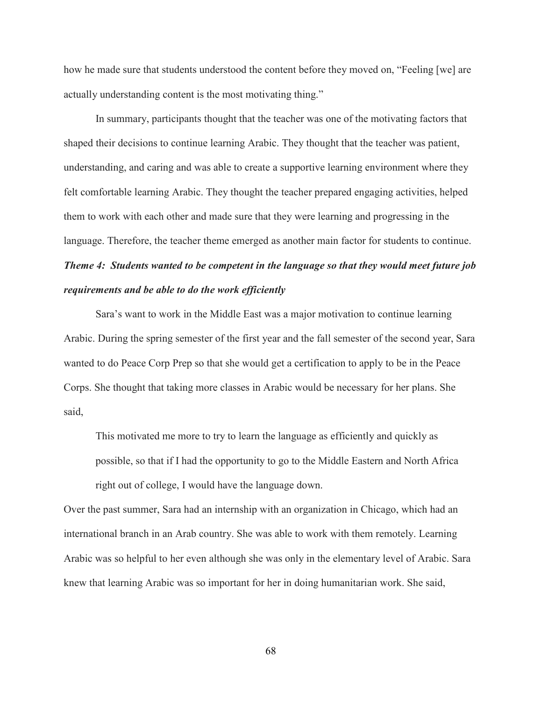how he made sure that students understood the content before they moved on, "Feeling [we] are actually understanding content is the most motivating thing."

In summary, participants thought that the teacher was one of the motivating factors that shaped their decisions to continue learning Arabic. They thought that the teacher was patient, understanding, and caring and was able to create a supportive learning environment where they felt comfortable learning Arabic. They thought the teacher prepared engaging activities, helped them to work with each other and made sure that they were learning and progressing in the language. Therefore, the teacher theme emerged as another main factor for students to continue. *Theme 4: Students wanted to be competent in the language so that they would meet future job* 

### *requirements and be able to do the work efficiently*

Sara's want to work in the Middle East was a major motivation to continue learning Arabic. During the spring semester of the first year and the fall semester of the second year, Sara wanted to do Peace Corp Prep so that she would get a certification to apply to be in the Peace Corps. She thought that taking more classes in Arabic would be necessary for her plans. She said,

This motivated me more to try to learn the language as efficiently and quickly as possible, so that if I had the opportunity to go to the Middle Eastern and North Africa right out of college, I would have the language down.

Over the past summer, Sara had an internship with an organization in Chicago, which had an international branch in an Arab country. She was able to work with them remotely. Learning Arabic was so helpful to her even although she was only in the elementary level of Arabic. Sara knew that learning Arabic was so important for her in doing humanitarian work. She said,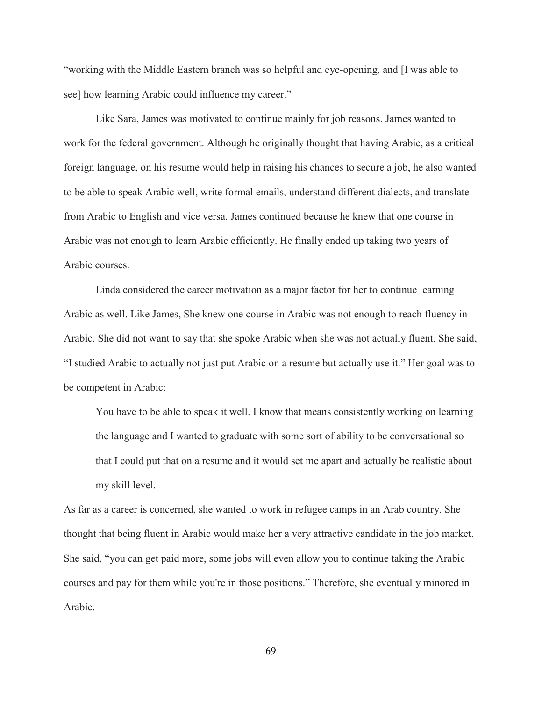"working with the Middle Eastern branch was so helpful and eye-opening, and [I was able to see] how learning Arabic could influence my career."

Like Sara, James was motivated to continue mainly for job reasons. James wanted to work for the federal government. Although he originally thought that having Arabic, as a critical foreign language, on his resume would help in raising his chances to secure a job, he also wanted to be able to speak Arabic well, write formal emails, understand different dialects, and translate from Arabic to English and vice versa. James continued because he knew that one course in Arabic was not enough to learn Arabic efficiently. He finally ended up taking two years of Arabic courses.

Linda considered the career motivation as a major factor for her to continue learning Arabic as well. Like James, She knew one course in Arabic was not enough to reach fluency in Arabic. She did not want to say that she spoke Arabic when she was not actually fluent. She said, "I studied Arabic to actually not just put Arabic on a resume but actually use it." Her goal was to be competent in Arabic:

You have to be able to speak it well. I know that means consistently working on learning the language and I wanted to graduate with some sort of ability to be conversational so that I could put that on a resume and it would set me apart and actually be realistic about my skill level.

As far as a career is concerned, she wanted to work in refugee camps in an Arab country. She thought that being fluent in Arabic would make her a very attractive candidate in the job market. She said, "you can get paid more, some jobs will even allow you to continue taking the Arabic courses and pay for them while you're in those positions." Therefore, she eventually minored in Arabic.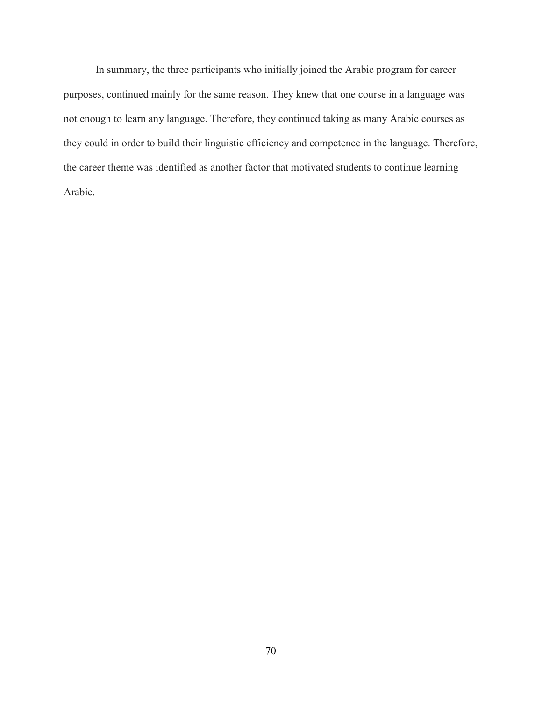In summary, the three participants who initially joined the Arabic program for career purposes, continued mainly for the same reason. They knew that one course in a language was not enough to learn any language. Therefore, they continued taking as many Arabic courses as they could in order to build their linguistic efficiency and competence in the language. Therefore, the career theme was identified as another factor that motivated students to continue learning Arabic.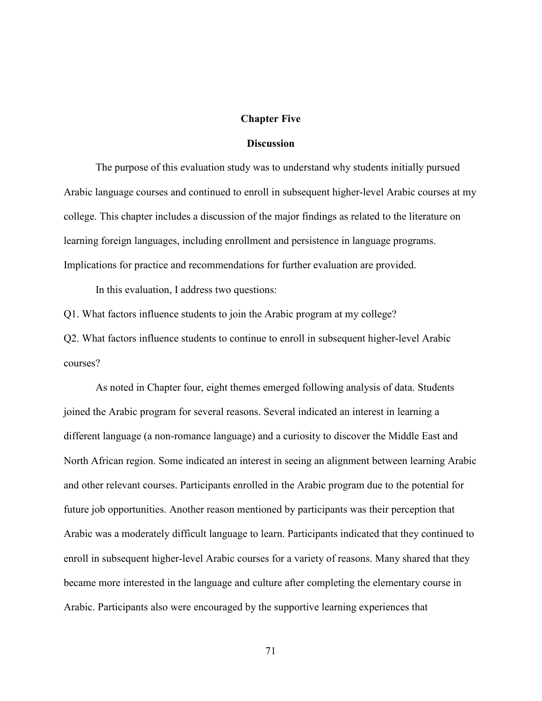#### **Chapter Five**

#### **Discussion**

The purpose of this evaluation study was to understand why students initially pursued Arabic language courses and continued to enroll in subsequent higher-level Arabic courses at my college. This chapter includes a discussion of the major findings as related to the literature on learning foreign languages, including enrollment and persistence in language programs. Implications for practice and recommendations for further evaluation are provided.

In this evaluation, I address two questions:

Q1. What factors influence students to join the Arabic program at my college?

Q2. What factors influence students to continue to enroll in subsequent higher-level Arabic courses?

As noted in Chapter four, eight themes emerged following analysis of data. Students joined the Arabic program for several reasons. Several indicated an interest in learning a different language (a non-romance language) and a curiosity to discover the Middle East and North African region. Some indicated an interest in seeing an alignment between learning Arabic and other relevant courses. Participants enrolled in the Arabic program due to the potential for future job opportunities. Another reason mentioned by participants was their perception that Arabic was a moderately difficult language to learn. Participants indicated that they continued to enroll in subsequent higher-level Arabic courses for a variety of reasons. Many shared that they became more interested in the language and culture after completing the elementary course in Arabic. Participants also were encouraged by the supportive learning experiences that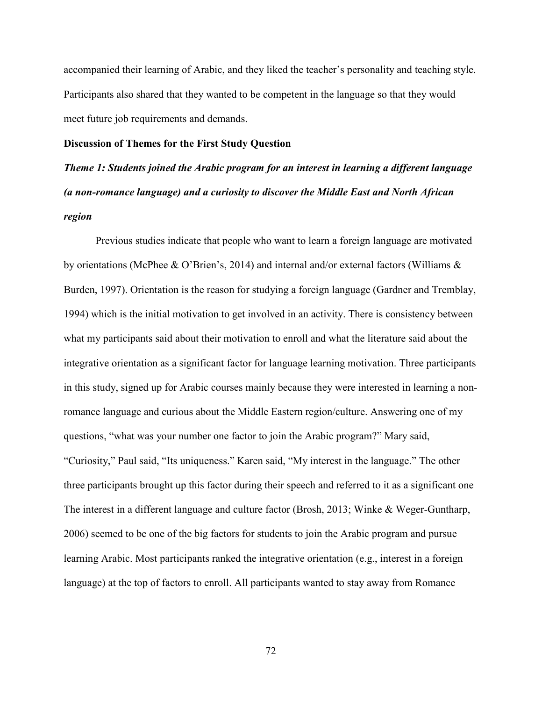accompanied their learning of Arabic, and they liked the teacher's personality and teaching style. Participants also shared that they wanted to be competent in the language so that they would meet future job requirements and demands.

### **Discussion of Themes for the First Study Question**

*Theme 1: Students joined the Arabic program for an interest in learning a different language (a non-romance language) and a curiosity to discover the Middle East and North African region*

Previous studies indicate that people who want to learn a foreign language are motivated by orientations (McPhee & O'Brien's, 2014) and internal and/or external factors (Williams & Burden, 1997). Orientation is the reason for studying a foreign language (Gardner and Tremblay, 1994) which is the initial motivation to get involved in an activity. There is consistency between what my participants said about their motivation to enroll and what the literature said about the integrative orientation as a significant factor for language learning motivation. Three participants in this study, signed up for Arabic courses mainly because they were interested in learning a nonromance language and curious about the Middle Eastern region/culture. Answering one of my questions, "what was your number one factor to join the Arabic program?" Mary said, "Curiosity," Paul said, "Its uniqueness." Karen said, "My interest in the language." The other three participants brought up this factor during their speech and referred to it as a significant one The interest in a different language and culture factor (Brosh, 2013; Winke & Weger-Guntharp, 2006) seemed to be one of the big factors for students to join the Arabic program and pursue learning Arabic. Most participants ranked the integrative orientation (e.g., interest in a foreign language) at the top of factors to enroll. All participants wanted to stay away from Romance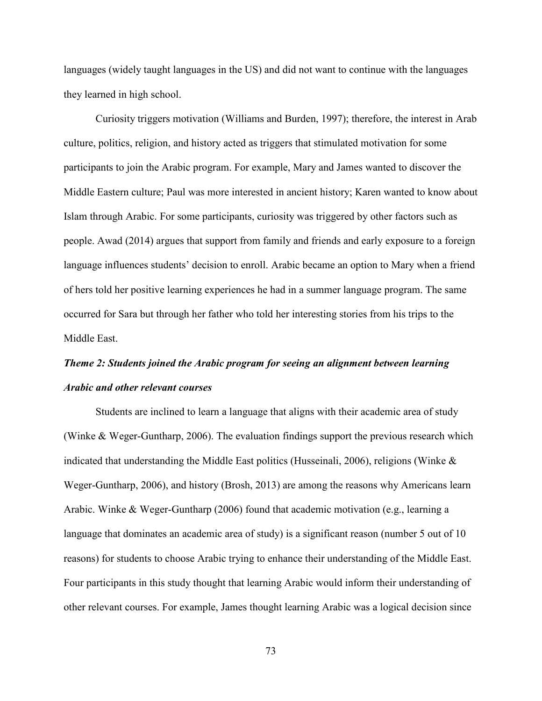languages (widely taught languages in the US) and did not want to continue with the languages they learned in high school.

Curiosity triggers motivation (Williams and Burden, 1997); therefore, the interest in Arab culture, politics, religion, and history acted as triggers that stimulated motivation for some participants to join the Arabic program. For example, Mary and James wanted to discover the Middle Eastern culture; Paul was more interested in ancient history; Karen wanted to know about Islam through Arabic. For some participants, curiosity was triggered by other factors such as people. Awad (2014) argues that support from family and friends and early exposure to a foreign language influences students' decision to enroll. Arabic became an option to Mary when a friend of hers told her positive learning experiences he had in a summer language program. The same occurred for Sara but through her father who told her interesting stories from his trips to the Middle East.

# *Theme 2: Students joined the Arabic program for seeing an alignment between learning Arabic and other relevant courses*

Students are inclined to learn a language that aligns with their academic area of study (Winke & Weger-Guntharp, 2006). The evaluation findings support the previous research which indicated that understanding the Middle East politics (Husseinali, 2006), religions (Winke  $\&$ Weger-Guntharp, 2006), and history (Brosh, 2013) are among the reasons why Americans learn Arabic. Winke & Weger-Guntharp (2006) found that academic motivation (e.g., learning a language that dominates an academic area of study) is a significant reason (number 5 out of 10 reasons) for students to choose Arabic trying to enhance their understanding of the Middle East. Four participants in this study thought that learning Arabic would inform their understanding of other relevant courses. For example, James thought learning Arabic was a logical decision since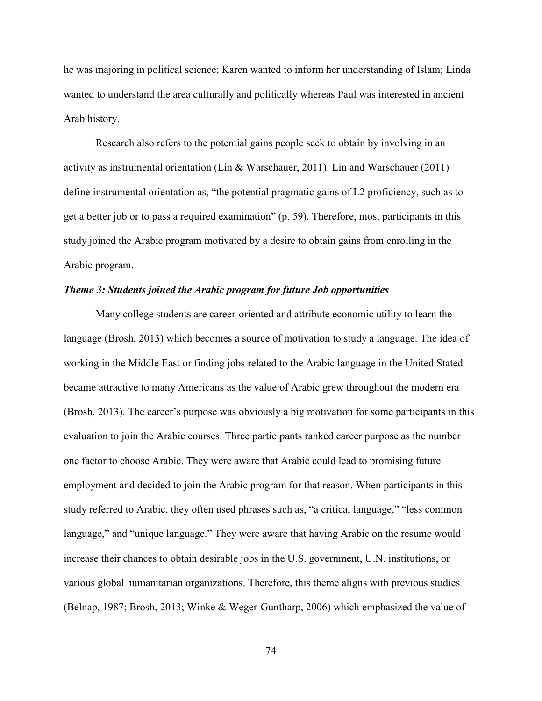he was majoring in political science; Karen wanted to inform her understanding of Islam; Linda wanted to understand the area culturally and politically whereas Paul was interested in ancient Arab history.

Research also refers to the potential gains people seek to obtain by involving in an activity as instrumental orientation (Lin & Warschauer, 2011). Lin and Warschauer (2011) define instrumental orientation as, "the potential pragmatic gains of L2 proficiency, such as to get a better job or to pass a required examination" (p. 59). Therefore, most participants in this study joined the Arabic program motivated by a desire to obtain gains from enrolling in the Arabic program.

### *Theme 3: Students joined the Arabic program for future Job opportunities*

 Many college students are career-oriented and attribute economic utility to learn the language (Brosh, 2013) which becomes a source of motivation to study a language. The idea of working in the Middle East or finding jobs related to the Arabic language in the United Stated became attractive to many Americans as the value of Arabic grew throughout the modern era (Brosh, 2013). The career's purpose was obviously a big motivation for some participants in this evaluation to join the Arabic courses. Three participants ranked career purpose as the number one factor to choose Arabic. They were aware that Arabic could lead to promising future employment and decided to join the Arabic program for that reason. When participants in this study referred to Arabic, they often used phrases such as, "a critical language," "less common language," and "unique language." They were aware that having Arabic on the resume would increase their chances to obtain desirable jobs in the U.S. government, U.N. institutions, or various global humanitarian organizations. Therefore, this theme aligns with previous studies (Belnap, 1987; Brosh, 2013; Winke & Weger-Guntharp, 2006) which emphasized the value of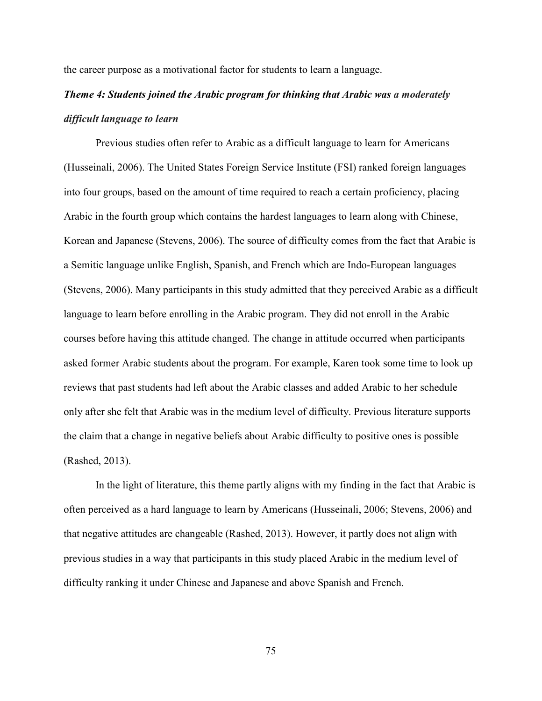the career purpose as a motivational factor for students to learn a language.

# *Theme 4: Students joined the Arabic program for thinking that Arabic was a moderately difficult language to learn*

Previous studies often refer to Arabic as a difficult language to learn for Americans (Husseinali, 2006). The United States Foreign Service Institute (FSI) ranked foreign languages into four groups, based on the amount of time required to reach a certain proficiency, placing Arabic in the fourth group which contains the hardest languages to learn along with Chinese, Korean and Japanese (Stevens, 2006). The source of difficulty comes from the fact that Arabic is a Semitic language unlike English, Spanish, and French which are Indo-European languages (Stevens, 2006). Many participants in this study admitted that they perceived Arabic as a difficult language to learn before enrolling in the Arabic program. They did not enroll in the Arabic courses before having this attitude changed. The change in attitude occurred when participants asked former Arabic students about the program. For example, Karen took some time to look up reviews that past students had left about the Arabic classes and added Arabic to her schedule only after she felt that Arabic was in the medium level of difficulty. Previous literature supports the claim that a change in negative beliefs about Arabic difficulty to positive ones is possible (Rashed, 2013).

In the light of literature, this theme partly aligns with my finding in the fact that Arabic is often perceived as a hard language to learn by Americans (Husseinali, 2006; Stevens, 2006) and that negative attitudes are changeable (Rashed, 2013). However, it partly does not align with previous studies in a way that participants in this study placed Arabic in the medium level of difficulty ranking it under Chinese and Japanese and above Spanish and French.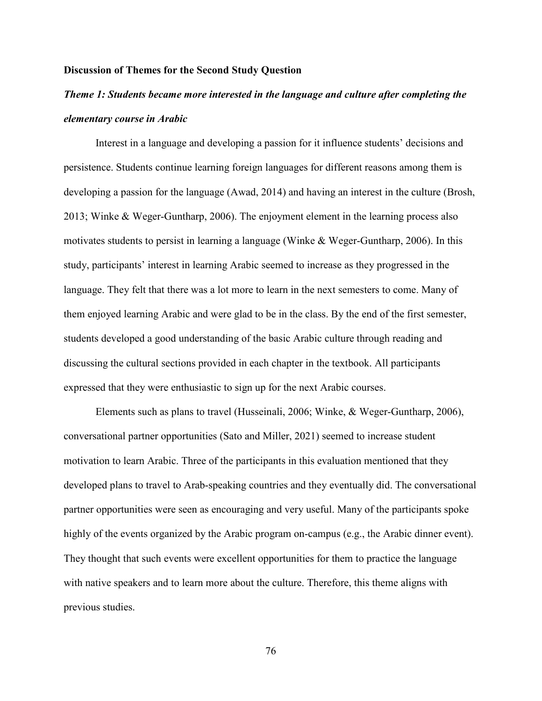### **Discussion of Themes for the Second Study Question**

# *Theme 1: Students became more interested in the language and culture after completing the elementary course in Arabic*

Interest in a language and developing a passion for it influence students' decisions and persistence. Students continue learning foreign languages for different reasons among them is developing a passion for the language (Awad, 2014) and having an interest in the culture (Brosh, 2013; Winke & Weger-Guntharp, 2006). The enjoyment element in the learning process also motivates students to persist in learning a language (Winke & Weger-Guntharp, 2006). In this study, participants' interest in learning Arabic seemed to increase as they progressed in the language. They felt that there was a lot more to learn in the next semesters to come. Many of them enjoyed learning Arabic and were glad to be in the class. By the end of the first semester, students developed a good understanding of the basic Arabic culture through reading and discussing the cultural sections provided in each chapter in the textbook. All participants expressed that they were enthusiastic to sign up for the next Arabic courses.

Elements such as plans to travel (Husseinali, 2006; Winke, & Weger-Guntharp, 2006), conversational partner opportunities (Sato and Miller, 2021) seemed to increase student motivation to learn Arabic. Three of the participants in this evaluation mentioned that they developed plans to travel to Arab-speaking countries and they eventually did. The conversational partner opportunities were seen as encouraging and very useful. Many of the participants spoke highly of the events organized by the Arabic program on-campus (e.g., the Arabic dinner event). They thought that such events were excellent opportunities for them to practice the language with native speakers and to learn more about the culture. Therefore, this theme aligns with previous studies.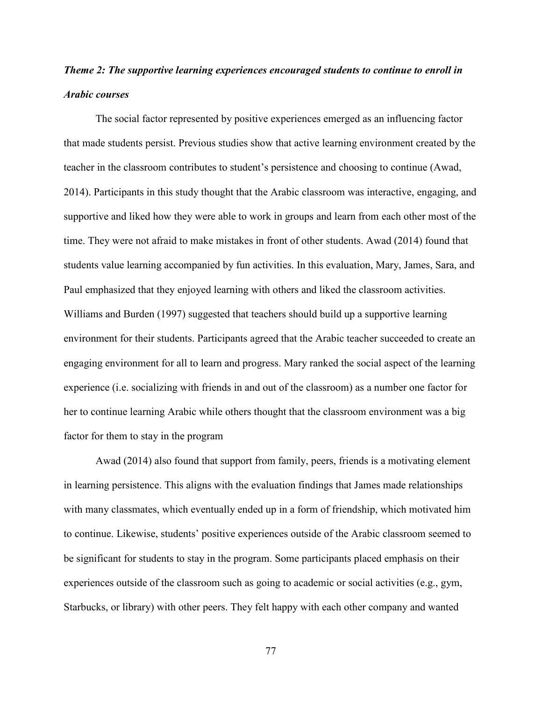# *Theme 2: The supportive learning experiences encouraged students to continue to enroll in Arabic courses*

The social factor represented by positive experiences emerged as an influencing factor that made students persist. Previous studies show that active learning environment created by the teacher in the classroom contributes to student's persistence and choosing to continue (Awad, 2014). Participants in this study thought that the Arabic classroom was interactive, engaging, and supportive and liked how they were able to work in groups and learn from each other most of the time. They were not afraid to make mistakes in front of other students. Awad (2014) found that students value learning accompanied by fun activities. In this evaluation, Mary, James, Sara, and Paul emphasized that they enjoyed learning with others and liked the classroom activities. Williams and Burden (1997) suggested that teachers should build up a supportive learning environment for their students. Participants agreed that the Arabic teacher succeeded to create an engaging environment for all to learn and progress. Mary ranked the social aspect of the learning experience (i.e. socializing with friends in and out of the classroom) as a number one factor for her to continue learning Arabic while others thought that the classroom environment was a big factor for them to stay in the program

Awad (2014) also found that support from family, peers, friends is a motivating element in learning persistence. This aligns with the evaluation findings that James made relationships with many classmates, which eventually ended up in a form of friendship, which motivated him to continue. Likewise, students' positive experiences outside of the Arabic classroom seemed to be significant for students to stay in the program. Some participants placed emphasis on their experiences outside of the classroom such as going to academic or social activities (e.g., gym, Starbucks, or library) with other peers. They felt happy with each other company and wanted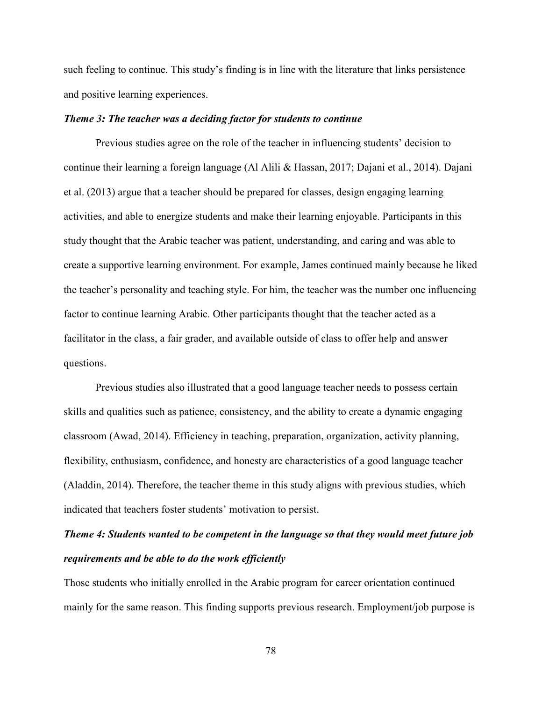such feeling to continue. This study's finding is in line with the literature that links persistence and positive learning experiences.

### *Theme 3: The teacher was a deciding factor for students to continue*

Previous studies agree on the role of the teacher in influencing students' decision to continue their learning a foreign language (Al Alili & Hassan, 2017; Dajani et al., 2014). Dajani et al. (2013) argue that a teacher should be prepared for classes, design engaging learning activities, and able to energize students and make their learning enjoyable. Participants in this study thought that the Arabic teacher was patient, understanding, and caring and was able to create a supportive learning environment. For example, James continued mainly because he liked the teacher's personality and teaching style. For him, the teacher was the number one influencing factor to continue learning Arabic. Other participants thought that the teacher acted as a facilitator in the class, a fair grader, and available outside of class to offer help and answer questions.

Previous studies also illustrated that a good language teacher needs to possess certain skills and qualities such as patience, consistency, and the ability to create a dynamic engaging classroom (Awad, 2014). Efficiency in teaching, preparation, organization, activity planning, flexibility, enthusiasm, confidence, and honesty are characteristics of a good language teacher (Aladdin, 2014). Therefore, the teacher theme in this study aligns with previous studies, which indicated that teachers foster students' motivation to persist.

# *Theme 4: Students wanted to be competent in the language so that they would meet future job requirements and be able to do the work efficiently*

Those students who initially enrolled in the Arabic program for career orientation continued mainly for the same reason. This finding supports previous research. Employment/job purpose is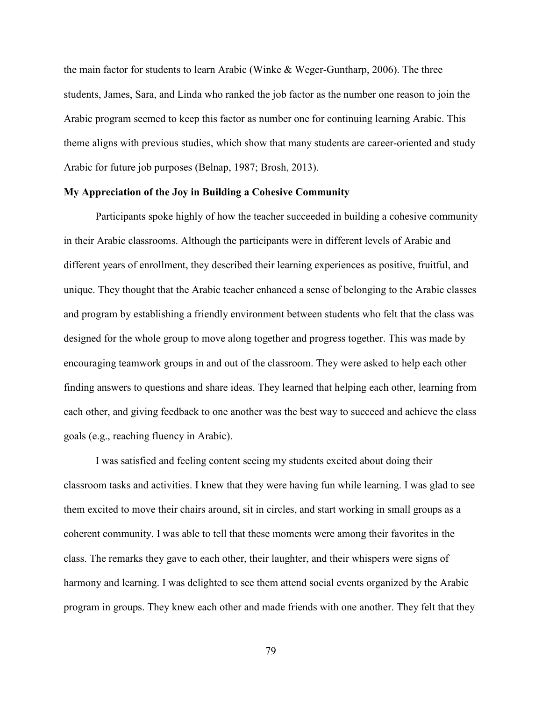the main factor for students to learn Arabic (Winke & Weger-Guntharp, 2006). The three students, James, Sara, and Linda who ranked the job factor as the number one reason to join the Arabic program seemed to keep this factor as number one for continuing learning Arabic. This theme aligns with previous studies, which show that many students are career-oriented and study Arabic for future job purposes (Belnap, 1987; Brosh, 2013).

#### **My Appreciation of the Joy in Building a Cohesive Community**

Participants spoke highly of how the teacher succeeded in building a cohesive community in their Arabic classrooms. Although the participants were in different levels of Arabic and different years of enrollment, they described their learning experiences as positive, fruitful, and unique. They thought that the Arabic teacher enhanced a sense of belonging to the Arabic classes and program by establishing a friendly environment between students who felt that the class was designed for the whole group to move along together and progress together. This was made by encouraging teamwork groups in and out of the classroom. They were asked to help each other finding answers to questions and share ideas. They learned that helping each other, learning from each other, and giving feedback to one another was the best way to succeed and achieve the class goals (e.g., reaching fluency in Arabic).

I was satisfied and feeling content seeing my students excited about doing their classroom tasks and activities. I knew that they were having fun while learning. I was glad to see them excited to move their chairs around, sit in circles, and start working in small groups as a coherent community. I was able to tell that these moments were among their favorites in the class. The remarks they gave to each other, their laughter, and their whispers were signs of harmony and learning. I was delighted to see them attend social events organized by the Arabic program in groups. They knew each other and made friends with one another. They felt that they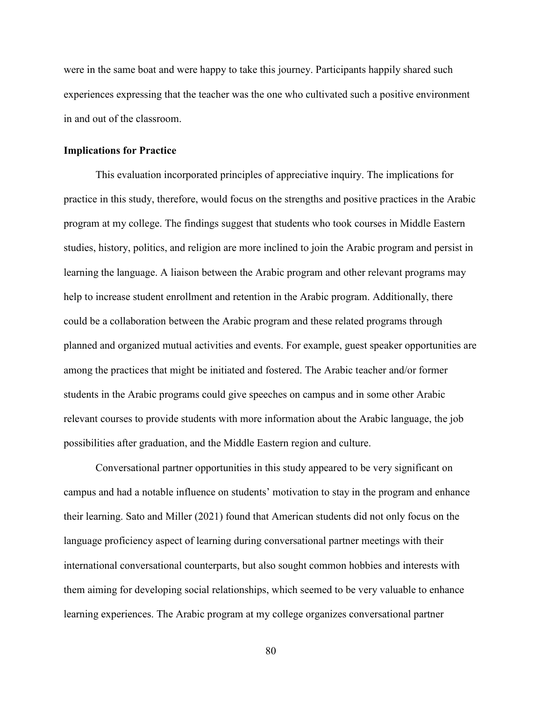were in the same boat and were happy to take this journey. Participants happily shared such experiences expressing that the teacher was the one who cultivated such a positive environment in and out of the classroom.

### **Implications for Practice**

This evaluation incorporated principles of appreciative inquiry. The implications for practice in this study, therefore, would focus on the strengths and positive practices in the Arabic program at my college. The findings suggest that students who took courses in Middle Eastern studies, history, politics, and religion are more inclined to join the Arabic program and persist in learning the language. A liaison between the Arabic program and other relevant programs may help to increase student enrollment and retention in the Arabic program. Additionally, there could be a collaboration between the Arabic program and these related programs through planned and organized mutual activities and events. For example, guest speaker opportunities are among the practices that might be initiated and fostered. The Arabic teacher and/or former students in the Arabic programs could give speeches on campus and in some other Arabic relevant courses to provide students with more information about the Arabic language, the job possibilities after graduation, and the Middle Eastern region and culture.

Conversational partner opportunities in this study appeared to be very significant on campus and had a notable influence on students' motivation to stay in the program and enhance their learning. Sato and Miller (2021) found that American students did not only focus on the language proficiency aspect of learning during conversational partner meetings with their international conversational counterparts, but also sought common hobbies and interests with them aiming for developing social relationships, which seemed to be very valuable to enhance learning experiences. The Arabic program at my college organizes conversational partner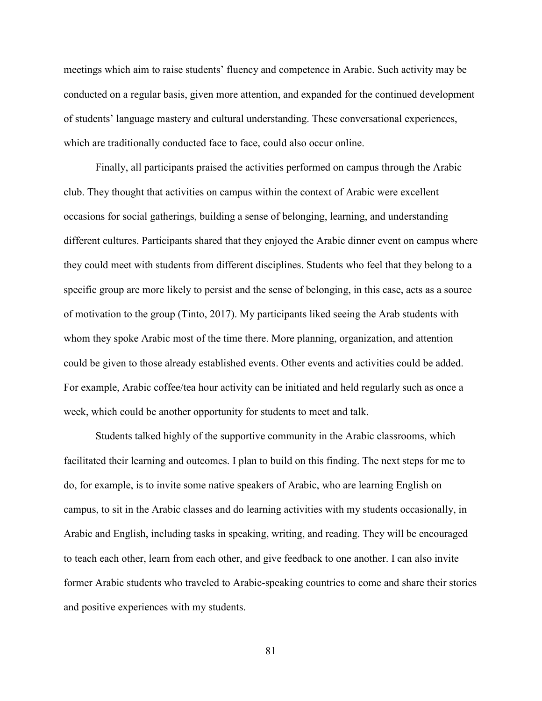meetings which aim to raise students' fluency and competence in Arabic. Such activity may be conducted on a regular basis, given more attention, and expanded for the continued development of students' language mastery and cultural understanding. These conversational experiences, which are traditionally conducted face to face, could also occur online.

 Finally, all participants praised the activities performed on campus through the Arabic club. They thought that activities on campus within the context of Arabic were excellent occasions for social gatherings, building a sense of belonging, learning, and understanding different cultures. Participants shared that they enjoyed the Arabic dinner event on campus where they could meet with students from different disciplines. Students who feel that they belong to a specific group are more likely to persist and the sense of belonging, in this case, acts as a source of motivation to the group (Tinto, 2017). My participants liked seeing the Arab students with whom they spoke Arabic most of the time there. More planning, organization, and attention could be given to those already established events. Other events and activities could be added. For example, Arabic coffee/tea hour activity can be initiated and held regularly such as once a week, which could be another opportunity for students to meet and talk.

 Students talked highly of the supportive community in the Arabic classrooms, which facilitated their learning and outcomes. I plan to build on this finding. The next steps for me to do, for example, is to invite some native speakers of Arabic, who are learning English on campus, to sit in the Arabic classes and do learning activities with my students occasionally, in Arabic and English, including tasks in speaking, writing, and reading. They will be encouraged to teach each other, learn from each other, and give feedback to one another. I can also invite former Arabic students who traveled to Arabic-speaking countries to come and share their stories and positive experiences with my students.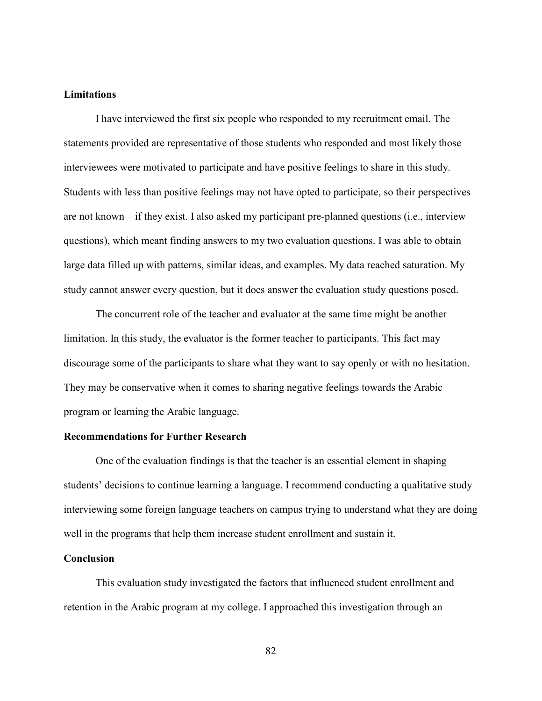### **Limitations**

I have interviewed the first six people who responded to my recruitment email. The statements provided are representative of those students who responded and most likely those interviewees were motivated to participate and have positive feelings to share in this study. Students with less than positive feelings may not have opted to participate, so their perspectives are not known—if they exist. I also asked my participant pre-planned questions (i.e., interview questions), which meant finding answers to my two evaluation questions. I was able to obtain large data filled up with patterns, similar ideas, and examples. My data reached saturation. My study cannot answer every question, but it does answer the evaluation study questions posed.

The concurrent role of the teacher and evaluator at the same time might be another limitation. In this study, the evaluator is the former teacher to participants. This fact may discourage some of the participants to share what they want to say openly or with no hesitation. They may be conservative when it comes to sharing negative feelings towards the Arabic program or learning the Arabic language.

### **Recommendations for Further Research**

 One of the evaluation findings is that the teacher is an essential element in shaping students' decisions to continue learning a language. I recommend conducting a qualitative study interviewing some foreign language teachers on campus trying to understand what they are doing well in the programs that help them increase student enrollment and sustain it.

### **Conclusion**

This evaluation study investigated the factors that influenced student enrollment and retention in the Arabic program at my college. I approached this investigation through an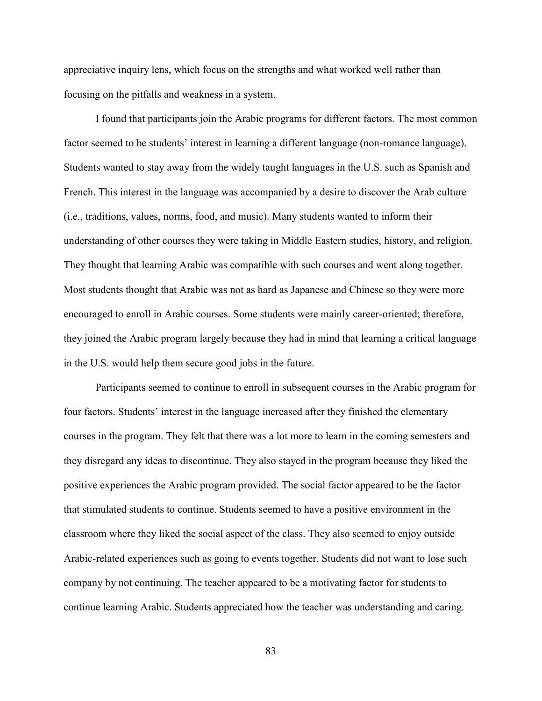appreciative inquiry lens, which focus on the strengths and what worked well rather than focusing on the pitfalls and weakness in a system.

I found that participants join the Arabic programs for different factors. The most common factor seemed to be students' interest in learning a different language (non-romance language). Students wanted to stay away from the widely taught languages in the U.S. such as Spanish and French. This interest in the language was accompanied by a desire to discover the Arab culture (i.e., traditions, values, norms, food, and music). Many students wanted to inform their understanding of other courses they were taking in Middle Eastern studies, history, and religion. They thought that learning Arabic was compatible with such courses and went along together. Most students thought that Arabic was not as hard as Japanese and Chinese so they were more encouraged to enroll in Arabic courses. Some students were mainly career-oriented; therefore, they joined the Arabic program largely because they had in mind that learning a critical language in the U.S. would help them secure good jobs in the future.

Participants seemed to continue to enroll in subsequent courses in the Arabic program for four factors. Students' interest in the language increased after they finished the elementary courses in the program. They felt that there was a lot more to learn in the coming semesters and they disregard any ideas to discontinue. They also stayed in the program because they liked the positive experiences the Arabic program provided. The social factor appeared to be the factor that stimulated students to continue. Students seemed to have a positive environment in the classroom where they liked the social aspect of the class. They also seemed to enjoy outside Arabic-related experiences such as going to events together. Students did not want to lose such company by not continuing. The teacher appeared to be a motivating factor for students to continue learning Arabic. Students appreciated how the teacher was understanding and caring.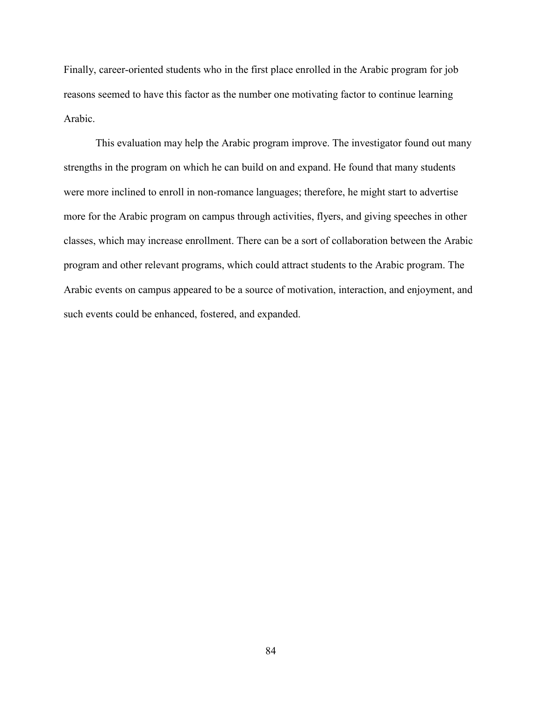Finally, career-oriented students who in the first place enrolled in the Arabic program for job reasons seemed to have this factor as the number one motivating factor to continue learning Arabic.

This evaluation may help the Arabic program improve. The investigator found out many strengths in the program on which he can build on and expand. He found that many students were more inclined to enroll in non-romance languages; therefore, he might start to advertise more for the Arabic program on campus through activities, flyers, and giving speeches in other classes, which may increase enrollment. There can be a sort of collaboration between the Arabic program and other relevant programs, which could attract students to the Arabic program. The Arabic events on campus appeared to be a source of motivation, interaction, and enjoyment, and such events could be enhanced, fostered, and expanded.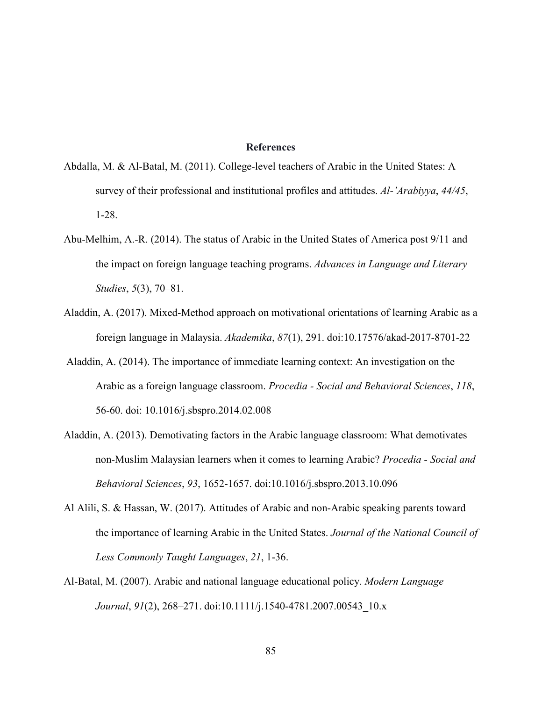#### **References**

- Abdalla, M. & Al-Batal, M. (2011). College-level teachers of Arabic in the United States: A survey of their professional and institutional profiles and attitudes. *Al-'Arabiyya*, *44/45*, 1-28.
- Abu-Melhim, A.-R. (2014). The status of Arabic in the United States of America post 9/11 and the impact on foreign language teaching programs. *Advances in Language and Literary Studies*, *5*(3), 70–81.
- Aladdin, A. (2017). Mixed-Method approach on motivational orientations of learning Arabic as a foreign language in Malaysia. *Akademika*, *87*(1), 291. doi:10.17576/akad-2017-8701-22
- Aladdin, A. (2014). The importance of immediate learning context: An investigation on the Arabic as a foreign language classroom. *Procedia - Social and Behavioral Sciences*, *118*, 56-60. doi: 10.1016/j.sbspro.2014.02.008
- Aladdin, A. (2013). Demotivating factors in the Arabic language classroom: What demotivates non-Muslim Malaysian learners when it comes to learning Arabic? *Procedia - Social and Behavioral Sciences*, *93*, 1652-1657. doi:10.1016/j.sbspro.2013.10.096
- Al Alili, S. & Hassan, W. (2017). Attitudes of Arabic and non-Arabic speaking parents toward the importance of learning Arabic in the United States. *Journal of the National Council of Less Commonly Taught Languages*, *21*, 1-36.
- Al-Batal, M. (2007). Arabic and national language educational policy. *Modern Language Journal*, *91*(2), 268–271. doi:10.1111/j.1540-4781.2007.00543\_10.x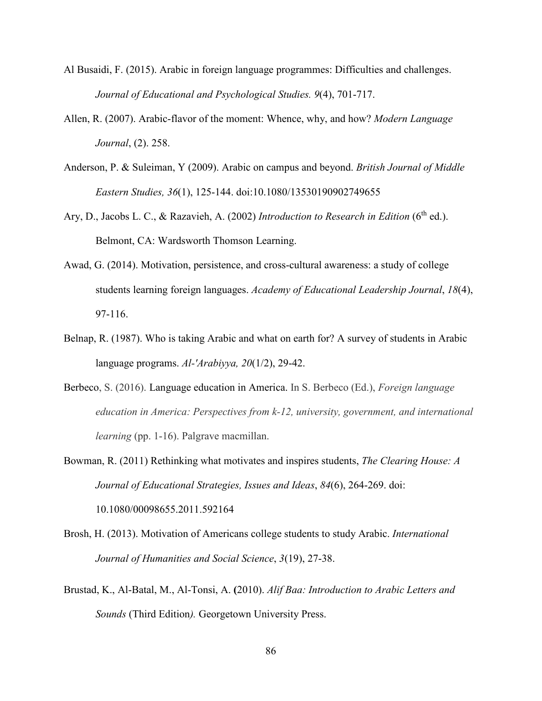- Al Busaidi, F. (2015). Arabic in foreign language programmes: Difficulties and challenges. *Journal of Educational and Psychological Studies. 9*(4), 701-717.
- Allen, R. (2007). Arabic-flavor of the moment: Whence, why, and how? *Modern Language Journal*, (2). 258.
- Anderson, P. & Suleiman, Y (2009). Arabic on campus and beyond. *British Journal of Middle Eastern Studies, 36*(1), 125-144. doi:10.1080/13530190902749655
- Ary, D., Jacobs L. C., & Razavieh, A. (2002) *Introduction to Research in Edition* (6<sup>th</sup> ed.). Belmont, CA: Wardsworth Thomson Learning.
- Awad, G. (2014). Motivation, persistence, and cross-cultural awareness: a study of college students learning foreign languages. *Academy of Educational Leadership Journal*, *18*(4), 97-116.
- Belnap, R. (1987). Who is taking Arabic and what on earth for? A survey of students in Arabic language programs. *Al-'Arabiyya, 20*(1/2), 29-42.
- Berbeco, S. (2016). Language education in America. In S. Berbeco (Ed.), *Foreign language education in America: Perspectives from k-12, university, government, and international learning* (pp. 1-16). Palgrave macmillan.

Bowman, R. (2011) Rethinking what motivates and inspires students, *The Clearing House: A Journal of Educational Strategies, Issues and Ideas*, *84*(6), 264-269. doi: 10.1080/00098655.2011.592164

- Brosh, H. (2013). Motivation of Americans college students to study Arabic. *International Journal of Humanities and Social Science*, *3*(19), 27-38.
- Brustad, K., Al-Batal, M., Al-Tonsi, A. **(**2010). *Alif Baa: Introduction to Arabic Letters and Sounds* (Third Edition*).* Georgetown University Press.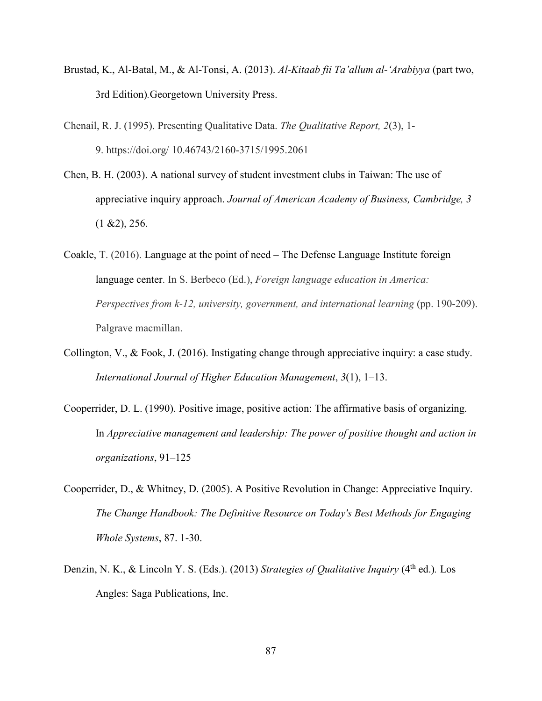- Brustad, K., Al-Batal, M., & Al-Tonsi, A. (2013). *Al-Kitaab fii Ta'allum al-'Arabiyya* (part two, 3rd Edition)*.*Georgetown University Press.
- Chenail, R. J. (1995). Presenting Qualitative Data. *The Qualitative Report, 2*(3), 1- 9. https://doi.org/ 10.46743/2160-3715/1995.2061
- Chen, B. H. (2003). A national survey of student investment clubs in Taiwan: The use of appreciative inquiry approach. *Journal of American Academy of Business, Cambridge, 3*  $(1 \& 2), 256.$
- Coakle, T. (2016). Language at the point of need The Defense Language Institute foreign language center. In S. Berbeco (Ed.), *Foreign language education in America: Perspectives from k-12, university, government, and international learning (pp. 190-209).* Palgrave macmillan.
- Collington, V., & Fook, J. (2016). Instigating change through appreciative inquiry: a case study. *International Journal of Higher Education Management*, *3*(1), 1–13.
- Cooperrider, D. L. (1990). Positive image, positive action: The affirmative basis of organizing. In *Appreciative management and leadership: The power of positive thought and action in organizations*, 91–125
- Cooperrider, D., & Whitney, D. (2005). A Positive Revolution in Change: Appreciative Inquiry. *The Change Handbook: The Definitive Resource on Today's Best Methods for Engaging Whole Systems*, 87. 1-30.
- Denzin, N. K., & Lincoln Y. S. (Eds.). (2013) *Strategies of Qualitative Inquiry* (4<sup>th</sup> ed.). Los Angles: Saga Publications, Inc.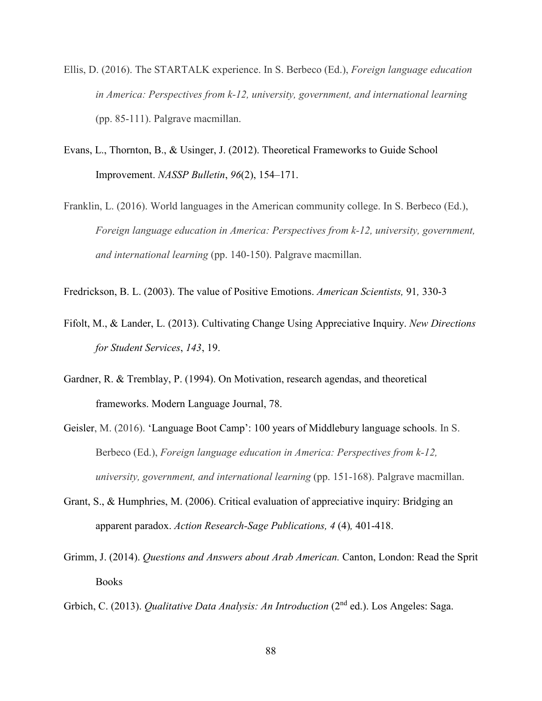- Ellis, D. (2016). The STARTALK experience. In S. Berbeco (Ed.), *Foreign language education in America: Perspectives from k-12, university, government, and international learning*  (pp. 85-111). Palgrave macmillan.
- Evans, L., Thornton, B., & Usinger, J. (2012). Theoretical Frameworks to Guide School Improvement. *NASSP Bulletin*, *96*(2), 154–171.
- Franklin, L. (2016). World languages in the American community college. In S. Berbeco (Ed.), *Foreign language education in America: Perspectives from k-12, university, government, and international learning* (pp. 140-150). Palgrave macmillan.
- Fredrickson, B. L. (2003). The value of Positive Emotions. *American Scientists,* 91*,* 330-3
- Fifolt, M., & Lander, L. (2013). Cultivating Change Using Appreciative Inquiry. *New Directions for Student Services*, *143*, 19.
- Gardner, R. & Tremblay, P. (1994). On Motivation, research agendas, and theoretical frameworks. Modern Language Journal, 78.
- Geisler, M. (2016). 'Language Boot Camp': 100 years of Middlebury language schools. In S. Berbeco (Ed.), *Foreign language education in America: Perspectives from k-12, university, government, and international learning* (pp. 151-168). Palgrave macmillan.
- Grant, S., & Humphries, M. (2006). Critical evaluation of appreciative inquiry: Bridging an apparent paradox. *Action Research-Sage Publications, 4* (4)*,* 401-418.
- Grimm, J. (2014). *Questions and Answers about Arab American.* Canton, London: Read the Sprit **Books**
- Grbich, C. (2013). *Qualitative Data Analysis: An Introduction* (2nd ed.). Los Angeles: Saga.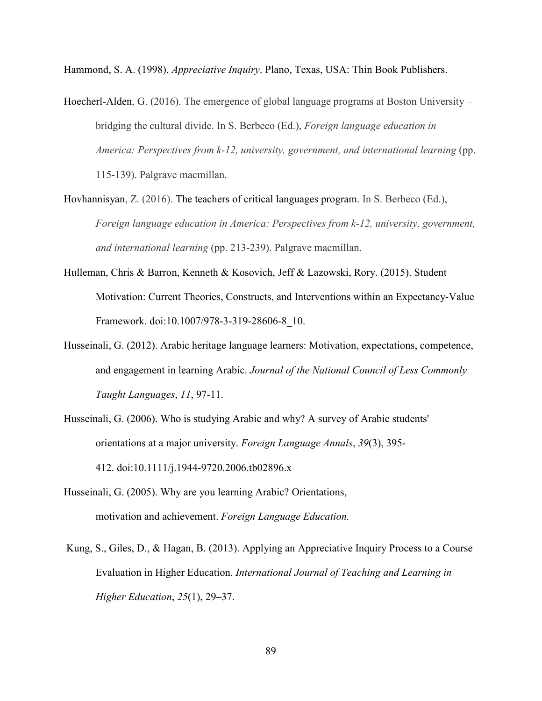Hammond, S. A. (1998). *Appreciative Inquiry*. Plano, Texas, USA: Thin Book Publishers.

- Hoecherl-Alden, G. (2016). The emergence of global language programs at Boston University bridging the cultural divide. In S. Berbeco (Ed.), *Foreign language education in America: Perspectives from k-12, university, government, and international learning (pp.* 115-139). Palgrave macmillan.
- Hovhannisyan, Z. (2016). The teachers of critical languages program. In S. Berbeco (Ed.), *Foreign language education in America: Perspectives from k-12, university, government, and international learning* (pp. 213-239). Palgrave macmillan.
- Hulleman, Chris & Barron, Kenneth & Kosovich, Jeff & Lazowski, Rory. (2015). Student Motivation: Current Theories, Constructs, and Interventions within an Expectancy-Value Framework. doi:10.1007/978-3-319-28606-8\_10.
- Husseinali, G. (2012). Arabic heritage language learners: Motivation, expectations, competence, and engagement in learning Arabic. *Journal of the National Council of Less Commonly Taught Languages*, *11*, 97-11.
- Husseinali, G. (2006). Who is studying Arabic and why? A survey of Arabic students' orientations at a major university. *Foreign Language Annals*, *39*(3), 395- 412. doi:10.1111/j.1944-9720.2006.tb02896.x
- Husseinali, G. (2005). Why are you learning Arabic? Orientations, motivation and achievement. *Foreign Language Education.*
- Kung, S., Giles, D., & Hagan, B. (2013). Applying an Appreciative Inquiry Process to a Course Evaluation in Higher Education. *International Journal of Teaching and Learning in Higher Education*, *25*(1), 29–37.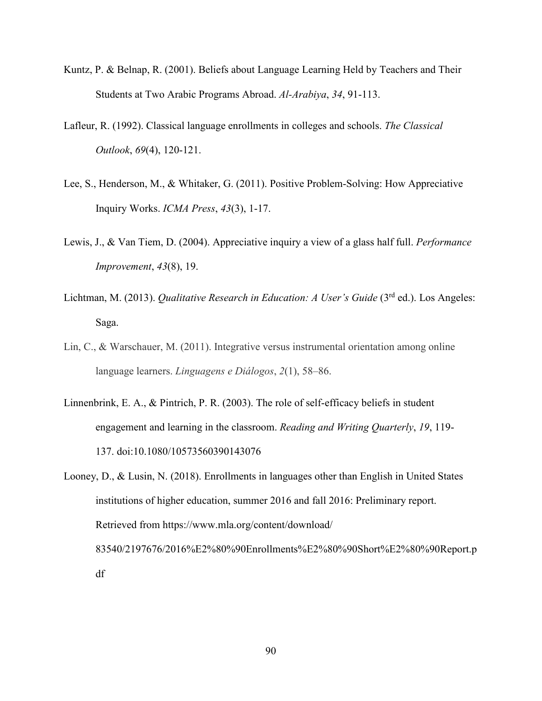- Kuntz, P. & Belnap, R. (2001). Beliefs about Language Learning Held by Teachers and Their Students at Two Arabic Programs Abroad. *Al-Arabiya*, *34*, 91-113.
- Lafleur, R. (1992). Classical language enrollments in colleges and schools. *The Classical Outlook*, *69*(4), 120-121.
- Lee, S., Henderson, M., & Whitaker, G. (2011). Positive Problem-Solving: How Appreciative Inquiry Works. *ICMA Press*, *43*(3), 1-17.
- Lewis, J., & Van Tiem, D. (2004). Appreciative inquiry a view of a glass half full. *Performance Improvement*, *43*(8), 19.
- Lichtman, M. (2013). *Qualitative Research in Education: A User's Guide* (3<sup>rd</sup> ed.). Los Angeles: Saga.
- Lin, C., & Warschauer, M. (2011). Integrative versus instrumental orientation among online language learners. *Linguagens e Diálogos*, *2*(1), 58–86.
- Linnenbrink, E. A., & Pintrich, P. R. (2003). The role of self-efficacy beliefs in student engagement and learning in the classroom. *Reading and Writing Quarterly*, *19*, 119- 137. doi:10.1080/10573560390143076
- Looney, D., & Lusin, N. (2018). Enrollments in languages other than English in United States institutions of higher education, summer 2016 and fall 2016: Preliminary report. Retrieved from https://www.mla.org/content/download/ 83540/2197676/2016%E2%80%90Enrollments%E2%80%90Short%E2%80%90Report.p df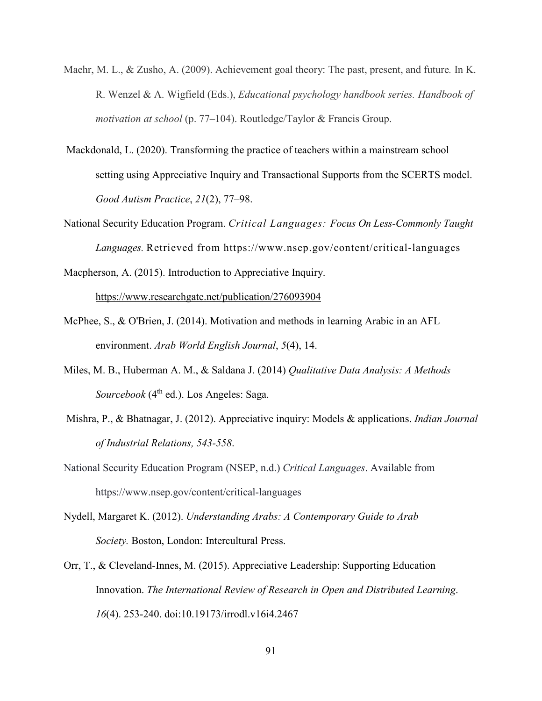- Maehr, M. L., & Zusho, A. (2009). Achievement goal theory: The past, present, and future*.* In K. R. Wenzel & A. Wigfield (Eds.), *Educational psychology handbook series. Handbook of motivation at school* (p. 77–104). Routledge/Taylor & Francis Group.
- Mackdonald, L. (2020). Transforming the practice of teachers within a mainstream school setting using Appreciative Inquiry and Transactional Supports from the SCERTS model. *Good Autism Practice*, *21*(2), 77–98.
- National Security Education Program. *Critical Languages: Focus On Less-Commonly Taught Languages.* Retrieved from https://www.nsep.gov/content/critical-languages

Macpherson, A. (2015). Introduction to Appreciative Inquiry.

https://www.researchgate.net/publication/276093904

- McPhee, S., & O'Brien, J. (2014). Motivation and methods in learning Arabic in an AFL environment. *Arab World English Journal*, *5*(4), 14.
- Miles, M. B., Huberman A. M., & Saldana J. (2014) *Qualitative Data Analysis: A Methods Sourcebook* (4<sup>th</sup> ed.). Los Angeles: Saga.
- Mishra, P., & Bhatnagar, J. (2012). Appreciative inquiry: Models & applications. *Indian Journal of Industrial Relations, 543-558*.
- National Security Education Program (NSEP, n.d.) *Critical Languages*. Available from https://www.nsep.gov/content/critical-languages
- Nydell, Margaret K. (2012). *Understanding Arabs: A Contemporary Guide to Arab Society.* Boston, London: Intercultural Press.
- Orr, T., & Cleveland-Innes, M. (2015). Appreciative Leadership: Supporting Education Innovation. *The International Review of Research in Open and Distributed Learning*. *16*(4). 253-240. doi:10.19173/irrodl.v16i4.2467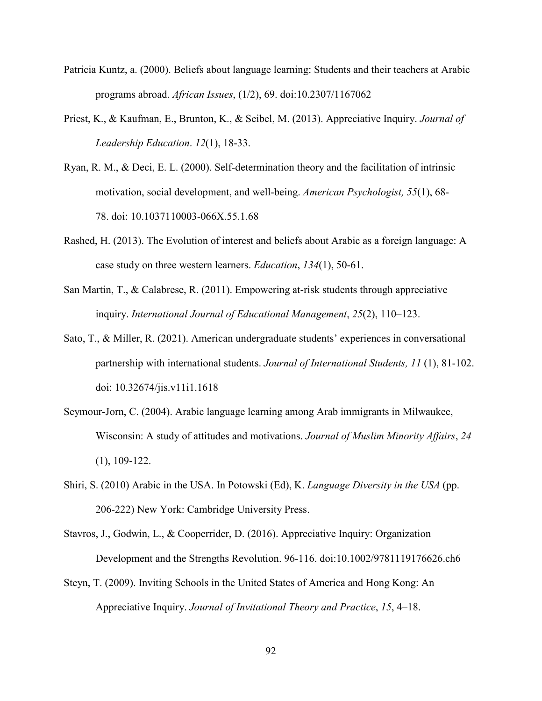- Patricia Kuntz, a. (2000). Beliefs about language learning: Students and their teachers at Arabic programs abroad. *African Issues*, (1/2), 69. doi:10.2307/1167062
- Priest, K., & Kaufman, E., Brunton, K., & Seibel, M. (2013). Appreciative Inquiry. *Journal of Leadership Education*. *12*(1), 18-33.
- Ryan, R. M., & Deci, E. L. (2000). Self-determination theory and the facilitation of intrinsic motivation, social development, and well-being. *American Psychologist, 55*(1), 68- 78. doi: 10.1037110003-066X.55.1.68
- Rashed, H. (2013). The Evolution of interest and beliefs about Arabic as a foreign language: A case study on three western learners. *Education*, *134*(1), 50-61.
- San Martin, T., & Calabrese, R. (2011). Empowering at-risk students through appreciative inquiry. *International Journal of Educational Management*, *25*(2), 110–123.
- Sato, T., & Miller, R. (2021). American undergraduate students' experiences in conversational partnership with international students. *Journal of International Students, 11* (1), 81-102. doi: 10.32674/jis.v11i1.1618
- Seymour-Jorn, C. (2004). Arabic language learning among Arab immigrants in Milwaukee, Wisconsin: A study of attitudes and motivations. *Journal of Muslim Minority Affairs*, *24*  (1), 109-122.
- Shiri, S. (2010) Arabic in the USA. In Potowski (Ed), K. *Language Diversity in the USA* (pp. 206-222) New York: Cambridge University Press.
- Stavros, J., Godwin, L., & Cooperrider, D. (2016). Appreciative Inquiry: Organization Development and the Strengths Revolution. 96-116. doi:10.1002/9781119176626.ch6
- Steyn, T. (2009). Inviting Schools in the United States of America and Hong Kong: An Appreciative Inquiry. *Journal of Invitational Theory and Practice*, *15*, 4–18.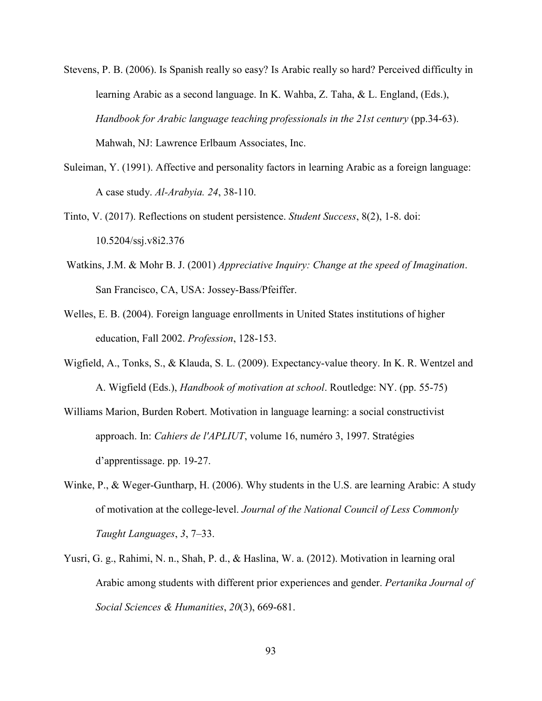- Stevens, P. B. (2006). Is Spanish really so easy? Is Arabic really so hard? Perceived difficulty in learning Arabic as a second language. In K. Wahba, Z. Taha, & L. England, (Eds.), *Handbook for Arabic language teaching professionals in the 21st century* (pp.34-63). Mahwah, NJ: Lawrence Erlbaum Associates, Inc.
- Suleiman, Y. (1991). Affective and personality factors in learning Arabic as a foreign language: A case study. *Al-Arabyia. 24*, 38-110.
- Tinto, V. (2017). Reflections on student persistence. *Student Success*, 8(2), 1-8. doi: 10.5204/ssj.v8i2.376
- Watkins, J.M. & Mohr B. J. (2001) *Appreciative Inquiry: Change at the speed of Imagination*. San Francisco, CA, USA: Jossey-Bass/Pfeiffer.
- Welles, E. B. (2004). Foreign language enrollments in United States institutions of higher education, Fall 2002. *Profession*, 128-153.
- Wigfield, A., Tonks, S., & Klauda, S. L. (2009). Expectancy-value theory. In K. R. Wentzel and A. Wigfield (Eds.), *Handbook of motivation at school*. Routledge: NY. (pp. 55-75)
- Williams Marion, Burden Robert. Motivation in language learning: a social constructivist approach. In: *Cahiers de l'APLIUT*, volume 16, numéro 3, 1997. Stratégies d'apprentissage. pp. 19-27.
- Winke, P., & Weger-Guntharp, H. (2006). Why students in the U.S. are learning Arabic: A study of motivation at the college-level. *Journal of the National Council of Less Commonly Taught Languages*, *3*, 7–33.
- Yusri, G. g., Rahimi, N. n., Shah, P. d., & Haslina, W. a. (2012). Motivation in learning oral Arabic among students with different prior experiences and gender. *Pertanika Journal of Social Sciences & Humanities*, *20*(3), 669-681.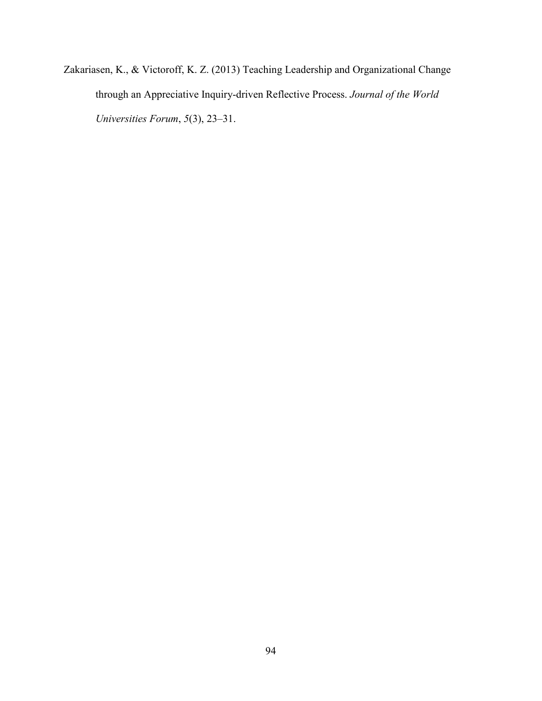Zakariasen, K., & Victoroff, K. Z. (2013) Teaching Leadership and Organizational Change through an Appreciative Inquiry-driven Reflective Process. *Journal of the World Universities Forum*, *5*(3), 23–31.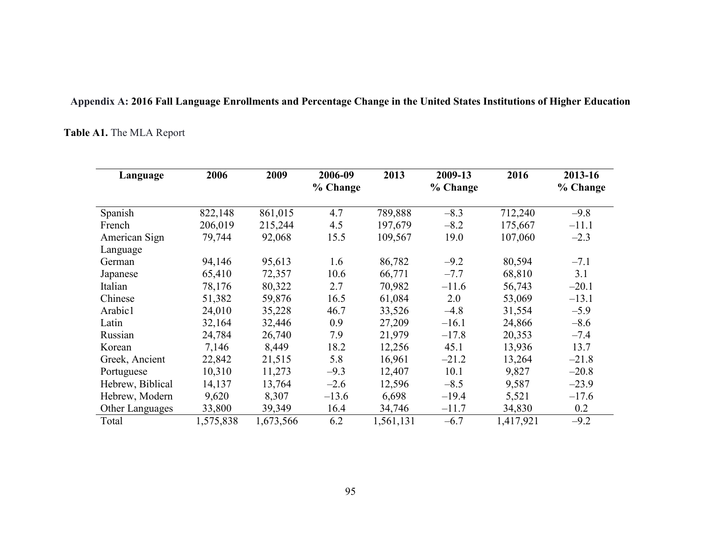### **Appendix A: 2016 Fall Language Enrollments and Percentage Change in the United States Institutions of Higher Education**

### **Table A1.** The MLA Report

| Language         | 2006      | 2009      | 2006-09<br>% Change | 2013      | 2009-13<br>% Change | 2016      | 2013-16<br>% Change |
|------------------|-----------|-----------|---------------------|-----------|---------------------|-----------|---------------------|
| Spanish          | 822,148   | 861,015   | 4.7                 | 789,888   | $-8.3$              | 712,240   | $-9.8$              |
| French           | 206,019   | 215,244   | 4.5                 | 197,679   | $-8.2$              | 175,667   | $-11.1$             |
| American Sign    | 79,744    | 92,068    | 15.5                | 109,567   | 19.0                | 107,060   | $-2.3$              |
| Language         |           |           |                     |           |                     |           |                     |
| German           | 94,146    | 95,613    | 1.6                 | 86,782    | $-9.2$              | 80,594    | $-7.1$              |
| Japanese         | 65,410    | 72,357    | 10.6                | 66,771    | $-7.7$              | 68,810    | 3.1                 |
| Italian          | 78,176    | 80,322    | 2.7                 | 70,982    | $-11.6$             | 56,743    | $-20.1$             |
| Chinese          | 51,382    | 59,876    | 16.5                | 61,084    | 2.0                 | 53,069    | $-13.1$             |
| Arabic1          | 24,010    | 35,228    | 46.7                | 33,526    | $-4.8$              | 31,554    | $-5.9$              |
| Latin            | 32,164    | 32,446    | 0.9                 | 27,209    | $-16.1$             | 24,866    | $-8.6$              |
| Russian          | 24,784    | 26,740    | 7.9                 | 21,979    | $-17.8$             | 20,353    | $-7.4$              |
| Korean           | 7,146     | 8,449     | 18.2                | 12,256    | 45.1                | 13,936    | 13.7                |
| Greek, Ancient   | 22,842    | 21,515    | 5.8                 | 16,961    | $-21.2$             | 13,264    | $-21.8$             |
| Portuguese       | 10,310    | 11,273    | $-9.3$              | 12,407    | 10.1                | 9,827     | $-20.8$             |
| Hebrew, Biblical | 14,137    | 13,764    | $-2.6$              | 12,596    | $-8.5$              | 9,587     | $-23.9$             |
| Hebrew, Modern   | 9,620     | 8,307     | $-13.6$             | 6,698     | $-19.4$             | 5,521     | $-17.6$             |
| Other Languages  | 33,800    | 39,349    | 16.4                | 34,746    | $-11.7$             | 34,830    | 0.2                 |
| Total            | 1,575,838 | 1,673,566 | 6.2                 | 1,561,131 | $-6.7$              | 1,417,921 | $-9.2$              |